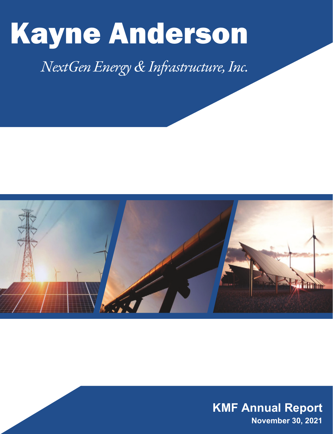# Kayne Anderson

# *NextGen Energy & Infrastructure, Inc.*



**KMF Annual Report November 30, 2021**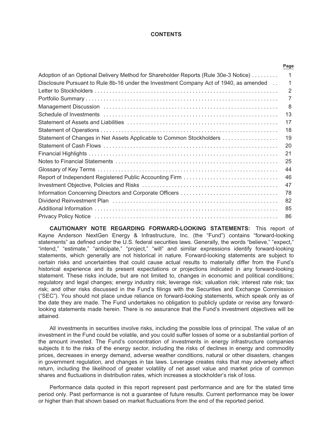#### **CONTENTS**

|                                                                                        | Page |
|----------------------------------------------------------------------------------------|------|
| Adoption of an Optional Delivery Method for Shareholder Reports (Rule 30e-3 Notice)    | 1    |
| Disclosure Pursuant to Rule 8b-16 under the Investment Company Act of 1940, as amended | 1    |
|                                                                                        | 2    |
|                                                                                        | 7    |
|                                                                                        | 8    |
|                                                                                        | 13   |
|                                                                                        | 17   |
|                                                                                        | 18   |
| Statement of Changes in Net Assets Applicable to Common Stockholders                   | 19   |
|                                                                                        | 20   |
|                                                                                        | 21   |
|                                                                                        | 25   |
|                                                                                        | 44   |
|                                                                                        | 46   |
|                                                                                        | 47   |
|                                                                                        | 78   |
|                                                                                        | 82   |
|                                                                                        | 85   |
|                                                                                        | 86   |

**CAUTIONARY NOTE REGARDING FORWARD-LOOKING STATEMENTS:** This report of Kayne Anderson NextGen Energy & Infrastructure, Inc. (the "Fund") contains "forward-looking statements" as defined under the U.S. federal securities laws. Generally, the words "believe," "expect," "intend," "estimate," "anticipate," "project," "will" and similar expressions identify forward-looking statements, which generally are not historical in nature. Forward-looking statements are subject to certain risks and uncertainties that could cause actual results to materially differ from the Fund's historical experience and its present expectations or projections indicated in any forward-looking statement. These risks include, but are not limited to, changes in economic and political conditions; regulatory and legal changes; energy industry risk; leverage risk; valuation risk; interest rate risk; tax risk; and other risks discussed in the Fund's filings with the Securities and Exchange Commission ("SEC"). You should not place undue reliance on forward-looking statements, which speak only as of the date they are made. The Fund undertakes no obligation to publicly update or revise any forwardlooking statements made herein. There is no assurance that the Fund's investment objectives will be attained.

All investments in securities involve risks, including the possible loss of principal. The value of an investment in the Fund could be volatile, and you could suffer losses of some or a substantial portion of the amount invested. The Fund's concentration of investments in energy infrastructure companies subjects it to the risks of the energy sector, including the risks of declines in energy and commodity prices, decreases in energy demand, adverse weather conditions, natural or other disasters, changes in government regulation, and changes in tax laws. Leverage creates risks that may adversely affect return, including the likelihood of greater volatility of net asset value and market price of common shares and fluctuations in distribution rates, which increases a stockholder's risk of loss.

Performance data quoted in this report represent past performance and are for the stated time period only. Past performance is not a guarantee of future results. Current performance may be lower or higher than that shown based on market fluctuations from the end of the reported period.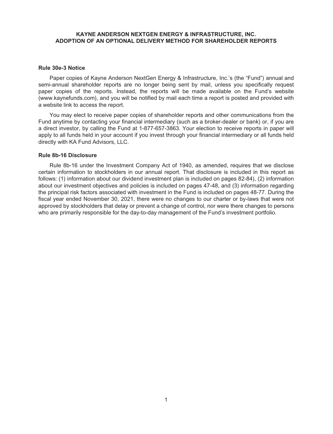# **KAYNE ANDERSON NEXTGEN ENERGY & INFRASTRUCTURE, INC. ADOPTION OF AN OPTIONAL DELIVERY METHOD FOR SHAREHOLDER REPORTS**

#### <span id="page-2-0"></span>**Rule 30e-3 Notice**

Paper copies of Kayne Anderson NextGen Energy & Infrastructure, Inc.'s (the "Fund") annual and semi-annual shareholder reports are no longer being sent by mail, unless you specifically request paper copies of the reports. Instead, the reports will be made available on the Fund's website (www.kaynefunds.com), and you will be notified by mail each time a report is posted and provided with a website link to access the report.

You may elect to receive paper copies of shareholder reports and other communications from the Fund anytime by contacting your financial intermediary (such as a broker-dealer or bank) or, if you are a direct investor, by calling the Fund at 1-877-657-3863. Your election to receive reports in paper will apply to all funds held in your account if you invest through your financial intermediary or all funds held directly with KA Fund Advisors, LLC.

# <span id="page-2-1"></span>**Rule 8b-16 Disclosure**

Rule 8b-16 under the Investment Company Act of 1940, as amended, requires that we disclose certain information to stockholders in our annual report. That disclosure is included in this report as follows: (1) information about our dividend investment plan is included on pages 82-84), (2) information about our investment objectives and policies is included on pages 47-48, and (3) information regarding the principal risk factors associated with investment in the Fund is included on pages 48-77. During the fiscal year ended November 30, 2021, there were no changes to our charter or by-laws that were not approved by stockholders that delay or prevent a change of control, nor were there changes to persons who are primarily responsible for the day-to-day management of the Fund's investment portfolio.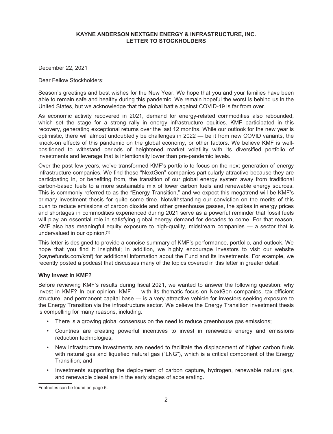<span id="page-3-0"></span>December 22, 2021

Dear Fellow Stockholders:

Season's greetings and best wishes for the New Year. We hope that you and your families have been able to remain safe and healthy during this pandemic. We remain hopeful the worst is behind us in the United States, but we acknowledge that the global battle against COVID-19 is far from over.

As economic activity recovered in 2021, demand for energy-related commodities also rebounded, which set the stage for a strong rally in energy infrastructure equities. KMF participated in this recovery, generating exceptional returns over the last 12 months. While our outlook for the new year is optimistic, there will almost undoubtedly be challenges in 2022 — be it from new COVID variants, the knock-on effects of this pandemic on the global economy, or other factors. We believe KMF is wellpositioned to withstand periods of heightened market volatility with its diversified portfolio of investments and leverage that is intentionally lower than pre-pandemic levels.

Over the past few years, we've transformed KMF's portfolio to focus on the next generation of energy infrastructure companies. We find these "NextGen" companies particularly attractive because they are participating in, or benefiting from, the transition of our global energy system away from traditional carbon-based fuels to a more sustainable mix of lower carbon fuels and renewable energy sources. This is commonly referred to as the "Energy Transition," and we expect this megatrend will be KMF's primary investment thesis for quite some time. Notwithstanding our conviction on the merits of this push to reduce emissions of carbon dioxide and other greenhouse gasses, the spikes in energy prices and shortages in commodities experienced during 2021 serve as a powerful reminder that fossil fuels will play an essential role in satisfying global energy demand for decades to come. For that reason, KMF also has meaningful equity exposure to high-quality, midstream companies — a sector that is undervalued in our opinion.(1)

This letter is designed to provide a concise summary of KMF's performance, portfolio, and outlook. We hope that you find it insightful; in addition, we highly encourage investors to visit our website (kaynefunds.com/kmf) for additional information about the Fund and its investments. For example, we recently posted a podcast that discusses many of the topics covered in this letter in greater detail.

#### **Why Invest in KMF?**

Before reviewing KMF's results during fiscal 2021, we wanted to answer the following question: why invest in KMF? In our opinion, KMF — with its thematic focus on NextGen companies, tax-efficient structure, and permanent capital base — is a very attractive vehicle for investors seeking exposure to the Energy Transition via the infrastructure sector. We believe the Energy Transition investment thesis is compelling for many reasons, including:

- There is a growing global consensus on the need to reduce greenhouse gas emissions;
- Countries are creating powerful incentives to invest in renewable energy and emissions reduction technologies;
- New infrastructure investments are needed to facilitate the displacement of higher carbon fuels with natural gas and liquefied natural gas ("LNG"), which is a critical component of the Energy Transition; and
- Investments supporting the deployment of carbon capture, hydrogen, renewable natural gas, and renewable diesel are in the early stages of accelerating.

Footnotes can be found on page 6.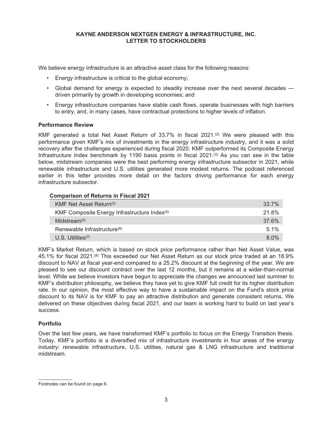We believe energy infrastructure is an attractive asset class for the following reasons:

- Energy infrastructure is critical to the global economy;
- Global demand for energy is expected to steadily increase over the next several decades driven primarily by growth in developing economies; and
- Energy infrastructure companies have stable cash flows, operate businesses with high barriers to entry, and, in many cases, have contractual protections to higher levels of inflation.

#### **Performance Review**

KMF generated a total Net Asset Return of 33.7% in fiscal 2021.<sup>(2)</sup> We were pleased with this performance given KMF's mix of investments in the energy infrastructure industry, and it was a solid recovery after the challenges experienced during fiscal 2020. KMF outperformed its Composite Energy Infrastructure Index benchmark by 1190 basis points in fiscal 2021.<sup>(3)</sup> As you can see in the table below, midstream companies were the best performing energy infrastructure subsector in 2021, while renewable infrastructure and U.S. utilities generated more modest returns. The podcast referenced earlier in this letter provides more detail on the factors driving performance for each energy infrastructure subsector.

#### **Comparison of Returns in Fiscal 2021**

| KMF Net Asset Return <sup>(2)</sup>                      | 33.7%   |
|----------------------------------------------------------|---------|
| KMF Composite Energy Infrastructure Index <sup>(4)</sup> | 21.8%   |
| Midstream $(5)$                                          | 37.6%   |
| Renewable Infrastructure <sup>(6)</sup>                  | $5.1\%$ |
| $U.S.$ Utilities <sup><math>(7)</math></sup>             | $8.0\%$ |

KMF's Market Return, which is based on stock price performance rather than Net Asset Value, was 45.1% for fiscal 2021.(8) This exceeded our Net Asset Return as our stock price traded at an 18.9% discount to NAV at fiscal year-end compared to a 25.2% discount at the beginning of the year. We are pleased to see our discount contract over the last 12 months, but it remains at a wider-than-normal level. While we believe investors have begun to appreciate the changes we announced last summer to KMF's distribution philosophy, we believe they have yet to give KMF full credit for its higher distribution rate. In our opinion, the most effective way to have a sustainable impact on the Fund's stock price discount to its NAV is for KMF to pay an attractive distribution and generate consistent returns. We delivered on these objectives during fiscal 2021, and our team is working hard to build on last year's success.

#### **Portfolio**

Over the last few years, we have transformed KMF's portfolio to focus on the Energy Transition thesis. Today, KMF's portfolio is a diversified mix of infrastructure investments in four areas of the energy industry: renewable infrastructure, U.S. utilities, natural gas & LNG infrastructure and traditional midstream.

Footnotes can be found on page 6.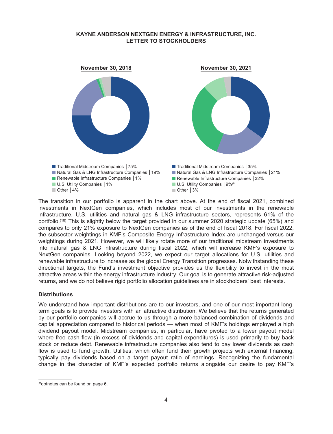

The transition in our portfolio is apparent in the chart above. At the end of fiscal 2021, combined investments in NextGen companies, which includes most of our investments in the renewable infrastructure, U.S. utilities and natural gas & LNG infrastructure sectors, represents 61% of the portfolio.<sup>(10)</sup> This is slightly below the target provided in our summer 2020 strategic update (65%) and compares to only 21% exposure to NextGen companies as of the end of fiscal 2018. For fiscal 2022, the subsector weightings in KMF's Composite Energy Infrastructure Index are unchanged versus our weightings during 2021. However, we will likely rotate more of our traditional midstream investments into natural gas & LNG infrastructure during fiscal 2022, which will increase KMF's exposure to NextGen companies. Looking beyond 2022, we expect our target allocations for U.S. utilities and renewable infrastructure to increase as the global Energy Transition progresses. Notwithstanding these directional targets, the Fund's investment objective provides us the flexibility to invest in the most attractive areas within the energy infrastructure industry. Our goal is to generate attractive risk-adjusted returns, and we do not believe rigid portfolio allocation guidelines are in stockholders' best interests.

#### **Distributions**

We understand how important distributions are to our investors, and one of our most important longterm goals is to provide investors with an attractive distribution. We believe that the returns generated by our portfolio companies will accrue to us through a more balanced combination of dividends and capital appreciation compared to historical periods — when most of KMF's holdings employed a high dividend payout model. Midstream companies, in particular, have pivoted to a lower payout model where free cash flow (in excess of dividends and capital expenditures) is used primarily to buy back stock or reduce debt. Renewable infrastructure companies also tend to pay lower dividends as cash flow is used to fund growth. Utilities, which often fund their growth projects with external financing, typically pay dividends based on a target payout ratio of earnings. Recognizing the fundamental change in the character of KMF's expected portfolio returns alongside our desire to pay KMF's

Footnotes can be found on page 6.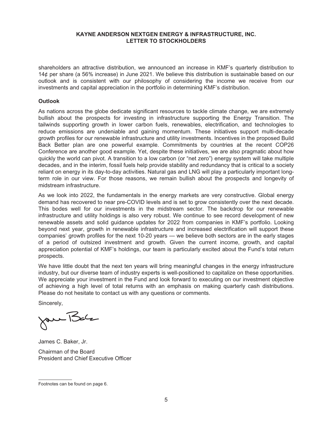shareholders an attractive distribution, we announced an increase in KMF's quarterly distribution to 14¢ per share (a 56% increase) in June 2021. We believe this distribution is sustainable based on our outlook and is consistent with our philosophy of considering the income we receive from our investments and capital appreciation in the portfolio in determining KMF's distribution.

# **Outlook**

As nations across the globe dedicate significant resources to tackle climate change, we are extremely bullish about the prospects for investing in infrastructure supporting the Energy Transition. The tailwinds supporting growth in lower carbon fuels, renewables, electrification, and technologies to reduce emissions are undeniable and gaining momentum. These initiatives support multi-decade growth profiles for our renewable infrastructure and utility investments. Incentives in the proposed Build Back Better plan are one powerful example. Commitments by countries at the recent COP26 Conference are another good example. Yet, despite these initiatives, we are also pragmatic about how quickly the world can pivot. A transition to a low carbon (or "net zero") energy system will take multiple decades, and in the interim, fossil fuels help provide stability and redundancy that is critical to a society reliant on energy in its day-to-day activities. Natural gas and LNG will play a particularly important longterm role in our view. For those reasons, we remain bullish about the prospects and longevity of midstream infrastructure.

As we look into 2022, the fundamentals in the energy markets are very constructive. Global energy demand has recovered to near pre-COVID levels and is set to grow consistently over the next decade. This bodes well for our investments in the midstream sector. The backdrop for our renewable infrastructure and utility holdings is also very robust. We continue to see record development of new renewable assets and solid guidance updates for 2022 from companies in KMF's portfolio. Looking beyond next year, growth in renewable infrastructure and increased electrification will support these companies' growth profiles for the next 10-20 years — we believe both sectors are in the early stages of a period of outsized investment and growth. Given the current income, growth, and capital appreciation potential of KMF's holdings, our team is particularly excited about the Fund's total return prospects.

We have little doubt that the next ten years will bring meaningful changes in the energy infrastructure industry, but our diverse team of industry experts is well-positioned to capitalize on these opportunities. We appreciate your investment in the Fund and look forward to executing on our investment objective of achieving a high level of total returns with an emphasis on making quarterly cash distributions. Please do not hesitate to contact us with any questions or comments.

Sincerely,

Jan Bar

James C. Baker, Jr.

Chairman of the Board President and Chief Executive Officer

Footnotes can be found on page 6.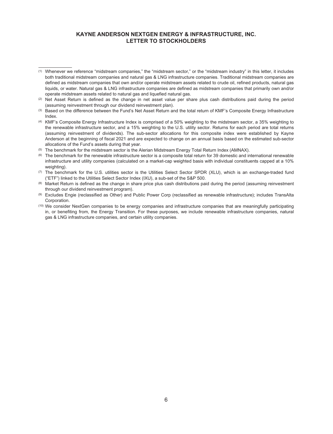- (5) The benchmark for the midstream sector is the Alerian Midstream Energy Total Return Index (AMNAX).
- (6) The benchmark for the renewable infrastructure sector is a composite total return for 39 domestic and international renewable infrastructure and utility companies (calculated on a market-cap weighted basis with individual constituents capped at a 10% weighting).
- (7) The benchmark for the U.S. utilities sector is the Utilities Select Sector SPDR (XLU), which is an exchange-traded fund ("ETF") linked to the Utilities Select Sector Index (IXU), a sub-set of the S&P 500.
- (8) Market Return is defined as the change in share price plus cash distributions paid during the period (assuming reinvestment through our dividend reinvestment program).
- (9) Excludes Engie (reclassified as Other) and Public Power Corp (reclassified as renewable infrastructure); includes TransAlta Corporation.
- (10) We consider NextGen companies to be energy companies and infrastructure companies that are meaningfully participating in, or benefiting from, the Energy Transition. For these purposes, we include renewable infrastructure companies, natural gas & LNG infrastructure companies, and certain utility companies.

<sup>(1)</sup> Whenever we reference "midstream companies," the "midstream sector," or the "midstream industry" in this letter, it includes both traditional midstream companies and natural gas & LNG infrastructure companies. Traditional midstream companies are defined as midstream companies that own and/or operate midstream assets related to crude oil, refined products, natural gas liquids, or water. Natural gas & LNG infrastructure companies are defined as midstream companies that primarily own and/or operate midstream assets related to natural gas and liquefied natural gas.

<sup>(2)</sup> Net Asset Return is defined as the change in net asset value per share plus cash distributions paid during the period (assuming reinvestment through our dividend reinvestment plan).

<sup>(3)</sup> Based on the difference between the Fund's Net Asset Return and the total return of KMF's Composite Energy Infrastructure Index.

<sup>(4)</sup> KMF's Composite Energy Infrastructure Index is comprised of a 50% weighting to the midstream sector, a 35% weighting to the renewable infrastructure sector, and a 15% weighting to the U.S. utility sector. Returns for each period are total returns (assuming reinvestment of dividends). The sub-sector allocations for this composite index were established by Kayne Anderson at the beginning of fiscal 2021 and are expected to change on an annual basis based on the estimated sub-sector allocations of the Fund's assets during that year.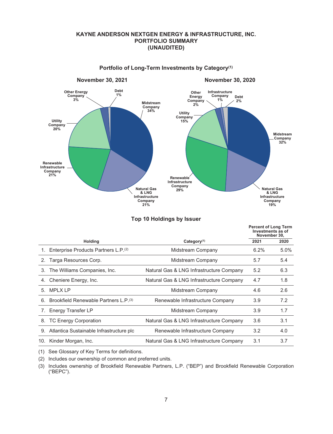# **KAYNE ANDERSON NEXTGEN ENERGY & INFRASTRUCTURE, INC. PORTFOLIO SUMMARY (UNAUDITED)**

<span id="page-8-0"></span>

#### **Portfolio of Long-Term Investments by Category(1)**

|                                                      |                                          | <b>Percent of Long Term</b><br>Investments as of<br>November 30, |      |
|------------------------------------------------------|------------------------------------------|------------------------------------------------------------------|------|
| <b>Holding</b>                                       | Category <sup>(1)</sup>                  | 2021                                                             | 2020 |
| 1. Enterprise Products Partners L.P. <sup>(2)</sup>  | Midstream Company                        | 6.2%                                                             | 5.0% |
| 2. Targa Resources Corp.                             | Midstream Company                        | 5.7                                                              | 5.4  |
| The Williams Companies, Inc.                         | Natural Gas & LNG Infrastructure Company | 5.2                                                              | 6.3  |
| Cheniere Energy, Inc.                                | Natural Gas & LNG Infrastructure Company | 4.7                                                              | 1.8  |
| 5. MPLXLP                                            | Midstream Company                        | 4.6                                                              | 2.6  |
| 6. Brookfield Renewable Partners L.P. <sup>(3)</sup> | Renewable Infrastructure Company         | 3.9                                                              | 7.2  |
| 7. Energy Transfer LP                                | Midstream Company                        | 3.9                                                              | 1.7  |
| <b>TC Energy Corporation</b>                         | Natural Gas & LNG Infrastructure Company | 3.6                                                              | 3.1  |
| Atlantica Sustainable Infrastructure plc             | Renewable Infrastructure Company         | 3.2                                                              | 4.0  |
| Kinder Morgan, Inc.                                  | Natural Gas & LNG Infrastructure Company | 3.1                                                              | 3.7  |
|                                                      |                                          |                                                                  |      |

#### **Top 10 Holdings by Issuer**

(1) See Glossary of Key Terms for definitions.

(2) Includes our ownership of common and preferred units.

(3) Includes ownership of Brookfield Renewable Partners, L.P. ("BEP") and Brookfield Renewable Corporation ("BEPC").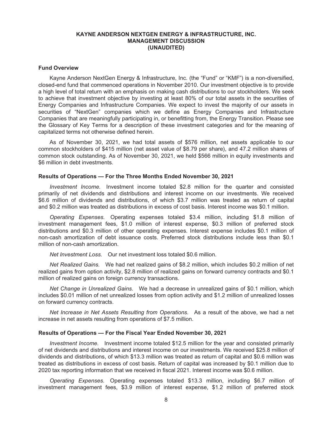#### <span id="page-9-0"></span>**Fund Overview**

Kayne Anderson NextGen Energy & Infrastructure, Inc. (the "Fund" or "KMF") is a non-diversified, closed-end fund that commenced operations in November 2010. Our investment objective is to provide a high level of total return with an emphasis on making cash distributions to our stockholders. We seek to achieve that investment objective by investing at least 80% of our total assets in the securities of Energy Companies and Infrastructure Companies. We expect to invest the majority of our assets in securities of "NextGen" companies which we define as Energy Companies and Infrastructure Companies that are meaningfully participating in, or benefitting from, the Energy Transition. Please see the Glossary of Key Terms for a description of these investment categories and for the meaning of capitalized terms not otherwise defined herein.

As of November 30, 2021, we had total assets of \$576 million, net assets applicable to our common stockholders of \$415 million (net asset value of \$8.79 per share), and 47.2 million shares of common stock outstanding. As of November 30, 2021, we held \$566 million in equity investments and \$6 million in debt investments.

#### **Results of Operations — For the Three Months Ended November 30, 2021**

*Investment Income.* Investment income totaled \$2.8 million for the quarter and consisted primarily of net dividends and distributions and interest income on our investments. We received \$6.6 million of dividends and distributions, of which \$3.7 million was treated as return of capital and \$0.2 million was treated as distributions in excess of cost basis. Interest income was \$0.1 million.

*Operating Expenses.* Operating expenses totaled \$3.4 million, including \$1.8 million of investment management fees, \$1.0 million of interest expense, \$0.3 million of preferred stock distributions and \$0.3 million of other operating expenses. Interest expense includes \$0.1 million of non-cash amortization of debt issuance costs. Preferred stock distributions include less than \$0.1 million of non-cash amortization.

*Net Investment Loss.* Our net investment loss totaled \$0.6 million.

*Net Realized Gains.* We had net realized gains of \$8.2 million, which includes \$0.2 million of net realized gains from option activity, \$2.8 million of realized gains on forward currency contracts and \$0.1 million of realized gains on foreign currency transactions.

*Net Change in Unrealized Gains.* We had a decrease in unrealized gains of \$0.1 million, which includes \$0.01 million of net unrealized losses from option activity and \$1.2 million of unrealized losses on forward currency contracts.

*Net Increase in Net Assets Resulting from Operations.* As a result of the above, we had a net increase in net assets resulting from operations of \$7.5 million.

#### **Results of Operations — For the Fiscal Year Ended November 30, 2021**

*Investment Income.* Investment income totaled \$12.5 million for the year and consisted primarily of net dividends and distributions and interest income on our investments. We received \$25.8 million of dividends and distributions, of which \$13.3 million was treated as return of capital and \$0.6 million was treated as distributions in excess of cost basis. Return of capital was increased by \$0.1 million due to 2020 tax reporting information that we received in fiscal 2021. Interest income was \$0.6 million.

*Operating Expenses*. Operating expenses totaled \$13.3 million, including \$6.7 million of investment management fees, \$3.9 million of interest expense, \$1.2 million of preferred stock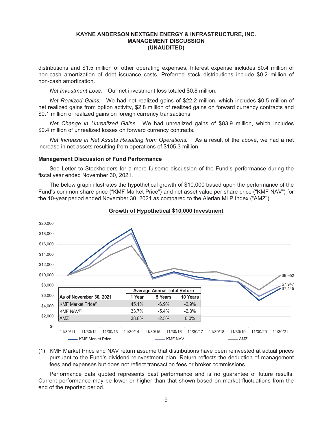distributions and \$1.5 million of other operating expenses. Interest expense includes \$0.4 million of non-cash amortization of debt issuance costs. Preferred stock distributions include \$0.2 million of non-cash amortization.

*Net Investment Loss.* Our net investment loss totaled \$0.8 million.

*Net Realized Gains.* We had net realized gains of \$22.2 million, which includes \$0.5 million of net realized gains from option activity, \$2.8 million of realized gains on forward currency contracts and \$0.1 million of realized gains on foreign currency transactions.

*Net Change in Unrealized Gains.* We had unrealized gains of \$83.9 million, which includes \$0.4 million of unrealized losses on forward currency contracts.

*Net Increase in Net Assets Resulting from Operations.* As a result of the above, we had a net increase in net assets resulting from operations of \$105.3 million.

#### **Management Discussion of Fund Performance**

See Letter to Stockholders for a more fulsome discussion of the Fund's performance during the fiscal year ended November 30, 2021.

The below graph illustrates the hypothetical growth of \$10,000 based upon the performance of the Fund's common share price ("KMF Market Price") and net asset value per share price ("KMF NAV") for the 10-year period ended November 30, 2021 as compared to the Alerian MLP Index ("AMZ").



#### **Growth of Hypothetical \$10,000 Investment**

(1) KMF Market Price and NAV return assume that distributions have been reinvested at actual prices pursuant to the Fund's dividend reinvestment plan. Return reflects the deduction of management fees and expenses but does not reflect transaction fees or broker commissions.

Performance data quoted represents past performance and is no guarantee of future results. Current performance may be lower or higher than that shown based on market fluctuations from the end of the reported period.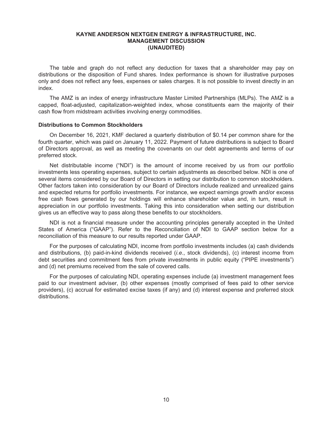The table and graph do not reflect any deduction for taxes that a shareholder may pay on distributions or the disposition of Fund shares. Index performance is shown for illustrative purposes only and does not reflect any fees, expenses or sales charges. It is not possible to invest directly in an index.

The AMZ is an index of energy infrastructure Master Limited Partnerships (MLPs). The AMZ is a capped, float-adjusted, capitalization-weighted index, whose constituents earn the majority of their cash flow from midstream activities involving energy commodities.

#### **Distributions to Common Stockholders**

On December 16, 2021, KMF declared a quarterly distribution of \$0.14 per common share for the fourth quarter, which was paid on January 11, 2022. Payment of future distributions is subject to Board of Directors approval, as well as meeting the covenants on our debt agreements and terms of our preferred stock.

Net distributable income ("NDI") is the amount of income received by us from our portfolio investments less operating expenses, subject to certain adjustments as described below. NDI is one of several items considered by our Board of Directors in setting our distribution to common stockholders. Other factors taken into consideration by our Board of Directors include realized and unrealized gains and expected returns for portfolio investments. For instance, we expect earnings growth and/or excess free cash flows generated by our holdings will enhance shareholder value and, in turn, result in appreciation in our portfolio investments. Taking this into consideration when setting our distribution gives us an effective way to pass along these benefits to our stockholders.

NDI is not a financial measure under the accounting principles generally accepted in the United States of America ("GAAP"). Refer to the Reconciliation of NDI to GAAP section below for a reconciliation of this measure to our results reported under GAAP.

For the purposes of calculating NDI, income from portfolio investments includes (a) cash dividends and distributions, (b) paid-in-kind dividends received (*i.e*., stock dividends), (c) interest income from debt securities and commitment fees from private investments in public equity ("PIPE investments") and (d) net premiums received from the sale of covered calls.

For the purposes of calculating NDI, operating expenses include (a) investment management fees paid to our investment adviser, (b) other expenses (mostly comprised of fees paid to other service providers), (c) accrual for estimated excise taxes (if any) and (d) interest expense and preferred stock distributions.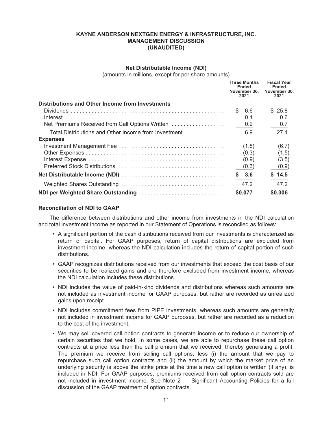#### **Net Distributable Income (NDI)**

(amounts in millions, except for per share amounts)

|                                                      | <b>Three Months</b><br>Ended<br>November 30.<br>2021 | <b>Fiscal Year</b><br><b>Ended</b><br>November 30.<br>2021 |
|------------------------------------------------------|------------------------------------------------------|------------------------------------------------------------|
| Distributions and Other Income from Investments      |                                                      |                                                            |
|                                                      | \$.<br>6.6                                           | \$25.8                                                     |
|                                                      | 0.1                                                  | 0.6                                                        |
| Net Premiums Received from Call Options Written      | 0.2                                                  | 0.7                                                        |
| Total Distributions and Other Income from Investment | 6.9                                                  | 27.1                                                       |
| <b>Expenses</b>                                      |                                                      |                                                            |
|                                                      | (1.8)                                                | (6.7)                                                      |
|                                                      | (0.3)                                                | (1.5)                                                      |
|                                                      | (0.9)                                                | (3.5)                                                      |
|                                                      | (0.3)                                                | (0.9)                                                      |
|                                                      | \$3.6                                                | \$14.5                                                     |
|                                                      | 47.2                                                 | 472                                                        |
| NDI per Weighted Share Outstanding                   | \$0.077                                              | \$0.306                                                    |

# **Reconciliation of NDI to GAAP**

The difference between distributions and other income from investments in the NDI calculation and total investment income as reported in our Statement of Operations is reconciled as follows:

- A significant portion of the cash distributions received from our investments is characterized as return of capital. For GAAP purposes, return of capital distributions are excluded from investment income, whereas the NDI calculation includes the return of capital portion of such distributions.
- GAAP recognizes distributions received from our investments that exceed the cost basis of our securities to be realized gains and are therefore excluded from investment income, whereas the NDI calculation includes these distributions.
- NDI includes the value of paid-in-kind dividends and distributions whereas such amounts are not included as investment income for GAAP purposes, but rather are recorded as unrealized gains upon receipt.
- NDI includes commitment fees from PIPE investments, whereas such amounts are generally not included in investment income for GAAP purposes, but rather are recorded as a reduction to the cost of the investment.
- We may sell covered call option contracts to generate income or to reduce our ownership of certain securities that we hold. In some cases, we are able to repurchase these call option contracts at a price less than the call premium that we received, thereby generating a profit. The premium we receive from selling call options, less (i) the amount that we pay to repurchase such call option contracts and (ii) the amount by which the market price of an underlying security is above the strike price at the time a new call option is written (if any), is included in NDI. For GAAP purposes, premiums received from call option contracts sold are not included in investment income. See Note 2 — Significant Accounting Policies for a full discussion of the GAAP treatment of option contracts.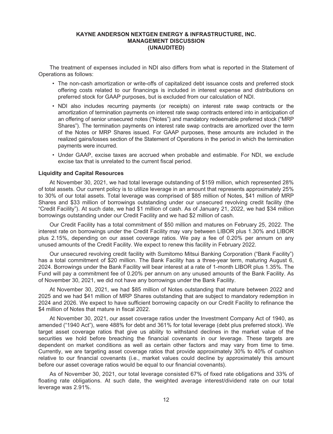The treatment of expenses included in NDI also differs from what is reported in the Statement of Operations as follows:

- The non-cash amortization or write-offs of capitalized debt issuance costs and preferred stock offering costs related to our financings is included in interest expense and distributions on preferred stock for GAAP purposes, but is excluded from our calculation of NDI.
- NDI also includes recurring payments (or receipts) on interest rate swap contracts or the amortization of termination payments on interest rate swap contracts entered into in anticipation of an offering of senior unsecured notes ("Notes") and mandatory redeemable preferred stock ("MRP Shares"). The termination payments on interest rate swap contracts are amortized over the term of the Notes or MRP Shares issued. For GAAP purposes, these amounts are included in the realized gains/losses section of the Statement of Operations in the period in which the termination payments were incurred.
- Under GAAP, excise taxes are accrued when probable and estimable. For NDI, we exclude excise tax that is unrelated to the current fiscal period.

#### **Liquidity and Capital Resources**

At November 30, 2021, we had total leverage outstanding of \$159 million, which represented 28% of total assets. Our current policy is to utilize leverage in an amount that represents approximately 25% to 30% of our total assets. Total leverage was comprised of \$85 million of Notes, \$41 million of MRP Shares and \$33 million of borrowings outstanding under our unsecured revolving credit facility (the "Credit Facility"). At such date, we had \$1 million of cash. As of January 21, 2022, we had \$34 million borrowings outstanding under our Credit Facility and we had \$2 million of cash.

Our Credit Facility has a total commitment of \$50 million and matures on February 25, 2022. The interest rate on borrowings under the Credit Facility may vary between LIBOR plus 1.30% and LIBOR plus 2.15%, depending on our asset coverage ratios. We pay a fee of 0.20% per annum on any unused amounts of the Credit Facility. We expect to renew this facility in February 2022.

Our unsecured revolving credit facility with Sumitomo Mitsui Banking Corporation ("Bank Facility") has a total commitment of \$20 million. The Bank Facility has a three-year term, maturing August 6, 2024. Borrowings under the Bank Facility will bear interest at a rate of 1-month LIBOR plus 1.35%. The Fund will pay a commitment fee of 0.20% per annum on any unused amounts of the Bank Facility. As of November 30, 2021, we did not have any borrowings under the Bank Facility.

At November 30, 2021, we had \$85 million of Notes outstanding that mature between 2022 and 2025 and we had \$41 million of MRP Shares outstanding that are subject to mandatory redemption in 2024 and 2026. We expect to have sufficient borrowing capacity on our Credit Facility to refinance the \$4 million of Notes that mature in fiscal 2022.

At November 30, 2021, our asset coverage ratios under the Investment Company Act of 1940, as amended ("1940 Act"), were 488% for debt and 361% for total leverage (debt plus preferred stock). We target asset coverage ratios that give us ability to withstand declines in the market value of the securities we hold before breaching the financial covenants in our leverage. These targets are dependent on market conditions as well as certain other factors and may vary from time to time. Currently, we are targeting asset coverage ratios that provide approximately 30% to 40% of cushion relative to our financial covenants (i.e., market values could decline by approximately this amount before our asset coverage ratios would be equal to our financial covenants).

As of November 30, 2021, our total leverage consisted 67% of fixed rate obligations and 33% of floating rate obligations. At such date, the weighted average interest/dividend rate on our total leverage was 2.91%.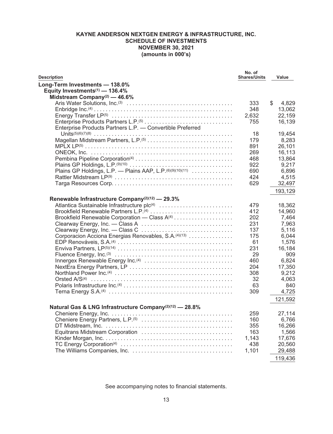<span id="page-14-0"></span>

| <b>Description</b>                                                  | No. of<br><b>Shares/Units</b> | Value       |
|---------------------------------------------------------------------|-------------------------------|-------------|
| Long-Term Investments - 138.0%                                      |                               |             |
| Equity Investments <sup>(1)</sup> - 136.4%                          |                               |             |
| Midstream Company(2) $-46.6\%$                                      |                               |             |
|                                                                     | 333                           | \$<br>4,829 |
|                                                                     | 348                           | 13,062      |
|                                                                     | 2,632                         | 22,159      |
|                                                                     | 755                           | 16,139      |
| Enterprise Products Partners L.P. - Convertible Preferred           |                               |             |
|                                                                     | 18                            | 19,454      |
|                                                                     | 179                           | 8,283       |
|                                                                     | 891                           | 26,101      |
|                                                                     | 269                           | 16,113      |
|                                                                     | 468                           | 13,864      |
|                                                                     | 922                           | 9,217       |
| Plains GP Holdings, L.P. - Plains AAP, L.P. (6)(9)(10)(11)          | 690                           | 6,896       |
|                                                                     | 424                           | 4,515       |
|                                                                     | 629                           | 32,497      |
|                                                                     |                               | 193,129     |
|                                                                     |                               |             |
| Renewable Infrastructure Company <sup>(2)(12)</sup> - 29.3%         | 479                           | 18,362      |
| Brookfield Renewable Partners L.P. <sup>(4)</sup>                   | 412                           | 14,960      |
|                                                                     |                               | 7,464       |
|                                                                     | 202<br>231                    | 7,963       |
|                                                                     | 137                           | 5,116       |
| Corporacion Acciona Energias Renovables, S.A. <sup>(4)(13)</sup>    |                               |             |
|                                                                     | 175                           | 6.044       |
|                                                                     | 61                            | 1,576       |
|                                                                     | 231                           | 16,184      |
|                                                                     | 29                            | 909         |
|                                                                     | 460                           | 6.824       |
|                                                                     | 204                           | 17,350      |
|                                                                     | 308                           | 9,212       |
|                                                                     | 32                            | 4,063       |
|                                                                     | 63                            | 840         |
|                                                                     | 309                           | 4,725       |
|                                                                     |                               | 121,592     |
| Natural Gas & LNG Infrastructure Company <sup>(2)(12)</sup> - 28.8% |                               |             |
|                                                                     | 259                           | 27,114      |
|                                                                     | 160                           | 6,766       |
|                                                                     | 355                           | 16,266      |
| Equitrans Midstream Corporation                                     | 163                           | 1,566       |
|                                                                     | 1,143                         | 17,676      |
|                                                                     | 438                           | 20,560      |
|                                                                     | 1,101                         | 29,488      |
|                                                                     |                               | 119,436     |
|                                                                     |                               |             |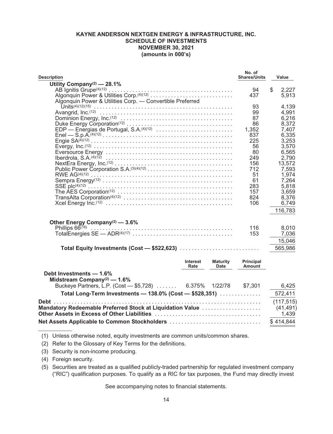| <b>Description</b>                                        | No. of<br><b>Shares/Units</b> | Value          |
|-----------------------------------------------------------|-------------------------------|----------------|
| Utility Company <sup>(2)</sup> - 28.1%                    |                               |                |
|                                                           | 94                            | \$<br>2,227    |
| Algonquin Power & Utilities Corp.(4)(12)                  | 437                           | 5,913          |
| Algonquin Power & Utilities Corp. - Convertible Preferred |                               |                |
|                                                           | 93                            | 4,139          |
|                                                           | 99                            | 4,991          |
|                                                           | 87                            | 6,216          |
|                                                           | 86                            | 8,372          |
| EDP - Energias de Portugal, S.A. <sup>(4)(12)</sup>       | 1,352                         | 7,407          |
|                                                           | 837                           | 6,335          |
|                                                           | 225                           | 3,253          |
|                                                           | 56                            | 3,570          |
|                                                           | 80                            | 6,565          |
|                                                           | 249                           | 2,790          |
|                                                           | 156                           | 13,572         |
|                                                           | 712                           | 7,593          |
|                                                           | 51                            | 1,974          |
|                                                           | 61                            | 7,264          |
|                                                           | 283<br>157                    | 5,818<br>3,659 |
|                                                           | 824                           | 8,376          |
|                                                           | 106                           | 6,749          |
|                                                           |                               |                |
|                                                           |                               | 116,783        |
| Other Energy Company <sup>(2)</sup> - 3.6%                |                               |                |
|                                                           | 116                           | 8,010          |
|                                                           | 153                           | 7,036          |
|                                                           |                               |                |
|                                                           |                               | 15,046         |
| Total Equity Investments (Cost - \$522,623)               |                               | 565,986        |
| Interest<br><b>Maturity</b>                               | <b>Principal</b>              |                |
| Rate<br>Date                                              | Amount                        |                |
| Debt Investments - 1.6%                                   |                               |                |
| Midstream Company <sup>(2)</sup> - 1.6%                   |                               |                |
| Buckeye Partners, L.P. (Cost - \$5,728)  6.375% 1/22/78   | \$7,301                       | 6,425          |
| Total Long-Term Investments - 138.0% (Cost - \$528,351)   |                               | 572,411        |
|                                                           |                               | (117, 515)     |
| Mandatory Redeemable Preferred Stock at Liquidation Value |                               | (41, 491)      |
|                                                           |                               | 1,439          |
|                                                           |                               |                |
| Net Assets Applicable to Common Stockholders              |                               | \$414,844      |

(1) Unless otherwise noted, equity investments are common units/common shares.

(2) Refer to the Glossary of Key Terms for the definitions.

(3) Security is non-income producing.

(4) Foreign security.

(5) Securities are treated as a qualified publicly-traded partnership for regulated investment company ("RIC") qualification purposes. To qualify as a RIC for tax purposes, the Fund may directly invest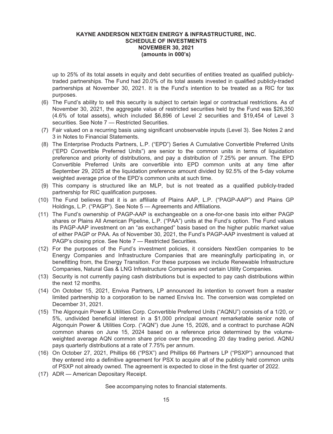up to 25% of its total assets in equity and debt securities of entities treated as qualified publiclytraded partnerships. The Fund had 20.0% of its total assets invested in qualified publicly-traded partnerships at November 30, 2021. It is the Fund's intention to be treated as a RIC for tax purposes.

- (6) The Fund's ability to sell this security is subject to certain legal or contractual restrictions. As of November 30, 2021, the aggregate value of restricted securities held by the Fund was \$26,350 (4.6% of total assets), which included \$6,896 of Level 2 securities and \$19,454 of Level 3 securities. See Note 7 - Restricted Securities.
- (7) Fair valued on a recurring basis using significant unobservable inputs (Level 3). See Notes 2 and 3 in Notes to Financial Statements.
- (8) The Enterprise Products Partners, L.P. ("EPD") Series A Cumulative Convertible Preferred Units ("EPD Convertible Preferred Units") are senior to the common units in terms of liquidation preference and priority of distributions, and pay a distribution of 7.25% per annum. The EPD Convertible Preferred Units are convertible into EPD common units at any time after September 29, 2025 at the liquidation preference amount divided by 92.5% of the 5-day volume weighted average price of the EPD's common units at such time.
- (9) This company is structured like an MLP, but is not treated as a qualified publicly-traded partnership for RIC qualification purposes.
- (10) The Fund believes that it is an affiliate of Plains AAP, L.P. ("PAGP-AAP") and Plains GP Holdings, L.P. ("PAGP"). See Note 5 — Agreements and Affiliations.
- (11) The Fund's ownership of PAGP-AAP is exchangeable on a one-for-one basis into either PAGP shares or Plains All American Pipeline, L.P. ("PAA") units at the Fund's option. The Fund values its PAGP-AAP investment on an "as exchanged" basis based on the higher public market value of either PAGP or PAA. As of November 30, 2021, the Fund's PAGP-AAP investment is valued at PAGP's closing price. See Note 7 — Restricted Securities.
- (12) For the purposes of the Fund's investment policies, it considers NextGen companies to be Energy Companies and Infrastructure Companies that are meaningfully participating in, or benefitting from, the Energy Transition. For these purposes we include Renewable Infrastructure Companies, Natural Gas & LNG Infrastructure Companies and certain Utility Companies.
- (13) Security is not currently paying cash distributions but is expected to pay cash distributions within the next 12 months.
- (14) On October 15, 2021, Enviva Partners, LP announced its intention to convert from a master limited partnership to a corporation to be named Enviva Inc. The conversion was completed on December 31, 2021.
- (15) The Algonquin Power & Utilities Corp. Convertible Preferred Units ("AQNU") consists of a 1/20, or 5%, undivided beneficial interest in a \$1,000 principal amount remarketable senior note of Algonquin Power & Utilities Corp. ("AQN") due June 15, 2026, and a contract to purchase AQN common shares on June 15, 2024 based on a reference price determined by the volumeweighted average AQN common share price over the preceding 20 day trading period. AQNU pays quarterly distributions at a rate of 7.75% per annum.
- (16) On October 27, 2021, Phillips 66 ("PSX") and Phillips 66 Partners LP ("PSXP") announced that they entered into a definitive agreement for PSX to acquire all of the publicly held common units of PSXP not already owned. The agreement is expected to close in the first quarter of 2022.
- (17) ADR American Depositary Receipt.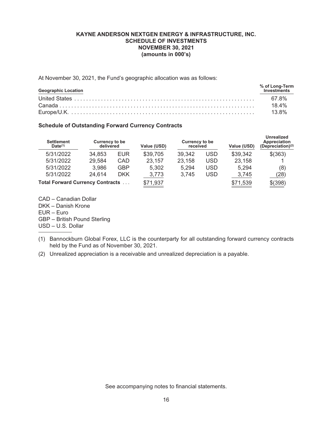At November 30, 2021, the Fund's geographic allocation was as follows:

| <b>Geographic Location</b> | % of Long-Term<br>Investments |
|----------------------------|-------------------------------|
|                            |                               |
|                            | 18.4%                         |
|                            | 13.8%                         |

# **Schedule of Outstanding Forward Currency Contracts**

| <b>Settlement</b><br>$Date^{(1)}$       | <b>Currency to be</b><br>delivered |            | Value (USD) | Currency to be<br>received |            | Value (USD) | <b>Unrealized</b><br>Appreciation<br>(Depreciation) $(2)$ |
|-----------------------------------------|------------------------------------|------------|-------------|----------------------------|------------|-------------|-----------------------------------------------------------|
| 5/31/2022                               | 34.853                             | <b>EUR</b> | \$39,705    | 39.342                     | <b>USD</b> | \$39,342    | \$(363)                                                   |
| 5/31/2022                               | 29,584                             | CAD        | 23,157      | 23,158                     | <b>USD</b> | 23,158      |                                                           |
| 5/31/2022                               | 3,986                              | <b>GBP</b> | 5.302       | 5.294                      | <b>USD</b> | 5.294       | (8)                                                       |
| 5/31/2022                               | 24,614                             | <b>DKK</b> | 3,773       | 3,745                      | USD        | 3,745       | (28)                                                      |
| <b>Total Forward Currency Contracts</b> |                                    |            | \$71,937    |                            |            | \$71,539    | \$(398)                                                   |

CAD – Canadian Dollar DKK – Danish Krone EUR – Euro GBP – British Pound Sterling USD – U.S. Dollar

- (1) Bannockburn Global Forex, LLC is the counterparty for all outstanding forward currency contracts held by the Fund as of November 30, 2021.
- (2) Unrealized appreciation is a receivable and unrealized depreciation is a payable.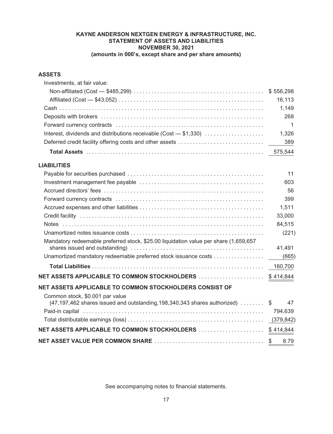# **KAYNE ANDERSON NEXTGEN ENERGY & INFRASTRUCTURE, INC. STATEMENT OF ASSETS AND LIABILITIES NOVEMBER 30, 2021 (amounts in 000's, except share and per share amounts)**

# <span id="page-18-0"></span>**ASSETS**

| Investments, at fair value:                                                          |            |
|--------------------------------------------------------------------------------------|------------|
|                                                                                      | \$556,298  |
|                                                                                      | 16,113     |
|                                                                                      | 1,149      |
|                                                                                      | 268        |
|                                                                                      | 1          |
| Interest, dividends and distributions receivable (Cost - \$1,330)                    | 1,326      |
| Deferred credit facility offering costs and other assets                             | 389        |
|                                                                                      | 575,544    |
| <b>LIABILITIES</b>                                                                   |            |
|                                                                                      | 11         |
|                                                                                      | 603        |
|                                                                                      | 56         |
|                                                                                      | 399        |
|                                                                                      | 1,511      |
|                                                                                      | 33,000     |
|                                                                                      | 84,515     |
|                                                                                      | (221)      |
| Mandatory redeemable preferred stock, \$25.00 liquidation value per share (1,659,657 | 41,491     |
| Unamortized mandatory redeemable preferred stock issuance costs                      | (665)      |
|                                                                                      | 160,700    |
| NET ASSETS APPLICABLE TO COMMON STOCKHOLDERS                                         | \$414,844  |
| NET ASSETS APPLICABLE TO COMMON STOCKHOLDERS CONSIST OF                              |            |
| Common stock, \$0.001 par value                                                      |            |
| (47,197,462 shares issued and outstanding, 198, 340, 343 shares authorized)          | 47<br>S.   |
|                                                                                      | 794,639    |
|                                                                                      | (379,842)  |
|                                                                                      | \$414,844  |
|                                                                                      | 8.79<br>\$ |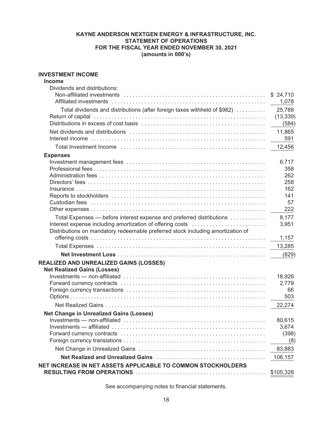# **KAYNE ANDERSON NEXTGEN ENERGY & INFRASTRUCTURE, INC. STATEMENT OF OPERATIONS FOR THE FISCAL YEAR ENDED NOVEMBER 30, 2021 (amounts in 000's)**

# <span id="page-19-0"></span>**INVESTMENT INCOME**

| <b>Income</b>                                                                                                                                                                                                                  |                    |
|--------------------------------------------------------------------------------------------------------------------------------------------------------------------------------------------------------------------------------|--------------------|
| Dividends and distributions:                                                                                                                                                                                                   |                    |
|                                                                                                                                                                                                                                | \$24,710<br>1,078  |
| Total dividends and distributions (after foreign taxes withheld of \$982)                                                                                                                                                      | 25,788             |
|                                                                                                                                                                                                                                | (13, 339)<br>(584) |
|                                                                                                                                                                                                                                | 11,865<br>591      |
| Total Investment Income (and the content of the content of the content of the content of the content of the content of the content of the content of the content of the content of the content of the content of the content o | 12,456             |
| <b>Expenses</b>                                                                                                                                                                                                                |                    |
|                                                                                                                                                                                                                                | 6,717              |
|                                                                                                                                                                                                                                | 358                |
|                                                                                                                                                                                                                                | 262                |
|                                                                                                                                                                                                                                | 258                |
|                                                                                                                                                                                                                                | 162                |
|                                                                                                                                                                                                                                | 141                |
|                                                                                                                                                                                                                                | 57<br>222          |
|                                                                                                                                                                                                                                |                    |
| Total Expenses - before interest expense and preferred distributions<br>Interest expense including amortization of offering costs<br>Distributions on mandatory redeemable preferred stock including amortization of           | 8,177<br>3,951     |
|                                                                                                                                                                                                                                | 1,157              |
|                                                                                                                                                                                                                                |                    |
|                                                                                                                                                                                                                                | 13,285             |
|                                                                                                                                                                                                                                | (829)              |
| <b>REALIZED AND UNREALIZED GAINS (LOSSES)</b>                                                                                                                                                                                  |                    |
| <b>Net Realized Gains (Losses)</b>                                                                                                                                                                                             |                    |
|                                                                                                                                                                                                                                | 18,926<br>2,779    |
|                                                                                                                                                                                                                                | 66                 |
|                                                                                                                                                                                                                                | 503                |
|                                                                                                                                                                                                                                | 22,274             |
|                                                                                                                                                                                                                                |                    |
| <b>Net Change in Unrealized Gains (Losses)</b>                                                                                                                                                                                 |                    |
|                                                                                                                                                                                                                                | 80,615<br>3,674    |
|                                                                                                                                                                                                                                | (398)              |
|                                                                                                                                                                                                                                | (8)                |
|                                                                                                                                                                                                                                | 83,883             |
|                                                                                                                                                                                                                                |                    |
|                                                                                                                                                                                                                                | 106,157            |
| NET INCREASE IN NET ASSETS APPLICABLE TO COMMON STOCKHOLDERS                                                                                                                                                                   | \$105,328          |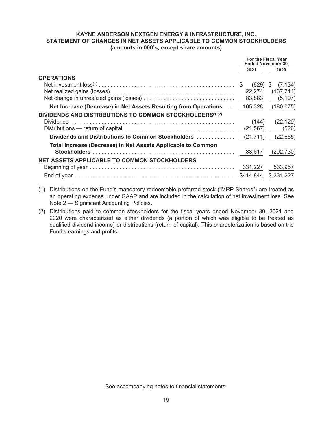# **KAYNE ANDERSON NEXTGEN ENERGY & INFRASTRUCTURE, INC. STATEMENT OF CHANGES IN NET ASSETS APPLICABLE TO COMMON STOCKHOLDERS (amounts in 000's, except share amounts)**

<span id="page-20-0"></span>

|                                                                 | For the Fiscal Year<br>Ended November 30, |                      |
|-----------------------------------------------------------------|-------------------------------------------|----------------------|
|                                                                 | 2021                                      | 2020                 |
| <b>OPERATIONS</b>                                               |                                           |                      |
|                                                                 | S.                                        | $(829)$ \$ $(7,134)$ |
|                                                                 | 22.274                                    | (167, 744)           |
|                                                                 | 83,883                                    | (5, 197)             |
| Net Increase (Decrease) in Net Assets Resulting from Operations | 105,328                                   | (180, 075)           |
| DIVIDENDS AND DISTRIBUTIONS TO COMMON STOCKHOLDERS(1)(2)        |                                           |                      |
| <b>Dividends</b>                                                | (144)                                     | (22, 129)            |
|                                                                 | (21, 567)                                 | (526)                |
|                                                                 |                                           | (22, 655)            |
| Total Increase (Decrease) in Net Assets Applicable to Common    |                                           |                      |
|                                                                 | 83,617                                    | (202, 730)           |
| <b>NET ASSETS APPLICABLE TO COMMON STOCKHOLDERS</b>             |                                           |                      |
|                                                                 | 331,227                                   | 533,957              |
|                                                                 | \$414,844                                 | \$331,227            |

(1) Distributions on the Fund's mandatory redeemable preferred stock ("MRP Shares") are treated as an operating expense under GAAP and are included in the calculation of net investment loss. See Note 2 — Significant Accounting Policies.

(2) Distributions paid to common stockholders for the fiscal years ended November 30, 2021 and 2020 were characterized as either dividends (a portion of which was eligible to be treated as qualified dividend income) or distributions (return of capital). This characterization is based on the Fund's earnings and profits.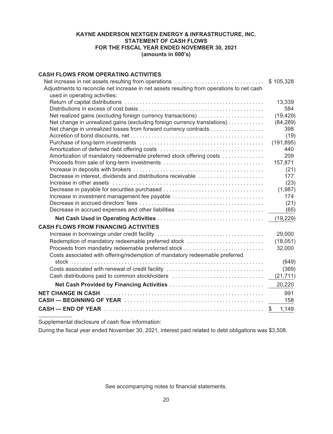# **KAYNE ANDERSON NEXTGEN ENERGY & INFRASTRUCTURE, INC. STATEMENT OF CASH FLOWS FOR THE FISCAL YEAR ENDED NOVEMBER 30, 2021 (amounts in 000's)**

# <span id="page-21-0"></span>**CASH FLOWS FROM OPERATING ACTIVITIES**

| Net increase in net assets resulting from operations                                                                       | \$105,328   |
|----------------------------------------------------------------------------------------------------------------------------|-------------|
| Adjustments to reconcile net increase in net assets resulting from operations to net cash<br>used in operating activities: |             |
|                                                                                                                            | 13,339      |
|                                                                                                                            | 584         |
| Net realized gains (excluding foreign currency transactions)                                                               | (19, 429)   |
| Net change in unrealized gains (excluding foreign currency translations)                                                   | (84, 289)   |
| Net change in unrealized losses from forward currency contracts                                                            | 398         |
|                                                                                                                            | (19)        |
|                                                                                                                            | (191, 895)  |
|                                                                                                                            | 440         |
| Amortization of mandatory redeemable preferred stock offering costs                                                        | 209         |
|                                                                                                                            | 157,871     |
|                                                                                                                            | (21)        |
| Decrease in interest, dividends and distributions receivable                                                               | 177         |
|                                                                                                                            | (23)        |
| Decrease in payable for securities purchased                                                                               | (1,987)     |
| Increase in investment management fee payable                                                                              | 174         |
|                                                                                                                            | (21)        |
| Decrease in accrued expenses and other liabilities                                                                         | (65)        |
|                                                                                                                            | (19, 229)   |
| <b>CASH FLOWS FROM FINANCING ACTIVITIES</b>                                                                                |             |
|                                                                                                                            | 29,000      |
| Redemption of mandatory redeemable preferred stock                                                                         | (18,051)    |
| Proceeds from mandatiry redeemable preferred stock                                                                         | 32,000      |
| Costs associated with offering/redemption of mandatory redeemable preferred                                                | (649)       |
| Costs associated with renewal of credit facility                                                                           | (369)       |
| Cash distributions paid to common stockholders                                                                             | (21, 711)   |
|                                                                                                                            | 20,220      |
|                                                                                                                            | 991         |
|                                                                                                                            | 158         |
|                                                                                                                            | 1,149<br>\$ |
|                                                                                                                            |             |

Supplemental disclosure of cash flow information:

During the fiscal year ended November 30, 2021, interest paid related to debt obligations was \$3,508.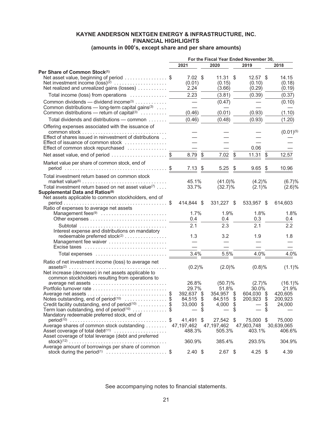# **KAYNE ANDERSON NEXTGEN ENERGY & INFRASTRUCTURE, INC. FINANCIAL HIGHLIGHTS**

# **(amounts in 000's, except share and per share amounts)**

<span id="page-22-0"></span>

|                                                                                                                                                                                                                                                                                      | For the Fiscal Year Ended November 30,              |          |                                                      |                |                                                           |                                                     |
|--------------------------------------------------------------------------------------------------------------------------------------------------------------------------------------------------------------------------------------------------------------------------------------|-----------------------------------------------------|----------|------------------------------------------------------|----------------|-----------------------------------------------------------|-----------------------------------------------------|
|                                                                                                                                                                                                                                                                                      | 2021                                                |          | 2020                                                 |                | 2019                                                      | 2018                                                |
| Per Share of Common Stock(1)<br>Net asset value, beginning of period \$<br>Net investment income $(\text{loss})^{(2)}$<br>Net realized and unrealized gains (losses)                                                                                                                 | $7.02 \text{ } $$<br>(0.01)<br>2.24                 |          | 11.31<br>(0.15)<br>(3.66)                            | S              | $12.57$ \$<br>(0.10)<br>(0.29)                            | 14.15<br>(0.18)<br>(0.19)                           |
| Total income (loss) from operations                                                                                                                                                                                                                                                  | 2.23                                                |          | (3.81)                                               |                | (0.39)                                                    | (0.37)                                              |
| Common dividends — dividend income <sup>(3)</sup> $\ldots$ ,,,,,,,,,<br>Common distributions — long-term capital gains $(3)$<br>Common distributions — return of capital <sup>(3)</sup> $\ldots \ldots \ldots$                                                                       | $\overline{\phantom{0}}$<br>(0.46)                  |          | (0.47)<br>(0.01)                                     |                | (0.93)                                                    | (0.10)<br>(1.10)                                    |
| Total dividends and distributions - common                                                                                                                                                                                                                                           | (0.46)                                              |          | (0.48)                                               |                | (0.93)                                                    | (1.20)                                              |
| Offering expenses associated with the issuance of<br>Effect of shares issued in reinvestment of distributions<br>Effect of issuance of common stock<br>Effect of common stock repurchased                                                                                            |                                                     |          |                                                      |                | 0.06                                                      | $(0.01)^{(5)}$                                      |
| Net asset value, end of period \$                                                                                                                                                                                                                                                    | 8.79                                                | \$       | 7.02                                                 | \$             | 11.31<br>\$                                               | 12.57                                               |
| Market value per share of common stock, end of                                                                                                                                                                                                                                       | 7.13                                                | \$       | 5.25                                                 | \$             | 9.65<br>\$                                                | 10.96                                               |
| Total investment return based on common stock<br>Total investment return based on net asset value <sup>(7)</sup><br>Supplemental Data and Ratios <sup>(8)</sup><br>Net assets applicable to common stockholders, end of                                                              | 45.1%<br>33.7%                                      |          | $(41.0)\%$<br>$(32.7)\%$                             |                | $(4.2)\%$<br>$(2.1)\%$                                    | (6.7)%<br>(2.6)%                                    |
| Ratio of expenses to average net assets                                                                                                                                                                                                                                              | 414,844 \$                                          |          | 331,227 \$                                           |                | 533,957 \$                                                | 614,603                                             |
| Management fees <sup>(9)</sup>                                                                                                                                                                                                                                                       | 1.7%<br>0.4                                         |          | 1.9%<br>0.4                                          |                | 1.8%<br>0.3                                               | 1.8%<br>0.4                                         |
| Subtotal<br>Interest expense and distributions on mandatory<br>redeemable preferred stock <sup>(2)</sup>                                                                                                                                                                             | 2.1<br>1.3                                          |          | 2.3<br>3.2                                           |                | 2.1<br>1.9                                                | 2.2<br>1.8                                          |
| Management fee waiver<br>Excise taxes                                                                                                                                                                                                                                                |                                                     |          |                                                      |                |                                                           |                                                     |
| Total expenses                                                                                                                                                                                                                                                                       | 3.4%                                                |          | 5.5%                                                 |                | 4.0%                                                      | 4.0%                                                |
| Ratio of net investment income (loss) to average net<br>$assets^{(2)} \ldots \ldots \ldots \ldots \ldots \ldots \ldots \ldots \ldots \ldots \ldots \ldots$<br>Net increase (decrease) in net assets applicable to                                                                    | (0.2)%                                              |          | $(2.0)\%$                                            |                | (0.8)%                                                    | $(1.1)\%$                                           |
| common stockholders resulting from operations to<br>average net assets<br>Notes outstanding, end of period <sup>(10)</sup> \$<br>Credit facility outstanding, end of period(10) \$<br>Term loan outstanding, end of period $(10)$ \$<br>Mandatory redeemable preferred stock, end of | 26.8%<br>29.7%<br>392,637 \$<br>84,515<br>33,000 \$ | \$<br>\$ | $(50.7)\%$<br>51.8%<br>354,957 \$<br>84,515<br>4,000 | \$<br>\$<br>\$ | (2.7)%<br>30.0%<br>604,030 \$<br>200,923 \$<br>— \$<br>\$ | $(16.1)\%$<br>21.9%<br>420,605<br>200,923<br>24,000 |
| Average shares of common stock outstanding<br>Asset coverage of total debt <sup>(11)</sup>                                                                                                                                                                                           | 41,491 \$<br>47,197,462<br>488.3%                   |          | 27,542 \$<br>47,197,462<br>505.3%                    |                | 75,000 \$<br>47,903,748<br>403.1%                         | 75,000<br>30,639,065<br>406.6%                      |
| Asset coverage of total leverage (debt and preferred                                                                                                                                                                                                                                 | 360.9%                                              |          | 385.4%                                               |                | 293.5%                                                    | 304.9%                                              |
| Average amount of borrowings per share of common<br>stock during the period <sup>(1)</sup> \$                                                                                                                                                                                        | $2.40$ \$                                           |          | $2.67$ \$                                            |                | 4.25 \$                                                   | 4.39                                                |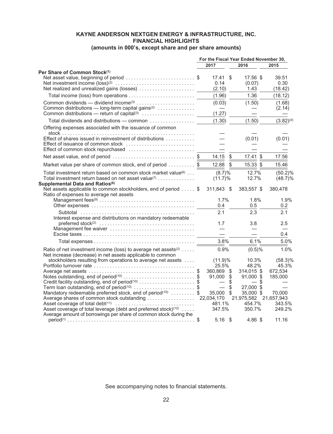# **KAYNE ANDERSON NEXTGEN ENERGY & INFRASTRUCTURE, INC. FINANCIAL HIGHLIGHTS**

# **(amounts in 000's, except share and per share amounts)**

|                                                                                                                                                                                                        | For the Fiscal Year Ended November 30, |                                              |              |                                                 |                                |
|--------------------------------------------------------------------------------------------------------------------------------------------------------------------------------------------------------|----------------------------------------|----------------------------------------------|--------------|-------------------------------------------------|--------------------------------|
|                                                                                                                                                                                                        |                                        | 2017                                         |              | 2016                                            | 2015                           |
| Per Share of Common Stock(1)<br>Net asset value, beginning of period \$<br>Net realized and unrealized gains (losses)                                                                                  |                                        | 17.41 \$<br>0.14<br>(2.10)                   |              | 17.56 \$<br>(0.07)<br>1.43                      | 39.51<br>0.30<br>(18.42)       |
|                                                                                                                                                                                                        |                                        | (1.96)                                       |              | 1.36                                            | (18.12)                        |
| Common dividends — dividend income <sup>(3)</sup><br>Common distributions — long-term capital gains <sup>(3)</sup> $\ldots$                                                                            |                                        | (0.03)<br>$\overline{\phantom{m}}$<br>(1.27) |              | (1.50)                                          | (1.68)<br>(2.14)               |
| Total dividends and distributions - common                                                                                                                                                             |                                        | (1.30)                                       |              | (1.50)                                          | $(3.82)^{(4)}$                 |
| Offering expenses associated with the issuance of common                                                                                                                                               |                                        |                                              |              |                                                 |                                |
| Effect of shares issued in reinvestment of distributions<br>Effect of issuance of common stock                                                                                                         |                                        |                                              |              | (0.01)                                          | (0.01)                         |
| Net asset value, end of period \$                                                                                                                                                                      |                                        | 14.15                                        | -\$          | $17.41$ \$                                      | 17.56                          |
| Market value per share of common stock, end of period \$                                                                                                                                               |                                        | 12.88 \$                                     |              | 15.33 \$                                        | 15.46                          |
| Total investment return based on common stock market value <sup>(6)</sup><br>Total investment return based on net asset value(7) $\dots\dots\dots\dots$<br>Supplemental Data and Ratios <sup>(8)</sup> |                                        | $(8.7)\%$<br>$(11.7)\%$                      |              | 12.7%<br>12.7%                                  | $(50.2)\%$<br>$(48.7)\%$       |
| Net assets applicable to common stockholders, end of period  \$<br>Ratio of expenses to average net assets                                                                                             |                                        | 311,843 \$                                   |              | 383,557 \$                                      | 380,478                        |
|                                                                                                                                                                                                        |                                        | 1.7%<br>0.4                                  |              | 1.8%<br>0.5                                     | 1.9%<br>0.2                    |
| Interest expense and distributions on mandatory redeemable                                                                                                                                             |                                        | 2.1                                          |              | 2.3                                             | 2.1                            |
| Management fee waiver                                                                                                                                                                                  |                                        | 1.7                                          |              | 3.8<br>$\overline{\phantom{0}}$                 | 2.5                            |
|                                                                                                                                                                                                        |                                        |                                              |              |                                                 | 0.4                            |
|                                                                                                                                                                                                        |                                        | 3.8%                                         |              | 6.1%                                            | 5.0%                           |
| Ratio of net investment income (loss) to average net assets <sup>(2)</sup><br>Net increase (decrease) in net assets applicable to common                                                               |                                        | $0.9\%$                                      |              | $(0.5)\%$                                       | 1.0%                           |
| stockholders resulting from operations to average net assets                                                                                                                                           |                                        | $(11.9)\%$<br>25.5%<br>360,869 \$            |              | 10.3%<br>48.2%<br>314,015 \$                    | $(58.3)\%$<br>45.3%<br>672,534 |
| Notes outstanding, end of period <sup>(10)</sup> \$<br>Credit facility outstanding, end of period <sup>(10)</sup> \$                                                                                   |                                        | 91,000 \$                                    | $\ddot{\$}$  | 91,000 \$<br>$-$ \$                             | 185,000                        |
| Term loan outstanding, end of period <sup>(10)</sup> \$<br>Mandatory redeemable preferred stock, end of period(10)  \$<br>Average shares of common stock outstanding                                   |                                        | 35,000 \$<br>22,034,170                      | $\mathbb{S}$ | 27,000 \$<br>35,000 \$<br>21,975,582 21,657,943 | 70,000                         |
| Asset coverage of total leverage (debt and preferred stock) <sup>(12)</sup><br>Average amount of borrowings per share of common stock during the                                                       |                                        | 481.1%<br>347.5%                             |              | 454.7%<br>350.7%                                | 343.5%<br>249.2%               |
|                                                                                                                                                                                                        |                                        | $5.16$ \$                                    |              | 4.86 \$                                         | 11.16                          |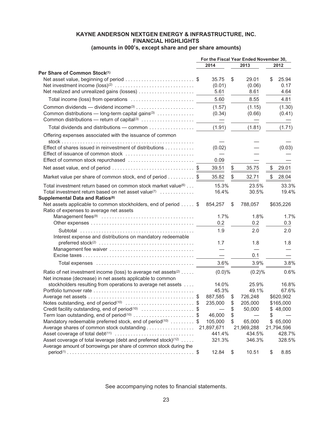# **KAYNE ANDERSON NEXTGEN ENERGY & INFRASTRUCTURE, INC. FINANCIAL HIGHLIGHTS (amounts in 000's, except share and per share amounts)**

|                                                                                                                                                          |                                              |               | For the Fiscal Year Ended November 30, |    |                       |
|----------------------------------------------------------------------------------------------------------------------------------------------------------|----------------------------------------------|---------------|----------------------------------------|----|-----------------------|
|                                                                                                                                                          | 2014                                         |               | 2013                                   |    | 2012                  |
| Per Share of Common Stock(1)<br>Net asset value, beginning of period \$                                                                                  | 35.75<br>(0.01)                              | \$            | 29.01<br>(0.06)<br>8.61                | \$ | 25.94<br>0.17<br>4.64 |
|                                                                                                                                                          | 5.61                                         |               |                                        |    |                       |
|                                                                                                                                                          | 5.60                                         |               | 8.55                                   |    | 4.81                  |
| Common distributions — long-term capital gains <sup>(3)</sup><br>Common distributions — return of capital <sup>(3)</sup>                                 | (1.57)<br>(0.34)<br>$\overline{\phantom{0}}$ |               | (1.15)<br>(0.66)                       |    | (1.30)<br>(0.41)      |
| Total dividends and distributions - common                                                                                                               | (1.91)                                       |               | (1.81)                                 |    | (1.71)                |
| Offering expenses associated with the issuance of common                                                                                                 |                                              |               |                                        |    |                       |
| Effect of shares issued in reinvestment of distributions<br>Effect of issuance of common stock                                                           | (0.02)                                       |               |                                        |    | (0.03)                |
| Effect of common stock repurchased                                                                                                                       | 0.09                                         |               |                                        |    |                       |
| Net asset value, end of period \$                                                                                                                        | 39.51                                        | \$            | 35.75                                  | \$ | 29.01                 |
| Market value per share of common stock, end of period \$                                                                                                 | 35.82                                        | \$            | 32.71                                  | S. | 28.04                 |
| Total investment return based on common stock market value <sup>(6)</sup><br>Total investment return based on net asset value <sup>(7)</sup>             | 15.3%<br>16.4%                               |               | 23.5%<br>30.5%                         |    | 33.3%<br>19.4%        |
| Supplemental Data and Ratios <sup>(8)</sup><br>Net assets applicable to common stockholders, end of period \$<br>Ratio of expenses to average net assets | 854,257                                      | \$            | 788,057                                |    | \$635,226             |
|                                                                                                                                                          | 1.7%<br>0.2                                  |               | 1.8%<br>0.2                            |    | 1.7%<br>0.3           |
| Interest expense and distributions on mandatory redeemable                                                                                               | 1.9                                          |               | 2.0                                    |    | 2.0                   |
|                                                                                                                                                          | 1.7                                          |               | 1.8                                    |    | 1.8                   |
|                                                                                                                                                          |                                              |               |                                        |    |                       |
|                                                                                                                                                          |                                              |               | 0.1                                    |    |                       |
|                                                                                                                                                          | 3.6%                                         |               | 3.9%                                   |    | 3.8%                  |
| Ratio of net investment income (loss) to average net assets <sup>(2)</sup><br>Net increase (decrease) in net assets applicable to common                 | $(0.0)\%$                                    |               | (0.2)%                                 |    | 0.6%                  |
| stockholders resulting from operations to average net assets                                                                                             | 14.0%                                        |               | 25.9%                                  |    | 16.8%                 |
|                                                                                                                                                          | 45.3%                                        |               | 49.1%                                  |    | 67.6%                 |
|                                                                                                                                                          | 887,585                                      | \$            | 726,248                                |    | \$620,902             |
| Notes outstanding, end of period <sup>(10)</sup> \$                                                                                                      | 235,000                                      | \$            | 205,000                                |    | \$165,000             |
| Credit facility outstanding, end of period(10) \$                                                                                                        |                                              | \$            | 50,000                                 |    | \$48,000              |
| Term loan outstanding, end of period <sup>(10)</sup> \$                                                                                                  | 46,000                                       | \$            |                                        | \$ |                       |
| Mandatory redeemable preferred stock, end of period(10)  \$                                                                                              | 105,000                                      | \$            | 65,000                                 |    | \$65,000              |
| Average shares of common stock outstanding                                                                                                               | 21,897,671                                   |               | 21,969,288                             |    | 21,794,596            |
| Asset coverage of total leverage (debt and preferred stock) <sup>(12)</sup><br>Average amount of borrowings per share of common stock during the         | 441.4%<br>321.3%                             |               | 434.5%<br>346.3%                       |    | 428.7%<br>328.5%      |
|                                                                                                                                                          | 12.84                                        | $\frac{1}{2}$ | 10.51                                  | \$ | 8.85                  |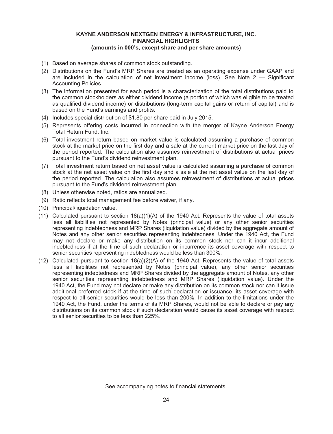# **KAYNE ANDERSON NEXTGEN ENERGY & INFRASTRUCTURE, INC. FINANCIAL HIGHLIGHTS (amounts in 000's, except share and per share amounts)**

- (1) Based on average shares of common stock outstanding.
- (2) Distributions on the Fund's MRP Shares are treated as an operating expense under GAAP and are included in the calculation of net investment income (loss). See Note  $2 -$  Significant Accounting Policies.
- (3) The information presented for each period is a characterization of the total distributions paid to the common stockholders as either dividend income (a portion of which was eligible to be treated as qualified dividend income) or distributions (long-term capital gains or return of capital) and is based on the Fund's earnings and profits.
- (4) Includes special distribution of \$1.80 per share paid in July 2015.
- (5) Represents offering costs incurred in connection with the merger of Kayne Anderson Energy Total Return Fund, Inc.
- (6) Total investment return based on market value is calculated assuming a purchase of common stock at the market price on the first day and a sale at the current market price on the last day of the period reported. The calculation also assumes reinvestment of distributions at actual prices pursuant to the Fund's dividend reinvestment plan.
- (7) Total investment return based on net asset value is calculated assuming a purchase of common stock at the net asset value on the first day and a sale at the net asset value on the last day of the period reported. The calculation also assumes reinvestment of distributions at actual prices pursuant to the Fund's dividend reinvestment plan.
- (8) Unless otherwise noted, ratios are annualized.
- (9) Ratio reflects total management fee before waiver, if any.
- (10) Principal/liquidation value.
- (11) Calculated pursuant to section 18(a)(1)(A) of the 1940 Act. Represents the value of total assets less all liabilities not represented by Notes (principal value) or any other senior securities representing indebtedness and MRP Shares (liquidation value) divided by the aggregate amount of Notes and any other senior securities representing indebtedness. Under the 1940 Act, the Fund may not declare or make any distribution on its common stock nor can it incur additional indebtedness if at the time of such declaration or incurrence its asset coverage with respect to senior securities representing indebtedness would be less than 300%.
- (12) Calculated pursuant to section 18(a)(2)(A) of the 1940 Act. Represents the value of total assets less all liabilities not represented by Notes (principal value), any other senior securities representing indebtedness and MRP Shares divided by the aggregate amount of Notes, any other senior securities representing indebtedness and MRP Shares (liquidation value). Under the 1940 Act, the Fund may not declare or make any distribution on its common stock nor can it issue additional preferred stock if at the time of such declaration or issuance, its asset coverage with respect to all senior securities would be less than 200%. In addition to the limitations under the 1940 Act, the Fund, under the terms of its MRP Shares, would not be able to declare or pay any distributions on its common stock if such declaration would cause its asset coverage with respect to all senior securities to be less than 225%.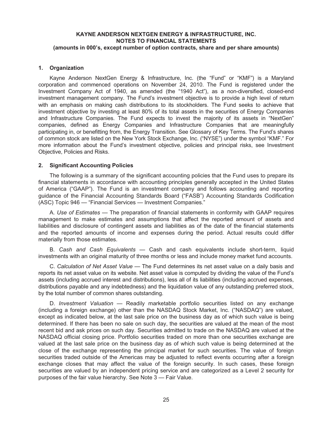#### <span id="page-26-0"></span>**1. Organization**

Kayne Anderson NextGen Energy & Infrastructure, Inc. (the "Fund" or "KMF") is a Maryland corporation and commenced operations on November 24, 2010. The Fund is registered under the Investment Company Act of 1940, as amended (the "1940 Act"), as a non-diversified, closed-end investment management company. The Fund's investment objective is to provide a high level of return with an emphasis on making cash distributions to its stockholders. The Fund seeks to achieve that investment objective by investing at least 80% of its total assets in the securities of Energy Companies and Infrastructure Companies. The Fund expects to invest the majority of its assets in "NextGen" companies, defined as Energy Companies and Infrastructure Companies that are meaningfully participating in, or benefitting from, the Energy Transition. See Glossary of Key Terms. The Fund's shares of common stock are listed on the New York Stock Exchange, Inc. ("NYSE") under the symbol "KMF." For more information about the Fund's investment objective, policies and principal risks, see Investment Objective, Policies and Risks.

#### **2. Significant Accounting Policies**

The following is a summary of the significant accounting policies that the Fund uses to prepare its financial statements in accordance with accounting principles generally accepted in the United States of America ("GAAP"). The Fund is an investment company and follows accounting and reporting guidance of the Financial Accounting Standards Board ("FASB") Accounting Standards Codification (ASC) Topic 946 — "Financial Services — Investment Companies."

A. *Use of Estimates* — The preparation of financial statements in conformity with GAAP requires management to make estimates and assumptions that affect the reported amount of assets and liabilities and disclosure of contingent assets and liabilities as of the date of the financial statements and the reported amounts of income and expenses during the period. Actual results could differ materially from those estimates.

B. *Cash and Cash Equivalents* — Cash and cash equivalents include short-term, liquid investments with an original maturity of three months or less and include money market fund accounts.

C. *Calculation of Net Asset Value* — The Fund determines its net asset value on a daily basis and reports its net asset value on its website. Net asset value is computed by dividing the value of the Fund's assets (including accrued interest and distributions), less all of its liabilities (including accrued expenses, distributions payable and any indebtedness) and the liquidation value of any outstanding preferred stock, by the total number of common shares outstanding.

D. *Investment Valuation* — Readily marketable portfolio securities listed on any exchange (including a foreign exchange) other than the NASDAQ Stock Market, Inc. ("NASDAQ") are valued, except as indicated below, at the last sale price on the business day as of which such value is being determined. If there has been no sale on such day, the securities are valued at the mean of the most recent bid and ask prices on such day. Securities admitted to trade on the NASDAQ are valued at the NASDAQ official closing price. Portfolio securities traded on more than one securities exchange are valued at the last sale price on the business day as of which such value is being determined at the close of the exchange representing the principal market for such securities. The value of foreign securities traded outside of the Americas may be adjusted to reflect events occurring after a foreign exchange closes that may affect the value of the foreign security. In such cases, these foreign securities are valued by an independent pricing service and are categorized as a Level 2 security for purposes of the fair value hierarchy. See Note 3 — Fair Value.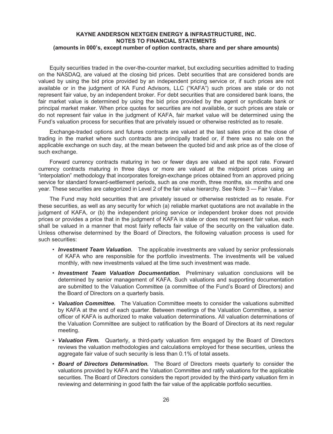Equity securities traded in the over-the-counter market, but excluding securities admitted to trading on the NASDAQ, are valued at the closing bid prices. Debt securities that are considered bonds are valued by using the bid price provided by an independent pricing service or, if such prices are not available or in the judgment of KA Fund Advisors, LLC ("KAFA") such prices are stale or do not represent fair value, by an independent broker. For debt securities that are considered bank loans, the fair market value is determined by using the bid price provided by the agent or syndicate bank or principal market maker. When price quotes for securities are not available, or such prices are stale or do not represent fair value in the judgment of KAFA, fair market value will be determined using the Fund's valuation process for securities that are privately issued or otherwise restricted as to resale.

Exchange-traded options and futures contracts are valued at the last sales price at the close of trading in the market where such contracts are principally traded or, if there was no sale on the applicable exchange on such day, at the mean between the quoted bid and ask price as of the close of such exchange.

Forward currency contracts maturing in two or fewer days are valued at the spot rate. Forward currency contracts maturing in three days or more are valued at the midpoint prices using an "interpolation" methodology that incorporates foreign-exchange prices obtained from an approved pricing service for standard forward-settlement periods, such as one month, three months, six months and one year. These securities are categorized in Level 2 of the fair value hierarchy. See Note 3 — Fair Value.

The Fund may hold securities that are privately issued or otherwise restricted as to resale. For these securities, as well as any security for which (a) reliable market quotations are not available in the judgment of KAFA, or (b) the independent pricing service or independent broker does not provide prices or provides a price that in the judgment of KAFA is stale or does not represent fair value, each shall be valued in a manner that most fairly reflects fair value of the security on the valuation date. Unless otherwise determined by the Board of Directors, the following valuation process is used for such securities:

- *Investment Team Valuation.* The applicable investments are valued by senior professionals of KAFA who are responsible for the portfolio investments. The investments will be valued monthly, with new investments valued at the time such investment was made.
- *Investment Team Valuation Documentation.* Preliminary valuation conclusions will be determined by senior management of KAFA. Such valuations and supporting documentation are submitted to the Valuation Committee (a committee of the Fund's Board of Directors) and the Board of Directors on a quarterly basis.
- *Valuation Committee.* The Valuation Committee meets to consider the valuations submitted by KAFA at the end of each quarter. Between meetings of the Valuation Committee, a senior officer of KAFA is authorized to make valuation determinations. All valuation determinations of the Valuation Committee are subject to ratification by the Board of Directors at its next regular meeting.
- *Valuation Firm.* Quarterly, a third-party valuation firm engaged by the Board of Directors reviews the valuation methodologies and calculations employed for these securities, unless the aggregate fair value of such security is less than 0.1% of total assets.
- *Board of Directors Determination.* The Board of Directors meets quarterly to consider the valuations provided by KAFA and the Valuation Committee and ratify valuations for the applicable securities. The Board of Directors considers the report provided by the third-party valuation firm in reviewing and determining in good faith the fair value of the applicable portfolio securities.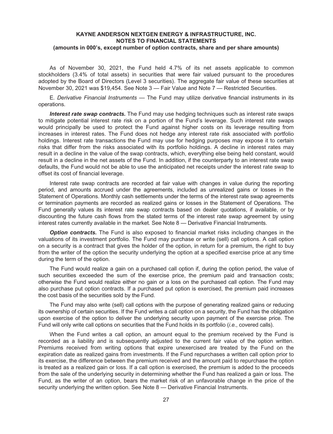As of November 30, 2021, the Fund held 4.7% of its net assets applicable to common stockholders (3.4% of total assets) in securities that were fair valued pursuant to the procedures adopted by the Board of Directors (Level 3 securities). The aggregate fair value of these securities at November 30, 2021 was \$19,454. See Note 3 — Fair Value and Note 7 — Restricted Securities.

E. *Derivative Financial Instruments* — The Fund may utilize derivative financial instruments in its operations.

*Interest rate swap contracts.* The Fund may use hedging techniques such as interest rate swaps to mitigate potential interest rate risk on a portion of the Fund's leverage. Such interest rate swaps would principally be used to protect the Fund against higher costs on its leverage resulting from increases in interest rates. The Fund does not hedge any interest rate risk associated with portfolio holdings. Interest rate transactions the Fund may use for hedging purposes may expose it to certain risks that differ from the risks associated with its portfolio holdings. A decline in interest rates may result in a decline in the value of the swap contracts, which, everything else being held constant, would result in a decline in the net assets of the Fund. In addition, if the counterparty to an interest rate swap defaults, the Fund would not be able to use the anticipated net receipts under the interest rate swap to offset its cost of financial leverage.

Interest rate swap contracts are recorded at fair value with changes in value during the reporting period, and amounts accrued under the agreements, included as unrealized gains or losses in the Statement of Operations. Monthly cash settlements under the terms of the interest rate swap agreements or termination payments are recorded as realized gains or losses in the Statement of Operations. The Fund generally values its interest rate swap contracts based on dealer quotations, if available, or by discounting the future cash flows from the stated terms of the interest rate swap agreement by using interest rates currently available in the market. See Note 8 — Derivative Financial Instruments.

*Option contracts.* The Fund is also exposed to financial market risks including changes in the valuations of its investment portfolio. The Fund may purchase or write (sell) call options. A call option on a security is a contract that gives the holder of the option, in return for a premium, the right to buy from the writer of the option the security underlying the option at a specified exercise price at any time during the term of the option.

The Fund would realize a gain on a purchased call option if, during the option period, the value of such securities exceeded the sum of the exercise price, the premium paid and transaction costs; otherwise the Fund would realize either no gain or a loss on the purchased call option. The Fund may also purchase put option contracts. If a purchased put option is exercised, the premium paid increases the cost basis of the securities sold by the Fund.

The Fund may also write (sell) call options with the purpose of generating realized gains or reducing its ownership of certain securities. If the Fund writes a call option on a security, the Fund has the obligation upon exercise of the option to deliver the underlying security upon payment of the exercise price. The Fund will only write call options on securities that the Fund holds in its portfolio (*i.e.*, covered calls).

When the Fund writes a call option, an amount equal to the premium received by the Fund is recorded as a liability and is subsequently adjusted to the current fair value of the option written. Premiums received from writing options that expire unexercised are treated by the Fund on the expiration date as realized gains from investments. If the Fund repurchases a written call option prior to its exercise, the difference between the premium received and the amount paid to repurchase the option is treated as a realized gain or loss. If a call option is exercised, the premium is added to the proceeds from the sale of the underlying security in determining whether the Fund has realized a gain or loss. The Fund, as the writer of an option, bears the market risk of an unfavorable change in the price of the security underlying the written option. See Note 8 — Derivative Financial Instruments.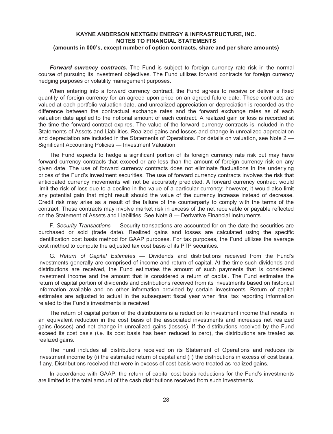*Forward currency contracts.* The Fund is subject to foreign currency rate risk in the normal course of pursuing its investment objectives. The Fund utilizes forward contracts for foreign currency hedging purposes or volatility management purposes.

When entering into a forward currency contract, the Fund agrees to receive or deliver a fixed quantity of foreign currency for an agreed upon price on an agreed future date. These contracts are valued at each portfolio valuation date, and unrealized appreciation or depreciation is recorded as the difference between the contractual exchange rates and the forward exchange rates as of each valuation date applied to the notional amount of each contract. A realized gain or loss is recorded at the time the forward contract expires. The value of the forward currency contracts is included in the Statements of Assets and Liabilities. Realized gains and losses and change in unrealized appreciation and depreciation are included in the Statements of Operations. For details on valuation, see Note 2 — Significant Accounting Policies — Investment Valuation.

The Fund expects to hedge a significant portion of its foreign currency rate risk but may have forward currency contracts that exceed or are less than the amount of foreign currency risk on any given date. The use of forward currency contracts does not eliminate fluctuations in the underlying prices of the Fund's investment securities. The use of forward currency contracts involves the risk that anticipated currency movements will not be accurately predicted. A forward currency contract would limit the risk of loss due to a decline in the value of a particular currency; however, it would also limit any potential gain that might result should the value of the currency increase instead of decrease. Credit risk may arise as a result of the failure of the counterparty to comply with the terms of the contract. These contracts may involve market risk in excess of the net receivable or payable reflected on the Statement of Assets and Liabilities. See Note 8 — Derivative Financial Instruments.

F. *Security Transactions* — Security transactions are accounted for on the date the securities are purchased or sold (trade date). Realized gains and losses are calculated using the specific identification cost basis method for GAAP purposes. For tax purposes, the Fund utilizes the average cost method to compute the adjusted tax cost basis of its PTP securities.

G. *Return of Capital Estimates —* Dividends and distributions received from the Fund's investments generally are comprised of income and return of capital. At the time such dividends and distributions are received, the Fund estimates the amount of such payments that is considered investment income and the amount that is considered a return of capital. The Fund estimates the return of capital portion of dividends and distributions received from its investments based on historical information available and on other information provided by certain investments. Return of capital estimates are adjusted to actual in the subsequent fiscal year when final tax reporting information related to the Fund's investments is received.

The return of capital portion of the distributions is a reduction to investment income that results in an equivalent reduction in the cost basis of the associated investments and increases net realized gains (losses) and net change in unrealized gains (losses). If the distributions received by the Fund exceed its cost basis (*i.e.* its cost basis has been reduced to zero), the distributions are treated as realized gains.

The Fund includes all distributions received on its Statement of Operations and reduces its investment income by (i) the estimated return of capital and (ii) the distributions in excess of cost basis, if any. Distributions received that were in excess of cost basis were treated as realized gains.

In accordance with GAAP, the return of capital cost basis reductions for the Fund's investments are limited to the total amount of the cash distributions received from such investments.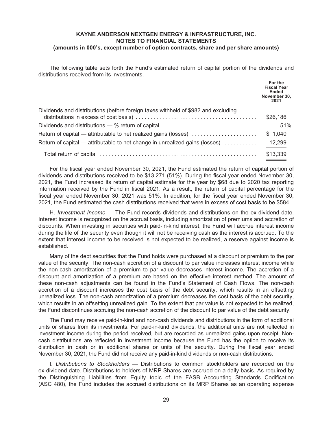The following table sets forth the Fund's estimated return of capital portion of the dividends and distributions received from its investments.

|                                                                                   | For the<br><b>Fiscal Year</b><br><b>Ended</b><br>November 30,<br>2021 |
|-----------------------------------------------------------------------------------|-----------------------------------------------------------------------|
| Dividends and distributions (before foreign taxes withheld of \$982 and excluding | \$26,186                                                              |
| Dividends and distributions — % return of capital                                 | 51%                                                                   |
| Return of capital — attributable to net realized gains (losses)                   | \$1,040                                                               |
| Return of capital — attributable to net change in unrealized gains (losses)       | 12,299                                                                |
|                                                                                   | \$13,339                                                              |

For the fiscal year ended November 30, 2021, the Fund estimated the return of capital portion of dividends and distributions received to be \$13,271 (51%). During the fiscal year ended November 30, 2021, the Fund increased its return of capital estimate for the year by \$68 due to 2020 tax reporting information received by the Fund in fiscal 2021. As a result, the return of capital percentage for the fiscal year ended November 30, 2021 was 51%. In addition, for the fiscal year ended November 30, 2021, the Fund estimated the cash distributions received that were in excess of cost basis to be \$584.

H. *Investment Income* — The Fund records dividends and distributions on the ex-dividend date. Interest income is recognized on the accrual basis, including amortization of premiums and accretion of discounts. When investing in securities with paid-in-kind interest, the Fund will accrue interest income during the life of the security even though it will not be receiving cash as the interest is accrued. To the extent that interest income to be received is not expected to be realized, a reserve against income is established.

Many of the debt securities that the Fund holds were purchased at a discount or premium to the par value of the security. The non-cash accretion of a discount to par value increases interest income while the non-cash amortization of a premium to par value decreases interest income. The accretion of a discount and amortization of a premium are based on the effective interest method. The amount of these non-cash adjustments can be found in the Fund's Statement of Cash Flows. The non-cash accretion of a discount increases the cost basis of the debt security, which results in an offsetting unrealized loss. The non-cash amortization of a premium decreases the cost basis of the debt security, which results in an offsetting unrealized gain. To the extent that par value is not expected to be realized, the Fund discontinues accruing the non-cash accretion of the discount to par value of the debt security.

The Fund may receive paid-in-kind and non-cash dividends and distributions in the form of additional units or shares from its investments. For paid-in-kind dividends, the additional units are not reflected in investment income during the period received, but are recorded as unrealized gains upon receipt. Noncash distributions are reflected in investment income because the Fund has the option to receive its distribution in cash or in additional shares or units of the security. During the fiscal year ended November 30, 2021, the Fund did not receive any paid-in-kind dividends or non-cash distributions.

I. *Distributions to Stockholders* — Distributions to common stockholders are recorded on the ex-dividend date. Distributions to holders of MRP Shares are accrued on a daily basis. As required by the Distinguishing Liabilities from Equity topic of the FASB Accounting Standards Codification (ASC 480), the Fund includes the accrued distributions on its MRP Shares as an operating expense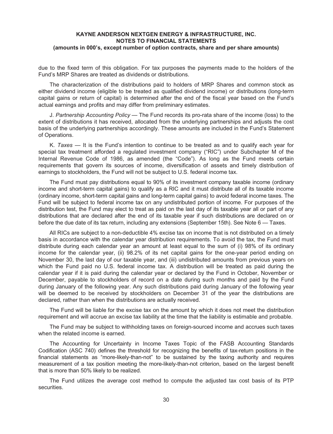due to the fixed term of this obligation. For tax purposes the payments made to the holders of the Fund's MRP Shares are treated as dividends or distributions.

The characterization of the distributions paid to holders of MRP Shares and common stock as either dividend income (eligible to be treated as qualified dividend income) or distributions (long-term capital gains or return of capital) is determined after the end of the fiscal year based on the Fund's actual earnings and profits and may differ from preliminary estimates.

J. *Partnership Accounting Policy* — The Fund records its pro-rata share of the income (loss) to the extent of distributions it has received, allocated from the underlying partnerships and adjusts the cost basis of the underlying partnerships accordingly. These amounts are included in the Fund's Statement of Operations.

K. *Taxes* — It is the Fund's intention to continue to be treated as and to qualify each year for special tax treatment afforded a regulated investment company ("RIC") under Subchapter M of the Internal Revenue Code of 1986, as amended (the "Code"). As long as the Fund meets certain requirements that govern its sources of income, diversification of assets and timely distribution of earnings to stockholders, the Fund will not be subject to U.S. federal income tax.

The Fund must pay distributions equal to 90% of its investment company taxable income (ordinary income and short-term capital gains) to qualify as a RIC and it must distribute all of its taxable income (ordinary income, short-term capital gains and long-term capital gains) to avoid federal income taxes. The Fund will be subject to federal income tax on any undistributed portion of income. For purposes of the distribution test, the Fund may elect to treat as paid on the last day of its taxable year all or part of any distributions that are declared after the end of its taxable year if such distributions are declared on or before the due date of its tax return, including any extensions (September 15th). See Note 6 — Taxes.

All RICs are subject to a non-deductible 4% excise tax on income that is not distributed on a timely basis in accordance with the calendar year distribution requirements. To avoid the tax, the Fund must distribute during each calendar year an amount at least equal to the sum of (i) 98% of its ordinary income for the calendar year, (ii) 98.2% of its net capital gains for the one-year period ending on November 30, the last day of our taxable year, and (iii) undistributed amounts from previous years on which the Fund paid no U.S. federal income tax. A distribution will be treated as paid during the calendar year if it is paid during the calendar year or declared by the Fund in October, November or December, payable to stockholders of record on a date during such months and paid by the Fund during January of the following year. Any such distributions paid during January of the following year will be deemed to be received by stockholders on December 31 of the year the distributions are declared, rather than when the distributions are actually received.

The Fund will be liable for the excise tax on the amount by which it does not meet the distribution requirement and will accrue an excise tax liability at the time that the liability is estimable and probable.

The Fund may be subject to withholding taxes on foreign-sourced income and accrues such taxes when the related income is earned.

The Accounting for Uncertainty in Income Taxes Topic of the FASB Accounting Standards Codification (ASC 740) defines the threshold for recognizing the benefits of tax-return positions in the financial statements as "more-likely-than-not" to be sustained by the taxing authority and requires measurement of a tax position meeting the more-likely-than-not criterion, based on the largest benefit that is more than 50% likely to be realized.

The Fund utilizes the average cost method to compute the adjusted tax cost basis of its PTP securities.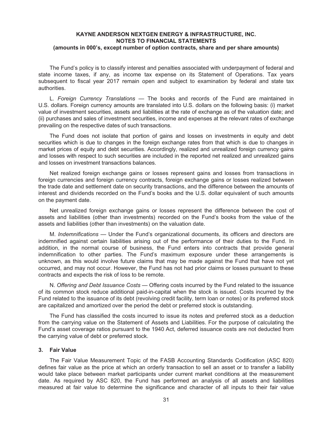The Fund's policy is to classify interest and penalties associated with underpayment of federal and state income taxes, if any, as income tax expense on its Statement of Operations. Tax years subsequent to fiscal year 2017 remain open and subject to examination by federal and state tax authorities.

L. *Foreign Currency Translations* — The books and records of the Fund are maintained in U.S. dollars. Foreign currency amounts are translated into U.S. dollars on the following basis: (i) market value of investment securities, assets and liabilities at the rate of exchange as of the valuation date; and (ii) purchases and sales of investment securities, income and expenses at the relevant rates of exchange prevailing on the respective dates of such transactions.

The Fund does not isolate that portion of gains and losses on investments in equity and debt securities which is due to changes in the foreign exchange rates from that which is due to changes in market prices of equity and debt securities. Accordingly, realized and unrealized foreign currency gains and losses with respect to such securities are included in the reported net realized and unrealized gains and losses on investment transactions balances.

Net realized foreign exchange gains or losses represent gains and losses from transactions in foreign currencies and foreign currency contracts, foreign exchange gains or losses realized between the trade date and settlement date on security transactions, and the difference between the amounts of interest and dividends recorded on the Fund's books and the U.S. dollar equivalent of such amounts on the payment date.

Net unrealized foreign exchange gains or losses represent the difference between the cost of assets and liabilities (other than investments) recorded on the Fund's books from the value of the assets and liabilities (other than investments) on the valuation date.

M. *Indemnifications* — Under the Fund's organizational documents, its officers and directors are indemnified against certain liabilities arising out of the performance of their duties to the Fund. In addition, in the normal course of business, the Fund enters into contracts that provide general indemnification to other parties. The Fund's maximum exposure under these arrangements is unknown, as this would involve future claims that may be made against the Fund that have not yet occurred, and may not occur. However, the Fund has not had prior claims or losses pursuant to these contracts and expects the risk of loss to be remote.

N. *Offering and Debt Issuance Costs* — Offering costs incurred by the Fund related to the issuance of its common stock reduce additional paid-in-capital when the stock is issued. Costs incurred by the Fund related to the issuance of its debt (revolving credit facility, term loan or notes) or its preferred stock are capitalized and amortized over the period the debt or preferred stock is outstanding.

The Fund has classified the costs incurred to issue its notes and preferred stock as a deduction from the carrying value on the Statement of Assets and Liabilities. For the purpose of calculating the Fund's asset coverage ratios pursuant to the 1940 Act, deferred issuance costs are not deducted from the carrying value of debt or preferred stock.

#### **3. Fair Value**

The Fair Value Measurement Topic of the FASB Accounting Standards Codification (ASC 820) defines fair value as the price at which an orderly transaction to sell an asset or to transfer a liability would take place between market participants under current market conditions at the measurement date. As required by ASC 820, the Fund has performed an analysis of all assets and liabilities measured at fair value to determine the significance and character of all inputs to their fair value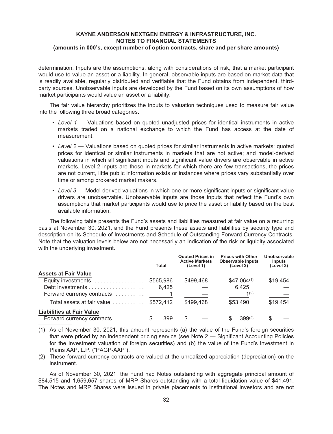determination. Inputs are the assumptions, along with considerations of risk, that a market participant would use to value an asset or a liability. In general, observable inputs are based on market data that is readily available, regularly distributed and verifiable that the Fund obtains from independent, thirdparty sources. Unobservable inputs are developed by the Fund based on its own assumptions of how market participants would value an asset or a liability.

The fair value hierarchy prioritizes the inputs to valuation techniques used to measure fair value into the following three broad categories.

- *Level 1* Valuations based on quoted unadjusted prices for identical instruments in active markets traded on a national exchange to which the Fund has access at the date of measurement.
- *Level 2* Valuations based on quoted prices for similar instruments in active markets; quoted prices for identical or similar instruments in markets that are not active; and model-derived valuations in which all significant inputs and significant value drivers are observable in active markets. Level 2 inputs are those in markets for which there are few transactions, the prices are not current, little public information exists or instances where prices vary substantially over time or among brokered market makers.
- *Level 3* Model derived valuations in which one or more significant inputs or significant value drivers are unobservable. Unobservable inputs are those inputs that reflect the Fund's own assumptions that market participants would use to price the asset or liability based on the best available information.

The following table presents the Fund's assets and liabilities measured at fair value on a recurring basis at November 30, 2021, and the Fund presents these assets and liabilities by security type and description on its Schedule of Investments and Schedule of Outstanding Forward Currency Contracts. Note that the valuation levels below are not necessarily an indication of the risk or liquidity associated with the underlying investment.

|                                  | Total     | <b>Quoted Prices in</b><br><b>Active Markets</b><br>(Level 1) | <b>Prices with Other</b><br><b>Observable Inputs</b><br>(Level 2) | Unobservable<br>Inputs<br>(Level 3) |
|----------------------------------|-----------|---------------------------------------------------------------|-------------------------------------------------------------------|-------------------------------------|
| <b>Assets at Fair Value</b>      |           |                                                               |                                                                   |                                     |
| Equity investments               | \$565,986 | \$499,468                                                     | $$47,064^{(1)}$                                                   | \$19,454                            |
|                                  | 6,425     |                                                               | 6,425                                                             |                                     |
| Forward currency contracts       |           |                                                               | 1(2)                                                              |                                     |
| Total assets at fair value       | \$572,412 | \$499,468                                                     | \$53,490                                                          | \$19,454                            |
| <b>Liabilities at Fair Value</b> |           |                                                               |                                                                   |                                     |
| Forward currency contracts \$    | 399       |                                                               | $399^{(2)}$                                                       | S                                   |

(1) As of November 30, 2021, this amount represents (a) the value of the Fund's foreign securities that were priced by an independent pricing service (see Note 2 — Significant Accounting Policies for the investment valuation of foreign securities) and (b) the value of the Fund's investment in Plains AAP, L.P. ("PAGP-AAP").

(2) These forward currency contracts are valued at the unrealized appreciation (depreciation) on the instrument.

As of November 30, 2021, the Fund had Notes outstanding with aggregate principal amount of \$84,515 and 1,659,657 shares of MRP Shares outstanding with a total liquidation value of \$41,491. The Notes and MRP Shares were issued in private placements to institutional investors and are not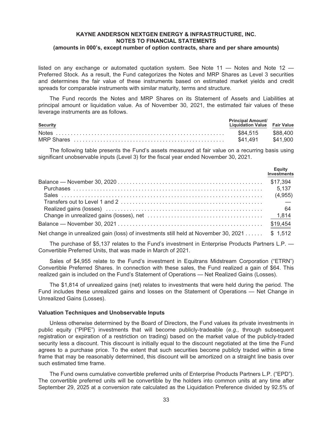listed on any exchange or automated quotation system. See Note  $11 -$  Notes and Note  $12 -$ Preferred Stock. As a result, the Fund categorizes the Notes and MRP Shares as Level 3 securities and determines the fair value of these instruments based on estimated market yields and credit spreads for comparable instruments with similar maturity, terms and structure.

The Fund records the Notes and MRP Shares on its Statement of Assets and Liabilities at principal amount or liquidation value. As of November 30, 2021, the estimated fair values of these leverage instruments are as follows.

| Security | <b>Principal Amount/</b><br>Liquidation Value Fair Value |          |
|----------|----------------------------------------------------------|----------|
|          | \$84.515                                                 | \$88.400 |
|          | \$41.491                                                 | \$41.900 |

The following table presents the Fund's assets measured at fair value on a recurring basis using significant unobservable inputs (Level 3) for the fiscal year ended November 30, 2021.

|                                                                                              | Equity<br>Investments |
|----------------------------------------------------------------------------------------------|-----------------------|
|                                                                                              | \$17,394              |
|                                                                                              | 5,137                 |
|                                                                                              |                       |
|                                                                                              |                       |
|                                                                                              | - 64                  |
|                                                                                              |                       |
|                                                                                              | \$19,454              |
| Net change in unrealized gain (loss) of investments still held at November 30, 2021 \$ 1,512 |                       |

The purchase of \$5,137 relates to the Fund's investment in Enterprise Products Partners L.P. — Convertible Preferred Units, that was made in March of 2021.

Sales of \$4,955 relate to the Fund's investment in Equitrans Midstream Corporation ("ETRN") Convertible Preferred Shares. In connection with these sales, the Fund realized a gain of \$64. This realized gain is included on the Fund's Statement of Operations — Net Realized Gains (Losses).

The \$1,814 of unrealized gains (net) relates to investments that were held during the period. The Fund includes these unrealized gains and losses on the Statement of Operations — Net Change in Unrealized Gains (Losses).

#### **Valuation Techniques and Unobservable Inputs**

Unless otherwise determined by the Board of Directors, the Fund values its private investments in public equity ("PIPE") investments that will become publicly-tradeable (*e.g.,* through subsequent registration or expiration of a restriction on trading) based on the market value of the publicly-traded security less a discount. This discount is initially equal to the discount negotiated at the time the Fund agrees to a purchase price. To the extent that such securities become publicly traded within a time frame that may be reasonably determined, this discount will be amortized on a straight line basis over such estimated time frame.

The Fund owns cumulative convertible preferred units of Enterprise Products Partners L.P. ("EPD"). The convertible preferred units will be convertible by the holders into common units at any time after September 29, 2025 at a conversion rate calculated as the Liquidation Preference divided by 92.5% of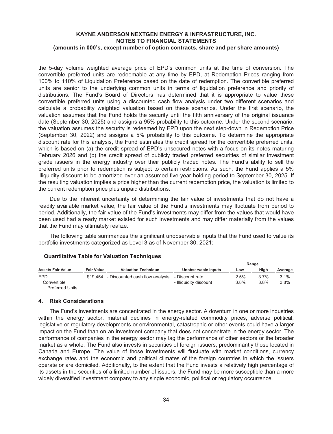the 5-day volume weighted average price of EPD's common units at the time of conversion. The convertible preferred units are redeemable at any time by EPD, at Redemption Prices ranging from 100% to 110% of Liquidation Preference based on the date of redemption. The convertible preferred units are senior to the underlying common units in terms of liquidation preference and priority of distributions. The Fund's Board of Directors has determined that it is appropriate to value these convertible preferred units using a discounted cash flow analysis under two different scenarios and calculate a probability weighted valuation based on these scenarios. Under the first scenario, the valuation assumes that the Fund holds the security until the fifth anniversary of the original issuance date (September 30, 2025) and assigns a 95% probability to this outcome. Under the second scenario, the valuation assumes the security is redeemed by EPD upon the next step-down in Redemption Price (September 30, 2022) and assigns a 5% probability to this outcome. To determine the appropriate discount rate for this analysis, the Fund estimates the credit spread for the convertible preferred units, which is based on (a) the credit spread of EPD's unsecured notes with a focus on its notes maturing February 2026 and (b) the credit spread of publicly traded preferred securities of similar investment grade issuers in the energy industry over their publicly traded notes. The Fund's ability to sell the preferred units prior to redemption is subject to certain restrictions. As such, the Fund applies a 5% illiquidity discount to be amortized over an assumed five-year holding period to September 30, 2025. If the resulting valuation implies a price higher than the current redemption price, the valuation is limited to the current redemption price plus unpaid distributions.

Due to the inherent uncertainty of determining the fair value of investments that do not have a readily available market value, the fair value of the Fund's investments may fluctuate from period to period. Additionally, the fair value of the Fund's investments may differ from the values that would have been used had a ready market existed for such investments and may differ materially from the values that the Fund may ultimately realize.

The following table summarizes the significant unobservable inputs that the Fund used to value its portfolio investments categorized as Level 3 as of November 30, 2021:

# **Quantitative Table for Valuation Techniques**

|                          |                   |                                 |                        | Range |      |         |
|--------------------------|-------------------|---------------------------------|------------------------|-------|------|---------|
| <b>Assets Fair Value</b> | <b>Fair Value</b> | <b>Valuation Technique</b>      | Unobservable Inputs    | Low   | Hiah | Average |
| <b>EPD</b>               | \$19.454          | - Discounted cash flow analysis | - Discount rate        | 2.5%  | 3.7% | 3.1%    |
| Convertible              |                   |                                 | - Illiquidity discount | 3.8%  | 3.8% | 3.8%    |
| <b>Preferred Units</b>   |                   |                                 |                        |       |      |         |

#### **4. Risk Considerations**

The Fund's investments are concentrated in the energy sector. A downturn in one or more industries within the energy sector, material declines in energy-related commodity prices, adverse political, legislative or regulatory developments or environmental, catastrophic or other events could have a larger impact on the Fund than on an investment company that does not concentrate in the energy sector. The performance of companies in the energy sector may lag the performance of other sectors or the broader market as a whole. The Fund also invests in securities of foreign issuers, predominantly those located in Canada and Europe. The value of those investments will fluctuate with market conditions, currency exchange rates and the economic and political climates of the foreign countries in which the issuers operate or are domiciled. Additionally, to the extent that the Fund invests a relatively high percentage of its assets in the securities of a limited number of issuers, the Fund may be more susceptible than a more widely diversified investment company to any single economic, political or regulatory occurrence.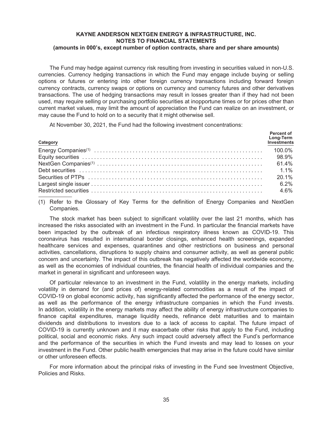The Fund may hedge against currency risk resulting from investing in securities valued in non-U.S. currencies. Currency hedging transactions in which the Fund may engage include buying or selling options or futures or entering into other foreign currency transactions including forward foreign currency contracts, currency swaps or options on currency and currency futures and other derivatives transactions. The use of hedging transactions may result in losses greater than if they had not been used, may require selling or purchasing portfolio securities at inopportune times or for prices other than current market values, may limit the amount of appreciation the Fund can realize on an investment, or may cause the Fund to hold on to a security that it might otherwise sell.

At November 30, 2021, the Fund had the following investment concentrations:

| Category | Percent of<br>Long-Term<br>Investments |
|----------|----------------------------------------|
|          |                                        |
|          |                                        |
|          |                                        |
|          |                                        |
|          |                                        |
|          | $6.2\%$                                |
|          | 4.6%                                   |

(1) Refer to the Glossary of Key Terms for the definition of Energy Companies and NextGen Companies.

The stock market has been subject to significant volatility over the last 21 months, which has increased the risks associated with an investment in the Fund. In particular the financial markets have been impacted by the outbreak of an infectious respiratory illness known as COVID-19. This coronavirus has resulted in international border closings, enhanced health screenings, expanded healthcare services and expenses, quarantines and other restrictions on business and personal activities, cancellations, disruptions to supply chains and consumer activity, as well as general public concern and uncertainty. The impact of this outbreak has negatively affected the worldwide economy, as well as the economies of individual countries, the financial health of individual companies and the market in general in significant and unforeseen ways.

Of particular relevance to an investment in the Fund, volatility in the energy markets, including volatility in demand for (and prices of) energy-related commodities as a result of the impact of COVID-19 on global economic activity, has significantly affected the performance of the energy sector, as well as the performance of the energy infrastructure companies in which the Fund invests. In addition, volatility in the energy markets may affect the ability of energy infrastructure companies to finance capital expenditures, manage liquidity needs, refinance debt maturities and to maintain dividends and distributions to investors due to a lack of access to capital. The future impact of COVID-19 is currently unknown and it may exacerbate other risks that apply to the Fund, including political, social and economic risks. Any such impact could adversely affect the Fund's performance and the performance of the securities in which the Fund invests and may lead to losses on your investment in the Fund. Other public health emergencies that may arise in the future could have similar or other unforeseen effects.

For more information about the principal risks of investing in the Fund see Investment Objective, Policies and Risks.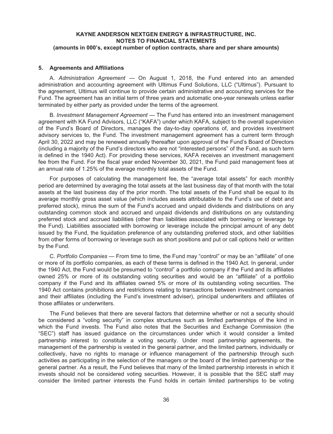#### **5. Agreements and Affiliations**

A. *Administration Agreement —* On August 1, 2018, the Fund entered into an amended administration and accounting agreement with Ultimus Fund Solutions, LLC ("Ultimus"). Pursuant to the agreement, Ultimus will continue to provide certain administrative and accounting services for the Fund. The agreement has an initial term of three years and automatic one-year renewals unless earlier terminated by either party as provided under the terms of the agreement.

B. *Investment Management Agreement —* The Fund has entered into an investment management agreement with KA Fund Advisors, LLC ("KAFA") under which KAFA, subject to the overall supervision of the Fund's Board of Directors, manages the day-to-day operations of, and provides investment advisory services to, the Fund. The investment management agreement has a current term through April 30, 2022 and may be renewed annually thereafter upon approval of the Fund's Board of Directors (including a majority of the Fund's directors who are not "interested persons" of the Fund, as such term is defined in the 1940 Act). For providing these services, KAFA receives an investment management fee from the Fund. For the fiscal year ended November 30, 2021, the Fund paid management fees at an annual rate of 1.25% of the average monthly total assets of the Fund.

For purposes of calculating the management fee, the "average total assets" for each monthly period are determined by averaging the total assets at the last business day of that month with the total assets at the last business day of the prior month. The total assets of the Fund shall be equal to its average monthly gross asset value (which includes assets attributable to the Fund's use of debt and preferred stock), minus the sum of the Fund's accrued and unpaid dividends and distributions on any outstanding common stock and accrued and unpaid dividends and distributions on any outstanding preferred stock and accrued liabilities (other than liabilities associated with borrowing or leverage by the Fund). Liabilities associated with borrowing or leverage include the principal amount of any debt issued by the Fund, the liquidation preference of any outstanding preferred stock, and other liabilities from other forms of borrowing or leverage such as short positions and put or call options held or written by the Fund.

C. *Portfolio Companies* — From time to time, the Fund may "control" or may be an "affiliate" of one or more of its portfolio companies, as each of these terms is defined in the 1940 Act. In general, under the 1940 Act, the Fund would be presumed to "control" a portfolio company if the Fund and its affiliates owned 25% or more of its outstanding voting securities and would be an "affiliate" of a portfolio company if the Fund and its affiliates owned 5% or more of its outstanding voting securities. The 1940 Act contains prohibitions and restrictions relating to transactions between investment companies and their affiliates (including the Fund's investment adviser), principal underwriters and affiliates of those affiliates or underwriters.

The Fund believes that there are several factors that determine whether or not a security should be considered a "voting security" in complex structures such as limited partnerships of the kind in which the Fund invests. The Fund also notes that the Securities and Exchange Commission (the "SEC") staff has issued guidance on the circumstances under which it would consider a limited partnership interest to constitute a voting security. Under most partnership agreements, the management of the partnership is vested in the general partner, and the limited partners, individually or collectively, have no rights to manage or influence management of the partnership through such activities as participating in the selection of the managers or the board of the limited partnership or the general partner. As a result, the Fund believes that many of the limited partnership interests in which it invests should not be considered voting securities. However, it is possible that the SEC staff may consider the limited partner interests the Fund holds in certain limited partnerships to be voting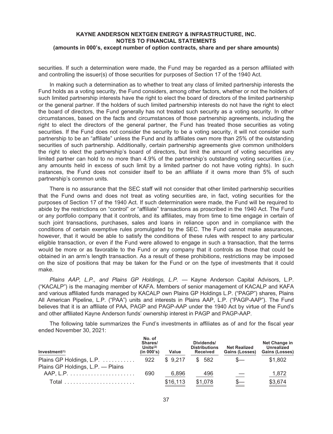securities. If such a determination were made, the Fund may be regarded as a person affiliated with and controlling the issuer(s) of those securities for purposes of Section 17 of the 1940 Act.

In making such a determination as to whether to treat any class of limited partnership interests the Fund holds as a voting security, the Fund considers, among other factors, whether or not the holders of such limited partnership interests have the right to elect the board of directors of the limited partnership or the general partner. If the holders of such limited partnership interests do not have the right to elect the board of directors, the Fund generally has not treated such security as a voting security. In other circumstances, based on the facts and circumstances of those partnership agreements, including the right to elect the directors of the general partner, the Fund has treated those securities as voting securities. If the Fund does not consider the security to be a voting security, it will not consider such partnership to be an "affiliate" unless the Fund and its affiliates own more than 25% of the outstanding securities of such partnership. Additionally, certain partnership agreements give common unitholders the right to elect the partnership's board of directors, but limit the amount of voting securities any limited partner can hold to no more than 4.9% of the partnership's outstanding voting securities (*i.e.*, any amounts held in excess of such limit by a limited partner do not have voting rights). In such instances, the Fund does not consider itself to be an affiliate if it owns more than 5% of such partnership's common units.

There is no assurance that the SEC staff will not consider that other limited partnership securities that the Fund owns and does not treat as voting securities are, in fact, voting securities for the purposes of Section 17 of the 1940 Act. If such determination were made, the Fund will be required to abide by the restrictions on "control" or "affiliate" transactions as proscribed in the 1940 Act. The Fund or any portfolio company that it controls, and its affiliates, may from time to time engage in certain of such joint transactions, purchases, sales and loans in reliance upon and in compliance with the conditions of certain exemptive rules promulgated by the SEC. The Fund cannot make assurances, however, that it would be able to satisfy the conditions of these rules with respect to any particular eligible transaction, or even if the Fund were allowed to engage in such a transaction, that the terms would be more or as favorable to the Fund or any company that it controls as those that could be obtained in an arm's length transaction. As a result of these prohibitions, restrictions may be imposed on the size of positions that may be taken for the Fund or on the type of investments that it could make.

*Plains AAP, L.P., and Plains GP Holdings, L.P. —* Kayne Anderson Capital Advisors, L.P. ("KACALP") is the managing member of KAFA. Members of senior management of KACALP and KAFA and various affiliated funds managed by KACALP own Plains GP Holdings L.P. ("PAGP") shares, Plains All American Pipeline, L.P. ("PAA") units and interests in Plains AAP, L.P. ("PAGP-AAP"). The Fund believes that it is an affiliate of PAA, PAGP and PAGP-AAP under the 1940 Act by virtue of the Fund's and other affiliated Kayne Anderson funds' ownership interest in PAGP and PAGP-AAP.

The following table summarizes the Fund's investments in affiliates as of and for the fiscal year ended November 30, 2021:

| Investment(1)                     | No. of<br>Shares/<br>Units $(2)$<br>(in 000's) | Value    | Dividends/<br><b>Distributions</b><br><b>Received</b> | <b>Net Realized</b><br>Gains (Losses) | Net Change in<br><b>Unrealized</b><br>Gains (Losses) |
|-----------------------------------|------------------------------------------------|----------|-------------------------------------------------------|---------------------------------------|------------------------------------------------------|
| Plains GP Holdings, L.P. - Plains |                                                |          | $$9,217$ $$582$                                       | $S-$                                  | \$1,802                                              |
|                                   | 690                                            | 6.896    | 496                                                   |                                       | 1,872                                                |
|                                   |                                                | \$16,113 | \$1,078                                               |                                       | \$3,674                                              |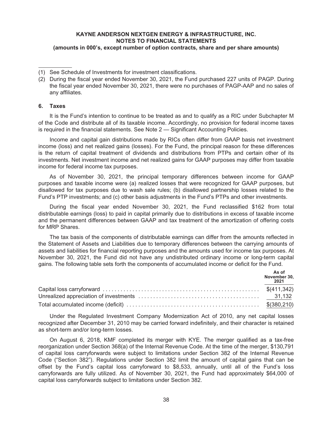## **6. Taxes**

It is the Fund's intention to continue to be treated as and to qualify as a RIC under Subchapter M of the Code and distribute all of its taxable income. Accordingly, no provision for federal income taxes is required in the financial statements. See Note 2 — Significant Accounting Policies.

Income and capital gain distributions made by RICs often differ from GAAP basis net investment income (loss) and net realized gains (losses). For the Fund, the principal reason for these differences is the return of capital treatment of dividends and distributions from PTPs and certain other of its investments. Net investment income and net realized gains for GAAP purposes may differ from taxable income for federal income tax purposes.

As of November 30, 2021, the principal temporary differences between income for GAAP purposes and taxable income were (a) realized losses that were recognized for GAAP purposes, but disallowed for tax purposes due to wash sale rules; (b) disallowed partnership losses related to the Fund's PTP investments; and (c) other basis adjustments in the Fund's PTPs and other investments.

During the fiscal year ended November 30, 2021, the Fund reclassified \$162 from total distributable earnings (loss) to paid in capital primarily due to distributions in excess of taxable income and the permanent differences between GAAP and tax treatment of the amortization of offering costs for MRP Shares.

The tax basis of the components of distributable earnings can differ from the amounts reflected in the Statement of Assets and Liabilities due to temporary differences between the carrying amounts of assets and liabilities for financial reporting purposes and the amounts used for income tax purposes. At November 30, 2021, the Fund did not have any undistributed ordinary income or long-term capital gains. The following table sets forth the components of accumulated income or deficit for the Fund.

| As of<br>November 30,<br>2021 |
|-------------------------------|
|                               |
|                               |
|                               |

Under the Regulated Investment Company Modernization Act of 2010, any net capital losses recognized after December 31, 2010 may be carried forward indefinitely, and their character is retained as short-term and/or long-term losses.

On August 6, 2018, KMF completed its merger with KYE. The merger qualified as a tax-free reorganization under Section 368(a) of the Internal Revenue Code. At the time of the merger, \$130,791 of capital loss carryforwards were subject to limitations under Section 382 of the Internal Revenue Code ("Section 382"). Regulations under Section 382 limit the amount of capital gains that can be offset by the Fund's capital loss carryforward to \$8,533, annually, until all of the Fund's loss carryforwards are fully utilized. As of November 30, 2021, the Fund had approximately \$64,000 of capital loss carryforwards subject to limitations under Section 382.

<sup>(1)</sup> See Schedule of Investments for investment classifications.

<sup>(2)</sup> During the fiscal year ended November 30, 2021, the Fund purchased 227 units of PAGP. During the fiscal year ended November 30, 2021, there were no purchases of PAGP-AAP and no sales of any affiliates.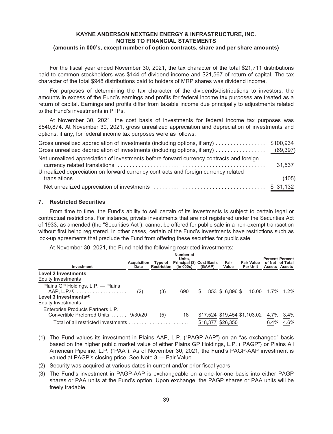For the fiscal year ended November 30, 2021, the tax character of the total \$21,711 distributions paid to common stockholders was \$144 of dividend income and \$21,567 of return of capital. The tax character of the total \$948 distributions paid to holders of MRP shares was dividend income.

For purposes of determining the tax character of the dividends/distributions to investors, the amounts in excess of the Fund's earnings and profits for federal income tax purposes are treated as a return of capital. Earnings and profits differ from taxable income due principally to adjustments related to the Fund's investments in PTPs.

At November 30, 2021, the cost basis of investments for federal income tax purposes was \$540,874. At November 30, 2021, gross unrealized appreciation and depreciation of investments and options, if any, for federal income tax purposes were as follows:

| Gross unrealized appreciation of investments (including options, if any) \$100,934                                                                                             |        |
|--------------------------------------------------------------------------------------------------------------------------------------------------------------------------------|--------|
|                                                                                                                                                                                |        |
| Net unrealized appreciation of investments before forward currency contracts and foreign<br>Unrealized depreciation on forward currency contracts and foreign currency related | 31,537 |
|                                                                                                                                                                                |        |
|                                                                                                                                                                                |        |

# **7. Restricted Securities**

From time to time, the Fund's ability to sell certain of its investments is subject to certain legal or contractual restrictions. For instance, private investments that are not registered under the Securities Act of 1933, as amended (the "Securities Act"), cannot be offered for public sale in a non-exempt transaction without first being registered. In other cases, certain of the Fund's investments have restrictions such as lock-up agreements that preclude the Fund from offering these securities for public sale.

At November 30, 2021, the Fund held the following restricted investments:

| Investment                                                      | Acquisition<br>Date | Type of<br><b>Restriction</b> | Number of<br>Units.<br><b>Principal (\$) Cost Basis</b><br>(in 000s) | (GAAP)            | Fair<br>Value   | <b>Fair Value</b><br><b>Per Unit</b> |                 | <b>Percent Percent</b><br>of Net of Total<br>Assets Assets |
|-----------------------------------------------------------------|---------------------|-------------------------------|----------------------------------------------------------------------|-------------------|-----------------|--------------------------------------|-----------------|------------------------------------------------------------|
| <b>Level 2 Investments</b>                                      |                     |                               |                                                                      |                   |                 |                                      |                 |                                                            |
| Equity Investments                                              |                     |                               |                                                                      |                   |                 |                                      |                 |                                                            |
| Plains GP Holdings, L.P. - Plains<br>$AAP, L.P.$ <sup>(1)</sup> | (2)                 | (3)                           | 690                                                                  | \$                | 853 \$ 6.896 \$ |                                      | 10.00 1.7% 1.2% |                                                            |
| Level 3 Investments $(4)$                                       |                     |                               |                                                                      |                   |                 |                                      |                 |                                                            |
| Equity Investments                                              |                     |                               |                                                                      |                   |                 |                                      |                 |                                                            |
| Enterprise Products Partners L.P.                               |                     |                               |                                                                      |                   |                 |                                      |                 |                                                            |
| Convertible Preferred Units  9/30/20                            |                     | (5)                           | 18                                                                   |                   |                 | \$17,524 \$19,454 \$1,103.02         | 4.7%            | 3.4%                                                       |
| Total of all restricted investments                             |                     |                               |                                                                      | \$18,377 \$26,350 |                 |                                      | 6.4%            | 4.6%                                                       |

<sup>(1)</sup> The Fund values its investment in Plains AAP, L.P. ("PAGP-AAP") on an "as exchanged" basis based on the higher public market value of either Plains GP Holdings, L.P. ("PAGP") or Plains All American Pipeline, L.P. ("PAA"). As of November 30, 2021, the Fund's PAGP-AAP investment is valued at PAGP's closing price. See Note 3 — Fair Value.

- (2) Security was acquired at various dates in current and/or prior fiscal years.
- (3) The Fund's investment in PAGP-AAP is exchangeable on a one-for-one basis into either PAGP shares or PAA units at the Fund's option. Upon exchange, the PAGP shares or PAA units will be freely tradable.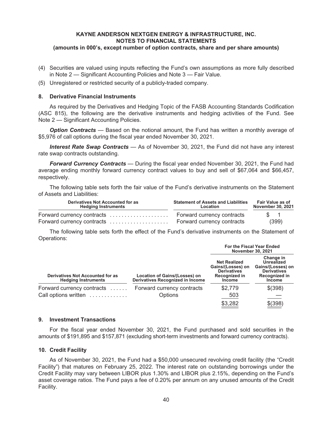- (4) Securities are valued using inputs reflecting the Fund's own assumptions as more fully described in Note 2 — Significant Accounting Policies and Note 3 — Fair Value.
- (5) Unregistered or restricted security of a publicly-traded company.

#### **8. Derivative Financial Instruments**

As required by the Derivatives and Hedging Topic of the FASB Accounting Standards Codification (ASC 815), the following are the derivative instruments and hedging activities of the Fund. See Note 2 — Significant Accounting Policies.

*Option Contracts* — Based on the notional amount, the Fund has written a monthly average of \$5,976 of call options during the fiscal year ended November 30, 2021.

*Interest Rate Swap Contracts* — As of November 30, 2021, the Fund did not have any interest rate swap contracts outstanding.

*Forward Currency Contracts* — During the fiscal year ended November 30, 2021, the Fund had average ending monthly forward currency contract values to buy and sell of \$67,064 and \$66,457, respectively.

The following table sets forth the fair value of the Fund's derivative instruments on the Statement of Assets and Liabilities:

| Derivatives Not Accounted for as<br><b>Hedging Instruments</b> | <b>Statement of Assets and Liabilities</b><br>Location | <b>Fair Value as of</b><br><b>November 30, 2021</b> |  |  |
|----------------------------------------------------------------|--------------------------------------------------------|-----------------------------------------------------|--|--|
| Forward currency contracts                                     | Forward currency contracts                             | $\sqrt{3}$ 1                                        |  |  |
| Forward currency contracts                                     | Forward currency contracts                             | (399)                                               |  |  |

The following table sets forth the effect of the Fund's derivative instruments on the Statement of Operations:

|                                                                |                                                                   | <b>For the Fiscal Year Ended</b><br><b>November 30, 2021</b>                                     |                                                                                                             |  |  |
|----------------------------------------------------------------|-------------------------------------------------------------------|--------------------------------------------------------------------------------------------------|-------------------------------------------------------------------------------------------------------------|--|--|
| Derivatives Not Accounted for as<br><b>Hedging Instruments</b> | Location of Gains/(Losses) on<br>Derivatives Recognized in Income | <b>Net Realized</b><br>Gains/(Losses) on<br><b>Derivatives</b><br>Recognized in<br><b>Income</b> | Change in<br><b>Unrealized</b><br>Gains/(Losses) on<br><b>Derivatives</b><br>Recognized in<br><b>Income</b> |  |  |
| Forward currency contracts<br>Call options written             | Forward currency contracts                                        | \$2,779<br>503                                                                                   | \$(398)                                                                                                     |  |  |
|                                                                | Options                                                           | \$3,282                                                                                          | \$(398)                                                                                                     |  |  |

#### **9. Investment Transactions**

For the fiscal year ended November 30, 2021, the Fund purchased and sold securities in the amounts of \$191,895 and \$157,871 (excluding short-term investments and forward currency contracts).

## **10. Credit Facility**

As of November 30, 2021, the Fund had a \$50,000 unsecured revolving credit facility (the "Credit Facility") that matures on February 25, 2022. The interest rate on outstanding borrowings under the Credit Facility may vary between LIBOR plus 1.30% and LIBOR plus 2.15%, depending on the Fund's asset coverage ratios. The Fund pays a fee of 0.20% per annum on any unused amounts of the Credit Facility.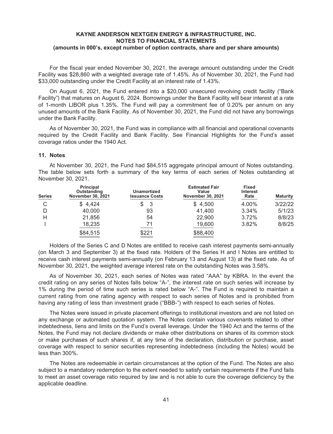For the fiscal year ended November 30, 2021, the average amount outstanding under the Credit Facility was \$28,860 with a weighted average rate of 1.45%. As of November 30, 2021, the Fund had \$33,000 outstanding under the Credit Facility at an interest rate of 1.43%.

On August 6, 2021, the Fund entered into a \$20,000 unsecured revolving credit facility ("Bank Facility") that matures on August 6, 2024. Borrowings under the Bank Facility will bear interest at a rate of 1-month LIBOR plus 1.35%. The Fund will pay a commitment fee of 0.20% per annum on any unused amounts of the Bank Facility. As of November 30, 2021, the Fund did not have any borrowings under the Bank Facility.

As of November 30, 2021, the Fund was in compliance with all financial and operational covenants required by the Credit Facility and Bank Facility. See Financial Highlights for the Fund's asset coverage ratios under the 1940 Act.

## **11. Notes**

At November 30, 2021, the Fund had \$84,515 aggregate principal amount of Notes outstanding. The table below sets forth a summary of the key terms of each series of Notes outstanding at November 30, 2021.

| <b>Series</b> | <b>Principal</b><br>Outstanding<br>November 30, 2021 | Unamortized<br><b>Issuance Costs</b> | <b>Estimated Fair</b><br>Value<br><b>November 30, 2021</b> | <b>Fixed</b><br><b>Interest</b><br>Rate | <b>Maturity</b> |
|---------------|------------------------------------------------------|--------------------------------------|------------------------------------------------------------|-----------------------------------------|-----------------|
| C             | \$4,424                                              | -3                                   | \$4,500                                                    | 4.00%                                   | 3/22/22         |
|               | 40,000                                               | 93                                   | 41,400                                                     | 3.34%                                   | 5/1/23          |
| н             | 21,856                                               | 54                                   | 22,900                                                     | 3.72%                                   | 8/8/23          |
|               | 18,235                                               | 71                                   | 19,600                                                     | 3.82%                                   | 8/8/25          |
|               | \$84,515                                             | $\frac{$221}{2}$                     | \$88,400                                                   |                                         |                 |

Holders of the Series C and D Notes are entitled to receive cash interest payments semi-annually (on March 3 and September 3) at the fixed rate. Holders of the Series H and I Notes are entitled to receive cash interest payments semi-annually (on February 13 and August 13) at the fixed rate. As of November 30, 2021, the weighted average interest rate on the outstanding Notes was 3.58%.

As of November 30, 2021, each series of Notes was rated "AAA" by KBRA. In the event the credit rating on any series of Notes falls below "A-", the interest rate on such series will increase by 1% during the period of time such series is rated below "A-". The Fund is required to maintain a current rating from one rating agency with respect to each series of Notes and is prohibited from having any rating of less than investment grade ("BBB-") with respect to each series of Notes.

The Notes were issued in private placement offerings to institutional investors and are not listed on any exchange or automated quotation system. The Notes contain various covenants related to other indebtedness, liens and limits on the Fund's overall leverage. Under the 1940 Act and the terms of the Notes, the Fund may not declare dividends or make other distributions on shares of its common stock or make purchases of such shares if, at any time of the declaration, distribution or purchase, asset coverage with respect to senior securities representing indebtedness (including the Notes) would be less than 300%.

The Notes are redeemable in certain circumstances at the option of the Fund. The Notes are also subject to a mandatory redemption to the extent needed to satisfy certain requirements if the Fund fails to meet an asset coverage ratio required by law and is not able to cure the coverage deficiency by the applicable deadline.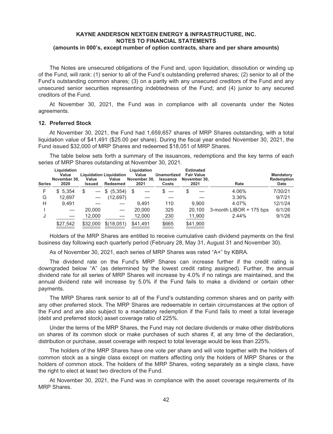The Notes are unsecured obligations of the Fund and, upon liquidation, dissolution or winding up of the Fund, will rank: (1) senior to all of the Fund's outstanding preferred shares; (2) senior to all of the Fund's outstanding common shares; (3) on a parity with any unsecured creditors of the Fund and any unsecured senior securities representing indebtedness of the Fund; and (4) junior to any secured creditors of the Fund.

At November 30, 2021, the Fund was in compliance with all covenants under the Notes agreements.

#### **12. Preferred Stock**

At November 30, 2021, the Fund had 1,659,657 shares of MRP Shares outstanding, with a total liquidation value of \$41,491 (\$25.00 per share). During the fiscal year ended November 30, 2021, the Fund issued \$32,000 of MRP Shares and redeemed \$18,051 of MRP Shares.

The table below sets forth a summary of the issuances, redemptions and the key terms of each series of MRP Shares outstanding at November 30, 2021.

| <b>Series</b> | Liquidation<br>Value<br>November 30,<br>2020 | Value<br><b>Issued</b> | <b>Liquidation Liquidation</b><br>Value<br>Redeemed | Liquidation<br>Value<br>November 30.<br>2021 | Unamortized<br><b>Issuance</b><br>Costs | <b>Estimated</b><br><b>Fair Value</b><br>November 30.<br>2021 | Rate                    | Mandatory<br><b>Redemption</b><br>Date |
|---------------|----------------------------------------------|------------------------|-----------------------------------------------------|----------------------------------------------|-----------------------------------------|---------------------------------------------------------------|-------------------------|----------------------------------------|
| F             | 5.354<br>S.                                  | \$                     | $-$ \$ (5,354)                                      | S                                            |                                         |                                                               | 4.06%                   | 7/30/21                                |
| G             | 12.697                                       |                        | (12,697)                                            |                                              |                                         |                                                               | 3.36%                   | 9/7/21                                 |
| Н             | 9.491                                        |                        |                                                     | 9.491                                        | 110                                     | 9.900                                                         | 4.07%                   | 12/1/24                                |
|               |                                              | 20,000                 |                                                     | 20,000                                       | 325                                     | 20.100                                                        | 3-month LIBOR + 175 bps | 6/1/26                                 |
| J             |                                              | 12.000                 |                                                     | 12.000                                       | 230                                     | 11,900                                                        | 2.44%                   | 9/1/26                                 |
|               | \$27,542                                     | \$32,000               | \$(18,051)                                          | \$41.491                                     | \$665                                   | \$41,900                                                      |                         |                                        |

Holders of the MRP Shares are entitled to receive cumulative cash dividend payments on the first business day following each quarterly period (February 28, May 31, August 31 and November 30).

As of November 30, 2021, each series of MRP Shares was rated "A+" by KBRA.

The dividend rate on the Fund's MRP Shares can increase further if the credit rating is downgraded below "A" (as determined by the lowest credit rating assigned). Further, the annual dividend rate for all series of MRP Shares will increase by 4.0% if no ratings are maintained, and the annual dividend rate will increase by 5.0% if the Fund fails to make a dividend or certain other payments.

The MRP Shares rank senior to all of the Fund's outstanding common shares and on parity with any other preferred stock. The MRP Shares are redeemable in certain circumstances at the option of the Fund and are also subject to a mandatory redemption if the Fund fails to meet a total leverage (debt and preferred stock) asset coverage ratio of 225%.

Under the terms of the MRP Shares, the Fund may not declare dividends or make other distributions on shares of its common stock or make purchases of such shares if, at any time of the declaration, distribution or purchase, asset coverage with respect to total leverage would be less than 225%.

The holders of the MRP Shares have one vote per share and will vote together with the holders of common stock as a single class except on matters affecting only the holders of MRP Shares or the holders of common stock. The holders of the MRP Shares, voting separately as a single class, have the right to elect at least two directors of the Fund.

At November 30, 2021, the Fund was in compliance with the asset coverage requirements of its MRP Shares.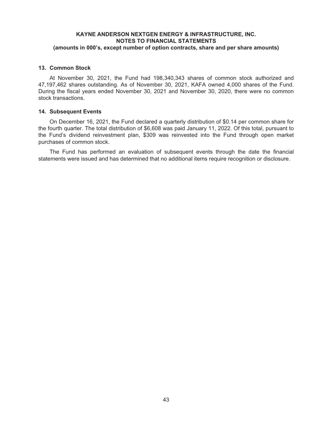## **13. Common Stock**

At November 30, 2021, the Fund had 198,340,343 shares of common stock authorized and 47,197,462 shares outstanding. As of November 30, 2021, KAFA owned 4,000 shares of the Fund. During the fiscal years ended November 30, 2021 and November 30, 2020, there were no common stock transactions.

#### **14. Subsequent Events**

On December 16, 2021, the Fund declared a quarterly distribution of \$0.14 per common share for the fourth quarter. The total distribution of \$6,608 was paid January 11, 2022. Of this total, pursuant to the Fund's dividend reinvestment plan, \$309 was reinvested into the Fund through open market purchases of common stock.

The Fund has performed an evaluation of subsequent events through the date the financial statements were issued and has determined that no additional items require recognition or disclosure.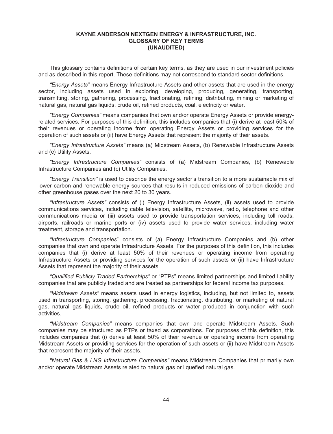## **KAYNE ANDERSON NEXTGEN ENERGY & INFRASTRUCTURE, INC. GLOSSARY OF KEY TERMS (UNAUDITED)**

This glossary contains definitions of certain key terms, as they are used in our investment policies and as described in this report. These definitions may not correspond to standard sector definitions.

*"Energy Assets"* means Energy Infrastructure Assets and other assets that are used in the energy sector, including assets used in exploring, developing, producing, generating, transporting, transmitting, storing, gathering, processing, fractionating, refining, distributing, mining or marketing of natural gas, natural gas liquids, crude oil, refined products, coal, electricity or water.

*"Energy Companies"* means companies that own and/or operate Energy Assets or provide energyrelated services. For purposes of this definition, this includes companies that (i) derive at least 50% of their revenues or operating income from operating Energy Assets or providing services for the operation of such assets or (ii) have Energy Assets that represent the majority of their assets.

*"Energy Infrastructure Assets"* means (a) Midstream Assets, (b) Renewable Infrastructure Assets and (c) Utility Assets.

*"Energy Infrastructure Companies"* consists of (a) Midstream Companies, (b) Renewable Infrastructure Companies and (c) Utility Companies.

*"Energy Transition"* is used to describe the energy sector's transition to a more sustainable mix of lower carbon and renewable energy sources that results in reduced emissions of carbon dioxide and other greenhouse gases over the next 20 to 30 years.

*"Infrastructure Assets"* consists of (i) Energy Infrastructure Assets, (ii) assets used to provide communications services, including cable television, satellite, microwave, radio, telephone and other communications media or (iii) assets used to provide transportation services, including toll roads, airports, railroads or marine ports or (iv) assets used to provide water services, including water treatment, storage and transportation.

*"Infrastructure Companies*" consists of (a) Energy Infrastructure Companies and (b) other companies that own and operate Infrastructure Assets. For the purposes of this definition, this includes companies that (i) derive at least 50% of their revenues or operating income from operating Infrastructure Assets or providing services for the operation of such assets or (ii) have Infrastructure Assets that represent the majority of their assets.

*"Qualified Publicly Traded Partnerships"* or "PTPs" means limited partnerships and limited liability companies that are publicly traded and are treated as partnerships for federal income tax purposes.

*"Midstream Assets"* means assets used in energy logistics, including, but not limited to, assets used in transporting, storing, gathering, processing, fractionating, distributing, or marketing of natural gas, natural gas liquids, crude oil, refined products or water produced in conjunction with such activities.

*"Midstream Companies"* means companies that own and operate Midstream Assets. Such companies may be structured as PTPs or taxed as corporations. For purposes of this definition, this includes companies that (i) derive at least 50% of their revenue or operating income from operating Midstream Assets or providing services for the operation of such assets or (ii) have Midstream Assets that represent the majority of their assets.

*"Natural Gas & LNG Infrastructure Companies"* means Midstream Companies that primarily own and/or operate Midstream Assets related to natural gas or liquefied natural gas.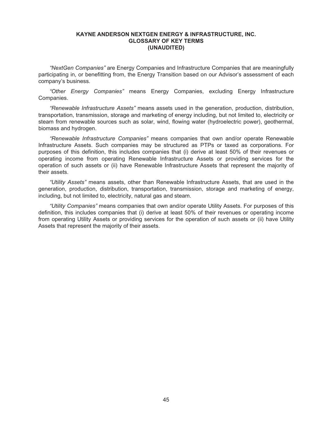## **KAYNE ANDERSON NEXTGEN ENERGY & INFRASTRUCTURE, INC. GLOSSARY OF KEY TERMS (UNAUDITED)**

*"NextGen Companies"* are Energy Companies and Infrastructure Companies that are meaningfully participating in, or benefitting from, the Energy Transition based on our Advisor's assessment of each company's business.

*"Other Energy Companies"* means Energy Companies, excluding Energy Infrastructure Companies.

*"Renewable Infrastructure Assets"* means assets used in the generation, production, distribution, transportation, transmission, storage and marketing of energy including, but not limited to, electricity or steam from renewable sources such as solar, wind, flowing water (hydroelectric power), geothermal, biomass and hydrogen.

*"Renewable Infrastructure Companies"* means companies that own and/or operate Renewable Infrastructure Assets. Such companies may be structured as PTPs or taxed as corporations. For purposes of this definition, this includes companies that (i) derive at least 50% of their revenues or operating income from operating Renewable Infrastructure Assets or providing services for the operation of such assets or (ii) have Renewable Infrastructure Assets that represent the majority of their assets.

*"Utility Assets"* means assets, other than Renewable Infrastructure Assets, that are used in the generation, production, distribution, transportation, transmission, storage and marketing of energy, including, but not limited to, electricity, natural gas and steam.

*"Utility Companies"* means companies that own and/or operate Utility Assets. For purposes of this definition, this includes companies that (i) derive at least 50% of their revenues or operating income from operating Utility Assets or providing services for the operation of such assets or (ii) have Utility Assets that represent the majority of their assets.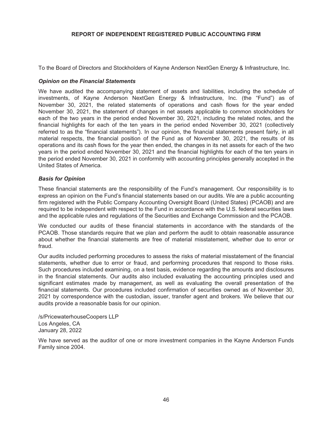# **REPORT OF INDEPENDENT REGISTERED PUBLIC ACCOUNTING FIRM**

To the Board of Directors and Stockholders of Kayne Anderson NextGen Energy & Infrastructure, Inc.

### *Opinion on the Financial Statements*

We have audited the accompanying statement of assets and liabilities, including the schedule of investments, of Kayne Anderson NextGen Energy & Infrastructure, Inc. (the "Fund") as of November 30, 2021, the related statements of operations and cash flows for the year ended November 30, 2021, the statement of changes in net assets applicable to common stockholders for each of the two years in the period ended November 30, 2021, including the related notes, and the financial highlights for each of the ten years in the period ended November 30, 2021 (collectively referred to as the "financial statements"). In our opinion, the financial statements present fairly, in all material respects, the financial position of the Fund as of November 30, 2021, the results of its operations and its cash flows for the year then ended, the changes in its net assets for each of the two years in the period ended November 30, 2021 and the financial highlights for each of the ten years in the period ended November 30, 2021 in conformity with accounting principles generally accepted in the United States of America.

## *Basis for Opinion*

These financial statements are the responsibility of the Fund's management. Our responsibility is to express an opinion on the Fund's financial statements based on our audits. We are a public accounting firm registered with the Public Company Accounting Oversight Board (United States) (PCAOB) and are required to be independent with respect to the Fund in accordance with the U.S. federal securities laws and the applicable rules and regulations of the Securities and Exchange Commission and the PCAOB.

We conducted our audits of these financial statements in accordance with the standards of the PCAOB. Those standards require that we plan and perform the audit to obtain reasonable assurance about whether the financial statements are free of material misstatement, whether due to error or fraud.

Our audits included performing procedures to assess the risks of material misstatement of the financial statements, whether due to error or fraud, and performing procedures that respond to those risks. Such procedures included examining, on a test basis, evidence regarding the amounts and disclosures in the financial statements. Our audits also included evaluating the accounting principles used and significant estimates made by management, as well as evaluating the overall presentation of the financial statements. Our procedures included confirmation of securities owned as of November 30, 2021 by correspondence with the custodian, issuer, transfer agent and brokers. We believe that our audits provide a reasonable basis for our opinion.

/s/PricewaterhouseCoopers LLP Los Angeles, CA January 28, 2022

We have served as the auditor of one or more investment companies in the Kayne Anderson Funds Family since 2004.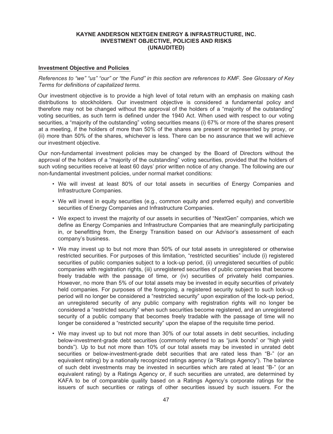## **Investment Objective and Policies**

*References to "we" "us" "our" or "the Fund" in this section are references to KMF. See Glossary of Key Terms for definitions of capitalized terms.*

Our investment objective is to provide a high level of total return with an emphasis on making cash distributions to stockholders. Our investment objective is considered a fundamental policy and therefore may not be changed without the approval of the holders of a "majority of the outstanding" voting securities, as such term is defined under the 1940 Act. When used with respect to our voting securities, a "majority of the outstanding" voting securities means (i) 67% or more of the shares present at a meeting, if the holders of more than 50% of the shares are present or represented by proxy, or (ii) more than 50% of the shares, whichever is less. There can be no assurance that we will achieve our investment objective.

Our non-fundamental investment policies may be changed by the Board of Directors without the approval of the holders of a "majority of the outstanding" voting securities, provided that the holders of such voting securities receive at least 60 days' prior written notice of any change. The following are our non-fundamental investment policies, under normal market conditions:

- We will invest at least 80% of our total assets in securities of Energy Companies and Infrastructure Companies.
- We will invest in equity securities (e.g., common equity and preferred equity) and convertible securities of Energy Companies and Infrastructure Companies.
- We expect to invest the majority of our assets in securities of "NextGen" companies, which we define as Energy Companies and Infrastructure Companies that are meaningfully participating in, or benefitting from, the Energy Transition based on our Advisor's assessment of each company's business.
- We may invest up to but not more than 50% of our total assets in unregistered or otherwise restricted securities. For purposes of this limitation, "restricted securities" include (i) registered securities of public companies subject to a lock-up period, (ii) unregistered securities of public companies with registration rights, (iii) unregistered securities of public companies that become freely tradable with the passage of time, or (iv) securities of privately held companies. However, no more than 5% of our total assets may be invested in equity securities of privately held companies. For purposes of the foregoing, a registered security subject to such lock-up period will no longer be considered a "restricted security" upon expiration of the lock-up period, an unregistered security of any public company with registration rights will no longer be considered a "restricted security" when such securities become registered, and an unregistered security of a public company that becomes freely tradable with the passage of time will no longer be considered a "restricted security" upon the elapse of the requisite time period.
- We may invest up to but not more than 30% of our total assets in debt securities, including below-investment-grade debt securities (commonly referred to as "junk bonds" or "high yield bonds"). Up to but not more than 10% of our total assets may be invested in unrated debt securities or below-investment-grade debt securities that are rated less than "B-" (or an equivalent rating) by a nationally recognized ratings agency (a "Ratings Agency"). The balance of such debt investments may be invested in securities which are rated at least "B-" (or an equivalent rating) by a Ratings Agency or, if such securities are unrated, are determined by KAFA to be of comparable quality based on a Ratings Agency's corporate ratings for the issuers of such securities or ratings of other securities issued by such issuers. For the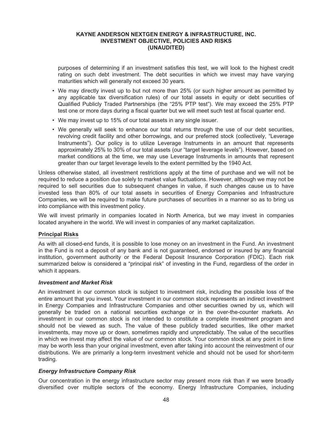purposes of determining if an investment satisfies this test, we will look to the highest credit rating on such debt investment. The debt securities in which we invest may have varying maturities which will generally not exceed 30 years.

- We may directly invest up to but not more than 25% (or such higher amount as permitted by any applicable tax diversification rules) of our total assets in equity or debt securities of Qualified Publicly Traded Partnerships (the "25% PTP test"). We may exceed the 25% PTP test one or more days during a fiscal quarter but we will meet such test at fiscal quarter end.
- We may invest up to 15% of our total assets in any single issuer.
- We generally will seek to enhance our total returns through the use of our debt securities, revolving credit facility and other borrowings, and our preferred stock (collectively, "Leverage Instruments"). Our policy is to utilize Leverage Instruments in an amount that represents approximately 25% to 30% of our total assets (our "target leverage levels"). However, based on market conditions at the time, we may use Leverage Instruments in amounts that represent greater than our target leverage levels to the extent permitted by the 1940 Act.

Unless otherwise stated, all investment restrictions apply at the time of purchase and we will not be required to reduce a position due solely to market value fluctuations. However, although we may not be required to sell securities due to subsequent changes in value, if such changes cause us to have invested less than 80% of our total assets in securities of Energy Companies and Infrastructure Companies, we will be required to make future purchases of securities in a manner so as to bring us into compliance with this investment policy.

We will invest primarily in companies located in North America, but we may invest in companies located anywhere in the world. We will invest in companies of any market capitalization.

## **Principal Risks**

As with all closed-end funds, it is possible to lose money on an investment in the Fund. An investment in the Fund is not a deposit of any bank and is not guaranteed, endorsed or insured by any financial institution, government authority or the Federal Deposit Insurance Corporation (FDIC). Each risk summarized below is considered a "principal risk" of investing in the Fund, regardless of the order in which it appears.

#### *Investment and Market Risk*

An investment in our common stock is subject to investment risk, including the possible loss of the entire amount that you invest. Your investment in our common stock represents an indirect investment in Energy Companies and Infrastructure Companies and other securities owned by us, which will generally be traded on a national securities exchange or in the over-the-counter markets. An investment in our common stock is not intended to constitute a complete investment program and should not be viewed as such. The value of these publicly traded securities, like other market investments, may move up or down, sometimes rapidly and unpredictably. The value of the securities in which we invest may affect the value of our common stock. Your common stock at any point in time may be worth less than your original investment, even after taking into account the reinvestment of our distributions. We are primarily a long-term investment vehicle and should not be used for short-term trading.

## *Energy Infrastructure Company Risk*

Our concentration in the energy infrastructure sector may present more risk than if we were broadly diversified over multiple sectors of the economy. Energy Infrastructure Companies, including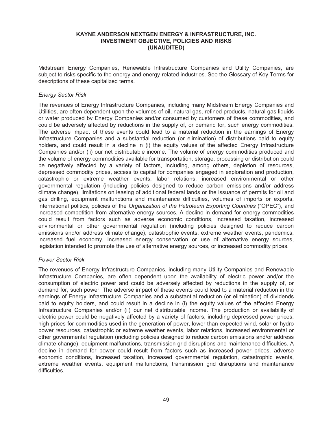Midstream Energy Companies, Renewable Infrastructure Companies and Utility Companies, are subject to risks specific to the energy and energy-related industries. See the Glossary of Key Terms for descriptions of these capitalized terms.

### *Energy Sector Risk*

The revenues of Energy Infrastructure Companies, including many Midstream Energy Companies and Utilities, are often dependent upon the volumes of oil, natural gas, refined products, natural gas liquids or water produced by Energy Companies and/or consumed by customers of these commodities, and could be adversely affected by reductions in the supply of, or demand for, such energy commodities. The adverse impact of these events could lead to a material reduction in the earnings of Energy Infrastructure Companies and a substantial reduction (or elimination) of distributions paid to equity holders, and could result in a decline in (i) the equity values of the affected Energy Infrastructure Companies and/or (ii) our net distributable income. The volume of energy commodities produced and the volume of energy commodities available for transportation, storage, processing or distribution could be negatively affected by a variety of factors, including, among others, depletion of resources, depressed commodity prices, access to capital for companies engaged in exploration and production, catastrophic or extreme weather events, labor relations, increased environmental or other governmental regulation (including policies designed to reduce carbon emissions and/or address climate change), limitations on leasing of additional federal lands or the issuance of permits for oil and gas drilling, equipment malfunctions and maintenance difficulties, volumes of imports or exports, international politics, policies of the *Organization of the Petroleum Exporting Countries* ("OPEC"), and increased competition from alternative energy sources. A decline in demand for energy commodities could result from factors such as adverse economic conditions, increased taxation, increased environmental or other governmental regulation (including policies designed to reduce carbon emissions and/or address climate change), catastrophic events, extreme weather events, pandemics, increased fuel economy, increased energy conservation or use of alternative energy sources, legislation intended to promote the use of alternative energy sources, or increased commodity prices.

#### *Power Sector Risk*

The revenues of Energy Infrastructure Companies, including many Utility Companies and Renewable Infrastructure Companies, are often dependent upon the availability of electric power and/or the consumption of electric power and could be adversely affected by reductions in the supply of, or demand for, such power. The adverse impact of these events could lead to a material reduction in the earnings of Energy Infrastructure Companies and a substantial reduction (or elimination) of dividends paid to equity holders, and could result in a decline in (i) the equity values of the affected Energy Infrastructure Companies and/or (ii) our net distributable income. The production or availability of electric power could be negatively affected by a variety of factors, including depressed power prices, high prices for commodities used in the generation of power, lower than expected wind, solar or hydro power resources, catastrophic or extreme weather events, labor relations, increased environmental or other governmental regulation (including policies designed to reduce carbon emissions and/or address climate change), equipment malfunctions, transmission grid disruptions and maintenance difficulties. A decline in demand for power could result from factors such as increased power prices, adverse economic conditions, increased taxation, increased governmental regulation, catastrophic events, extreme weather events, equipment malfunctions, transmission grid disruptions and maintenance difficulties.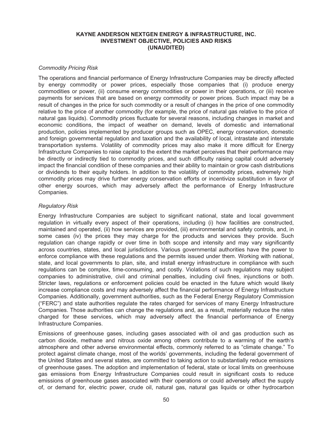### *Commodity Pricing Risk*

The operations and financial performance of Energy Infrastructure Companies may be directly affected by energy commodity or power prices, especially those companies that (i) produce energy commodities or power, (ii) consume energy commodities or power in their operations, or (iii) receive payments for services that are based on energy commodity or power prices. Such impact may be a result of changes in the price for such commodity or a result of changes in the price of one commodity relative to the price of another commodity (for example, the price of natural gas relative to the price of natural gas liquids). Commodity prices fluctuate for several reasons, including changes in market and economic conditions, the impact of weather on demand, levels of domestic and international production, policies implemented by producer groups such as OPEC, energy conservation, domestic and foreign governmental regulation and taxation and the availability of local, intrastate and interstate transportation systems. Volatility of commodity prices may also make it more difficult for Energy Infrastructure Companies to raise capital to the extent the market perceives that their performance may be directly or indirectly tied to commodity prices, and such difficulty raising capital could adversely impact the financial condition of these companies and their ability to maintain or grow cash distributions or dividends to their equity holders. In addition to the volatility of commodity prices, extremely high commodity prices may drive further energy conservation efforts or incentivize substitution in favor of other energy sources, which may adversely affect the performance of Energy Infrastructure Companies.

#### *Regulatory Risk*

Energy Infrastructure Companies are subject to significant national, state and local government regulation in virtually every aspect of their operations, including (i) how facilities are constructed, maintained and operated, (ii) how services are provided, (iii) environmental and safety controls, and, in some cases (iv) the prices they may charge for the products and services they provide. Such regulation can change rapidly or over time in both scope and intensity and may vary significantly across countries, states, and local jurisdictions. Various governmental authorities have the power to enforce compliance with these regulations and the permits issued under them. Working with national, state, and local governments to plan, site, and install energy infrastructure in compliance with such regulations can be complex, time-consuming, and costly. Violations of such regulations may subject companies to administrative, civil and criminal penalties, including civil fines, injunctions or both. Stricter laws, regulations or enforcement policies could be enacted in the future which would likely increase compliance costs and may adversely affect the financial performance of Energy Infrastructure Companies. Additionally, government authorities, such as the Federal Energy Regulatory Commission ("FERC") and state authorities regulate the rates charged for services of many Energy Infrastructure Companies. Those authorities can change the regulations and, as a result, materially reduce the rates charged for these services, which may adversely affect the financial performance of Energy Infrastructure Companies.

Emissions of greenhouse gases, including gases associated with oil and gas production such as carbon dioxide, methane and nitrous oxide among others contribute to a warming of the earth's atmosphere and other adverse environmental effects, commonly referred to as "climate change." To protect against climate change, most of the worlds' governments, including the federal government of the United States and several states, are committed to taking action to substantially reduce emissions of greenhouse gases. The adoption and implementation of federal, state or local limits on greenhouse gas emissions from Energy Infrastructure Companies could result in significant costs to reduce emissions of greenhouse gases associated with their operations or could adversely affect the supply of, or demand for, electric power, crude oil, natural gas, natural gas liquids or other hydrocarbon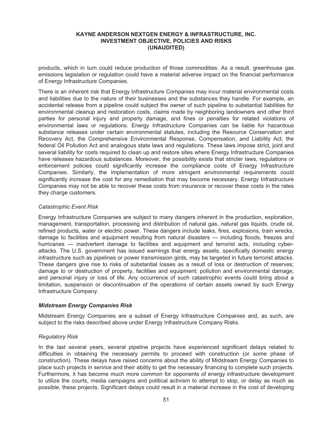products, which in turn could reduce production of those commodities. As a result, greenhouse gas emissions legislation or regulation could have a material adverse impact on the financial performance of Energy Infrastructure Companies.

There is an inherent risk that Energy Infrastructure Companies may incur material environmental costs and liabilities due to the nature of their businesses and the substances they handle. For example, an accidental release from a pipeline could subject the owner of such pipeline to substantial liabilities for environmental cleanup and restoration costs, claims made by neighboring landowners and other third parties for personal injury and property damage, and fines or penalties for related violations of environmental laws or regulations. Energy Infrastructure Companies can be liable for hazardous substance releases under certain environmental statutes, including the Resource Conservation and Recovery Act, the Comprehensive Environmental Response, Compensation, and Liability Act, the federal Oil Pollution Act and analogous state laws and regulations. These laws impose strict, joint and several liability for costs required to clean up and restore sites where Energy Infrastructure Companies have releases hazardous substances. Moreover, the possibility exists that stricter laws, regulations or enforcement policies could significantly increase the compliance costs of Energy Infrastructure Companies. Similarly, the implementation of more stringent environmental requirements could significantly increase the cost for any remediation that may become necessary. Energy Infrastructure Companies may not be able to recover these costs from insurance or recover these costs in the rates they charge customers.

## *Catastrophic Event Risk*

Energy Infrastructure Companies are subject to many dangers inherent in the production, exploration, management, transportation, processing and distribution of natural gas, natural gas liquids, crude oil, refined products, water or electric power. These dangers include leaks, fires, explosions, train wrecks, damage to facilities and equipment resulting from natural disasters — including floods, freezes and hurricanes — inadvertent damage to facilities and equipment and terrorist acts, including cyberattacks. The U.S. government has issued warnings that energy assets, specifically domestic energy infrastructure such as pipelines or power transmission girds, may be targeted in future terrorist attacks. These dangers give rise to risks of substantial losses as a result of loss or destruction of reserves; damage to or destruction of property, facilities and equipment; pollution and environmental damage; and personal injury or loss of life. Any occurrence of such catastrophic events could bring about a limitation, suspension or discontinuation of the operations of certain assets owned by such Energy Infrastructure Company.

## *Midstream Energy Companies Risk*

Midstream Energy Companies are a subset of Energy Infrastructure Companies and, as such, are subject to the risks described above under Energy Infrastructure Company Risks.

## *Regulatory Risk*

In the last several years, several pipeline projects have experienced significant delays related to difficulties in obtaining the necessary permits to proceed with construction (or some phase of construction). These delays have raised concerns about the ability of Midstream Energy Companies to place such projects in service and their ability to get the necessary financing to complete such projects. Furthermore, it has become much more common for opponents of energy infrastructure development to utilize the courts, media campaigns and political activism to attempt to stop, or delay as much as possible, these projects. Significant delays could result in a material increase in the cost of developing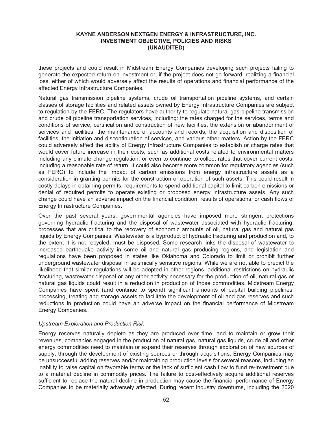these projects and could result in Midstream Energy Companies developing such projects failing to generate the expected return on investment or, if the project does not go forward, realizing a financial loss, either of which would adversely affect the results of operations and financial performance of the affected Energy Infrastructure Companies.

Natural gas transmission pipeline systems, crude oil transportation pipeline systems, and certain classes of storage facilities and related assets owned by Energy Infrastructure Companies are subject to regulation by the FERC. The regulators have authority to regulate natural gas pipeline transmission and crude oil pipeline transportation services, including: the rates charged for the services, terms and conditions of service, certification and construction of new facilities, the extension or abandonment of services and facilities, the maintenance of accounts and records, the acquisition and disposition of facilities, the initiation and discontinuation of services, and various other matters. Action by the FERC could adversely affect the ability of Energy Infrastructure Companies to establish or charge rates that would cover future increase in their costs, such as additional costs related to environmental matters including any climate change regulation, or even to continue to collect rates that cover current costs, including a reasonable rate of return. It could also become more common for regulatory agencies (such as FERC) to include the impact of carbon emissions from energy infrastructure assets as a consideration in granting permits for the construction or operation of such assets. This could result in costly delays in obtaining permits, requirements to spend additional capital to limit carbon emissions or denial of required permits to operate existing or proposed energy infrastructure assets. Any such change could have an adverse impact on the financial condition, results of operations, or cash flows of Energy Infrastructure Companies.

Over the past several years, governmental agencies have imposed more stringent protections governing hydraulic fracturing and the disposal of wastewater associated with hydraulic fracturing, processes that are critical to the recovery of economic amounts of oil, natural gas and natural gas liquids by Energy Companies. Wastewater is a byproduct of hydraulic fracturing and production and, to the extent it is not recycled, must be disposed. Some research links the disposal of wastewater to increased earthquake activity in some oil and natural gas producing regions, and legislation and regulations have been proposed in states like Oklahoma and Colorado to limit or prohibit further underground wastewater disposal in seismically sensitive regions. While we are not able to predict the likelihood that similar regulations will be adopted in other regions, additional restrictions on hydraulic fracturing, wastewater disposal or any other activity necessary for the production of oil, natural gas or natural gas liquids could result in a reduction in production of those commodities. Midstream Energy Companies have spent (and continue to spend) significant amounts of capital building pipelines, processing, treating and storage assets to facilitate the development of oil and gas reserves and such reductions in production could have an adverse impact on the financial performance of Midstream Energy Companies.

#### *Upstream Exploration and Production Risk*

Energy reserves naturally deplete as they are produced over time, and to maintain or grow their revenues, companies engaged in the production of natural gas, natural gas liquids, crude oil and other energy commodities need to maintain or expand their reserves through exploration of new sources of supply, through the development of existing sources or through acquisitions. Energy Companies may be unsuccessful adding reserves and/or maintaining production levels for several reasons, including an inability to raise capital on favorable terms or the lack of sufficient cash flow to fund re-investment due to a material decline in commodity prices. The failure to cost-effectively acquire additional reserves sufficient to replace the natural decline in production may cause the financial performance of Energy Companies to be materially adversely affected. During recent industry downturns, including the 2020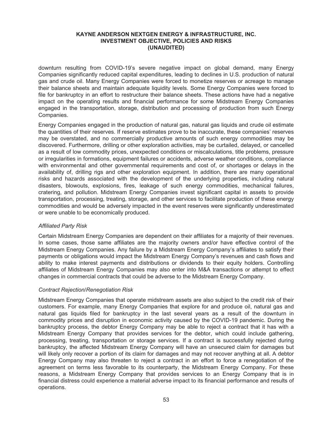downturn resulting from COVID-19's severe negative impact on global demand, many Energy Companies significantly reduced capital expenditures, leading to declines in U.S. production of natural gas and crude oil. Many Energy Companies were forced to monetize reserves or acreage to manage their balance sheets and maintain adequate liquidity levels. Some Energy Companies were forced to file for bankruptcy in an effort to restructure their balance sheets. These actions have had a negative impact on the operating results and financial performance for some Midstream Energy Companies engaged in the transportation, storage, distribution and processing of production from such Energy Companies.

Energy Companies engaged in the production of natural gas, natural gas liquids and crude oil estimate the quantities of their reserves. If reserve estimates prove to be inaccurate, these companies' reserves may be overstated, and no commercially productive amounts of such energy commodities may be discovered. Furthermore, drilling or other exploration activities, may be curtailed, delayed, or cancelled as a result of low commodity prices, unexpected conditions or miscalculations, title problems, pressure or irregularities in formations, equipment failures or accidents, adverse weather conditions, compliance with environmental and other governmental requirements and cost of, or shortages or delays in the availability of, drilling rigs and other exploration equipment. In addition, there are many operational risks and hazards associated with the development of the underlying properties, including natural disasters, blowouts, explosions, fires, leakage of such energy commodities, mechanical failures, cratering, and pollution. Midstream Energy Companies invest significant capital in assets to provide transportation, processing, treating, storage, and other services to facilitate production of these energy commodities and would be adversely impacted in the event reserves were significantly underestimated or were unable to be economically produced.

#### *Affiliated Party Risk*

Certain Midstream Energy Companies are dependent on their affiliates for a majority of their revenues. In some cases, those same affiliates are the majority owners and/or have effective control of the Midstream Energy Companies. Any failure by a Midstream Energy Company's affiliates to satisfy their payments or obligations would impact the Midstream Energy Company's revenues and cash flows and ability to make interest payments and distributions or dividends to their equity holders. Controlling affiliates of Midstream Energy Companies may also enter into M&A transactions or attempt to effect changes in commercial contracts that could be adverse to the Midstream Energy Company.

#### *Contract Rejection/Renegotiation Risk*

Midstream Energy Companies that operate midstream assets are also subject to the credit risk of their customers. For example, many Energy Companies that explore for and produce oil, natural gas and natural gas liquids filed for bankruptcy in the last several years as a result of the downturn in commodity prices and disruption in economic activity caused by the COVID-19 pandemic. During the bankruptcy process, the debtor Energy Company may be able to reject a contract that it has with a Midstream Energy Company that provides services for the debtor, which could include gathering, processing, treating, transportation or storage services. If a contract is successfully rejected during bankruptcy, the affected Midstream Energy Company will have an unsecured claim for damages but will likely only recover a portion of its claim for damages and may not recover anything at all. A debtor Energy Company may also threaten to reject a contract in an effort to force a renegotiation of the agreement on terms less favorable to its counterparty, the Midstream Energy Company. For these reasons, a Midstream Energy Company that provides services to an Energy Company that is in financial distress could experience a material adverse impact to its financial performance and results of operations.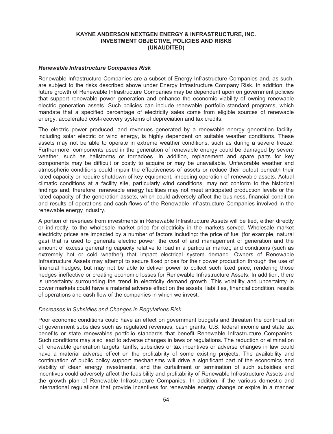#### *Renewable Infrastructure Companies Risk*

Renewable Infrastructure Companies are a subset of Energy Infrastructure Companies and, as such, are subject to the risks described above under Energy Infrastructure Company Risk. In addition, the future growth of Renewable Infrastructure Companies may be dependent upon on government policies that support renewable power generation and enhance the economic viability of owning renewable electric generation assets. Such policies can include renewable portfolio standard programs, which mandate that a specified percentage of electricity sales come from eligible sources of renewable energy, accelerated cost-recovery systems of depreciation and tax credits.

The electric power produced, and revenues generated by a renewable energy generation facility, including solar electric or wind energy, is highly dependent on suitable weather conditions. These assets may not be able to operate in extreme weather conditions, such as during a severe freeze. Furthermore, components used in the generation of renewable energy could be damaged by severe weather, such as hailstorms or tornadoes. In addition, replacement and spare parts for key components may be difficult or costly to acquire or may be unavailable. Unfavorable weather and atmospheric conditions could impair the effectiveness of assets or reduce their output beneath their rated capacity or require shutdown of key equipment, impeding operation of renewable assets. Actual climatic conditions at a facility site, particularly wind conditions, may not conform to the historical findings and, therefore, renewable energy facilities may not meet anticipated production levels or the rated capacity of the generation assets, which could adversely affect the business, financial condition and results of operations and cash flows of the Renewable Infrastructure Companies involved in the renewable energy industry.

A portion of revenues from investments in Renewable Infrastructure Assets will be tied, either directly or indirectly, to the wholesale market price for electricity in the markets served. Wholesale market electricity prices are impacted by a number of factors including: the price of fuel (for example, natural gas) that is used to generate electric power; the cost of and management of generation and the amount of excess generating capacity relative to load in a particular market; and conditions (such as extremely hot or cold weather) that impact electrical system demand. Owners of Renewable Infrastructure Assets may attempt to secure fixed prices for their power production through the use of financial hedges; but may not be able to deliver power to collect such fixed price, rendering those hedges ineffective or creating economic losses for Renewable Infrastructure Assets. In addition, there is uncertainty surrounding the trend in electricity demand growth. This volatility and uncertainty in power markets could have a material adverse effect on the assets, liabilities, financial condition, results of operations and cash flow of the companies in which we invest.

#### *Decreases in Subsidies and Changes in Regulations Risk*

Poor economic conditions could have an effect on government budgets and threaten the continuation of government subsidies such as regulated revenues, cash grants, U.S. federal income and state tax benefits or state renewables portfolio standards that benefit Renewable Infrastructure Companies. Such conditions may also lead to adverse changes in laws or regulations. The reduction or elimination of renewable generation targets, tariffs, subsidies or tax incentives or adverse changes in law could have a material adverse effect on the profitability of some existing projects. The availability and continuation of public policy support mechanisms will drive a significant part of the economics and viability of clean energy investments, and the curtailment or termination of such subsidies and incentives could adversely affect the feasibility and profitability of Renewable Infrastructure Assets and the growth plan of Renewable Infrastructure Companies. In addition, if the various domestic and international regulations that provide incentives for renewable energy change or expire in a manner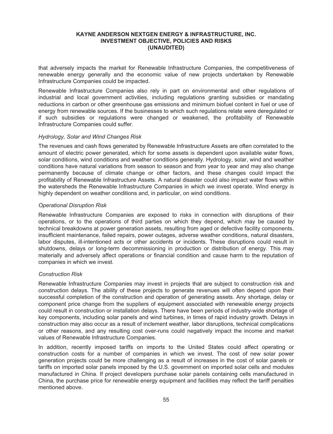that adversely impacts the market for Renewable Infrastructure Companies, the competitiveness of renewable energy generally and the economic value of new projects undertaken by Renewable Infrastructure Companies could be impacted.

Renewable Infrastructure Companies also rely in part on environmental and other regulations of industrial and local government activities, including regulations granting subsidies or mandating reductions in carbon or other greenhouse gas emissions and minimum biofuel content in fuel or use of energy from renewable sources. If the businesses to which such regulations relate were deregulated or if such subsidies or regulations were changed or weakened, the profitability of Renewable Infrastructure Companies could suffer.

## *Hydrology, Solar and Wind Changes Risk*

The revenues and cash flows generated by Renewable Infrastructure Assets are often correlated to the amount of electric power generated, which for some assets is dependent upon available water flows, solar conditions, wind conditions and weather conditions generally. Hydrology, solar, wind and weather conditions have natural variations from season to season and from year to year and may also change permanently because of climate change or other factors, and these changes could impact the profitability of Renewable Infrastructure Assets. A natural disaster could also impact water flows within the watersheds the Renewable Infrastructure Companies in which we invest operate. Wind energy is highly dependent on weather conditions and, in particular, on wind conditions.

## *Operational Disruption Risk*

Renewable Infrastructure Companies are exposed to risks in connection with disruptions of their operations, or to the operations of third parties on which they depend, which may be caused by technical breakdowns at power generation assets, resulting from aged or defective facility components, insufficient maintenance, failed repairs, power outages, adverse weather conditions, natural disasters, labor disputes, ill-intentioned acts or other accidents or incidents. These disruptions could result in shutdowns, delays or long-term decommissioning in production or distribution of energy. This may materially and adversely affect operations or financial condition and cause harm to the reputation of companies in which we invest.

## *Construction Risk*

Renewable Infrastructure Companies may invest in projects that are subject to construction risk and construction delays. The ability of these projects to generate revenues will often depend upon their successful completion of the construction and operation of generating assets. Any shortage, delay or component price change from the suppliers of equipment associated with renewable energy projects could result in construction or installation delays. There have been periods of industry-wide shortage of key components, including solar panels and wind turbines, in times of rapid industry growth. Delays in construction may also occur as a result of inclement weather, labor disruptions, technical complications or other reasons, and any resulting cost over-runs could negatively impact the income and market values of Renewable Infrastructure Companies.

In addition, recently imposed tariffs on imports to the United States could affect operating or construction costs for a number of companies in which we invest. The cost of new solar power generation projects could be more challenging as a result of increases in the cost of solar panels or tariffs on imported solar panels imposed by the U.S. government on imported solar cells and modules manufactured in China. If project developers purchase solar panels containing cells manufactured in China, the purchase price for renewable energy equipment and facilities may reflect the tariff penalties mentioned above.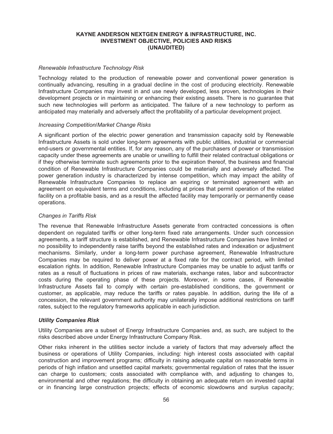### *Renewable Infrastructure Technology Risk*

Technology related to the production of renewable power and conventional power generation is continually advancing, resulting in a gradual decline in the cost of producing electricity. Renewable Infrastructure Companies may invest in and use newly developed, less proven, technologies in their development projects or in maintaining or enhancing their existing assets. There is no guarantee that such new technologies will perform as anticipated. The failure of a new technology to perform as anticipated may materially and adversely affect the profitability of a particular development project.

#### *Increasing Competition/Market Change Risks*

A significant portion of the electric power generation and transmission capacity sold by Renewable Infrastructure Assets is sold under long-term agreements with public utilities, industrial or commercial end-users or governmental entities. If, for any reason, any of the purchasers of power or transmission capacity under these agreements are unable or unwilling to fulfill their related contractual obligations or if they otherwise terminate such agreements prior to the expiration thereof, the business and financial condition of Renewable Infrastructure Companies could be materially and adversely affected. The power generation industry is characterized by intense competition, which may impact the ability of Renewable Infrastructure Companies to replace an expiring or terminated agreement with an agreement on equivalent terms and conditions, including at prices that permit operation of the related facility on a profitable basis, and as a result the affected facility may temporarily or permanently cease operations.

#### *Changes in Tariffs Risk*

The revenue that Renewable Infrastructure Assets generate from contracted concessions is often dependent on regulated tariffs or other long-term fixed rate arrangements. Under such concession agreements, a tariff structure is established, and Renewable Infrastructure Companies have limited or no possibility to independently raise tariffs beyond the established rates and indexation or adjustment mechanisms. Similarly, under a long-term power purchase agreement, Renewable Infrastructure Companies may be required to deliver power at a fixed rate for the contract period, with limited escalation rights. In addition, Renewable Infrastructure Companies may be unable to adjust tariffs or rates as a result of fluctuations in prices of raw materials, exchange rates, labor and subcontractor costs during the operating phase of these projects. Moreover, in some cases, if Renewable Infrastructure Assets fail to comply with certain pre-established conditions, the government or customer, as applicable, may reduce the tariffs or rates payable. In addition, during the life of a concession, the relevant government authority may unilaterally impose additional restrictions on tariff rates, subject to the regulatory frameworks applicable in each jurisdiction.

#### *Utility Companies Risk*

Utility Companies are a subset of Energy Infrastructure Companies and, as such, are subject to the risks described above under Energy Infrastructure Company Risk.

Other risks inherent in the utilities sector include a variety of factors that may adversely affect the business or operations of Utility Companies, including: high interest costs associated with capital construction and improvement programs; difficulty in raising adequate capital on reasonable terms in periods of high inflation and unsettled capital markets; governmental regulation of rates that the issuer can charge to customers; costs associated with compliance with, and adjusting to changes to, environmental and other regulations; the difficulty in obtaining an adequate return on invested capital or in financing large construction projects; effects of economic slowdowns and surplus capacity;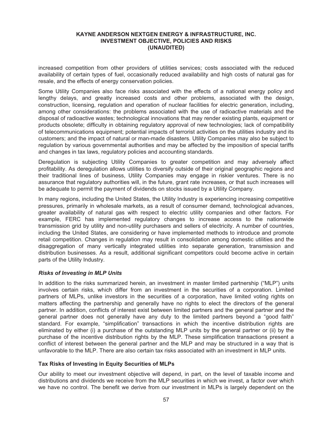increased competition from other providers of utilities services; costs associated with the reduced availability of certain types of fuel, occasionally reduced availability and high costs of natural gas for resale, and the effects of energy conservation policies.

Some Utility Companies also face risks associated with the effects of a national energy policy and lengthy delays, and greatly increased costs and other problems, associated with the design, construction, licensing, regulation and operation of nuclear facilities for electric generation, including, among other considerations: the problems associated with the use of radioactive materials and the disposal of radioactive wastes; technological innovations that may render existing plants, equipment or products obsolete; difficulty in obtaining regulatory approval of new technologies; lack of compatibility of telecommunications equipment; potential impacts of terrorist activities on the utilities industry and its customers; and the impact of natural or man-made disasters. Utility Companies may also be subject to regulation by various governmental authorities and may be affected by the imposition of special tariffs and changes in tax laws, regulatory policies and accounting standards.

Deregulation is subjecting Utility Companies to greater competition and may adversely affect profitability. As deregulation allows utilities to diversify outside of their original geographic regions and their traditional lines of business, Utility Companies may engage in riskier ventures. There is no assurance that regulatory authorities will, in the future, grant rate increases, or that such increases will be adequate to permit the payment of dividends on stocks issued by a Utility Company.

In many regions, including the United States, the Utility Industry is experiencing increasing competitive pressures, primarily in wholesale markets, as a result of consumer demand, technological advances, greater availability of natural gas with respect to electric utility companies and other factors. For example, FERC has implemented regulatory changes to increase access to the nationwide transmission grid by utility and non-utility purchasers and sellers of electricity. A number of countries, including the United States, are considering or have implemented methods to introduce and promote retail competition. Changes in regulation may result in consolidation among domestic utilities and the disaggregation of many vertically integrated utilities into separate generation, transmission and distribution businesses. As a result, additional significant competitors could become active in certain parts of the Utility Industry.

## *Risks of Investing in MLP Units*

In addition to the risks summarized herein, an investment in master limited partnership ("MLP") units involves certain risks, which differ from an investment in the securities of a corporation. Limited partners of MLPs, unlike investors in the securities of a corporation, have limited voting rights on matters affecting the partnership and generally have no rights to elect the directors of the general partner. In addition, conflicts of interest exist between limited partners and the general partner and the general partner does not generally have any duty to the limited partners beyond a "good faith" standard. For example, "simplification" transactions in which the incentive distribution rights are eliminated by either (i) a purchase of the outstanding MLP units by the general partner or (ii) by the purchase of the incentive distribution rights by the MLP. These simplification transactions present a conflict of interest between the general partner and the MLP and may be structured in a way that is unfavorable to the MLP. There are also certain tax risks associated with an investment in MLP units.

## **Tax Risks of Investing in Equity Securities of MLPs**

Our ability to meet our investment objective will depend, in part, on the level of taxable income and distributions and dividends we receive from the MLP securities in which we invest, a factor over which we have no control. The benefit we derive from our investment in MLPs is largely dependent on the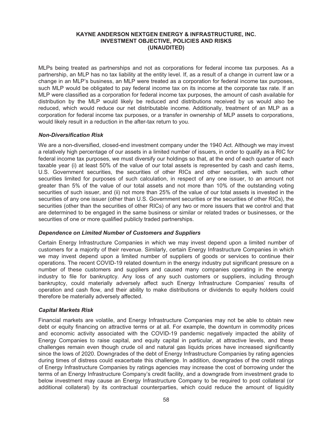MLPs being treated as partnerships and not as corporations for federal income tax purposes. As a partnership, an MLP has no tax liability at the entity level. If, as a result of a change in current law or a change in an MLP's business, an MLP were treated as a corporation for federal income tax purposes, such MLP would be obligated to pay federal income tax on its income at the corporate tax rate. If an MLP were classified as a corporation for federal income tax purposes, the amount of cash available for distribution by the MLP would likely be reduced and distributions received by us would also be reduced, which would reduce our net distributable income. Additionally, treatment of an MLP as a corporation for federal income tax purposes, or a transfer in ownership of MLP assets to corporations, would likely result in a reduction in the after-tax return to you.

## *Non-Diversification Risk*

We are a non-diversified, closed-end investment company under the 1940 Act. Although we may invest a relatively high percentage of our assets in a limited number of issuers, in order to qualify as a RIC for federal income tax purposes, we must diversify our holdings so that, at the end of each quarter of each taxable year (i) at least 50% of the value of our total assets is represented by cash and cash items, U.S. Government securities, the securities of other RICs and other securities, with such other securities limited for purposes of such calculation, in respect of any one issuer, to an amount not greater than 5% of the value of our total assets and not more than 10% of the outstanding voting securities of such issuer, and (ii) not more than 25% of the value of our total assets is invested in the securities of any one issuer (other than U.S. Government securities or the securities of other RICs), the securities (other than the securities of other RICs) of any two or more issuers that we control and that are determined to be engaged in the same business or similar or related trades or businesses, or the securities of one or more qualified publicly traded partnerships.

#### *Dependence on Limited Number of Customers and Suppliers*

Certain Energy Infrastructure Companies in which we may invest depend upon a limited number of customers for a majority of their revenue. Similarly, certain Energy Infrastructure Companies in which we may invest depend upon a limited number of suppliers of goods or services to continue their operations. The recent COVID-19 related downturn in the energy industry put significant pressure on a number of these customers and suppliers and caused many companies operating in the energy industry to file for bankruptcy. Any loss of any such customers or suppliers, including through bankruptcy, could materially adversely affect such Energy Infrastructure Companies' results of operation and cash flow, and their ability to make distributions or dividends to equity holders could therefore be materially adversely affected.

### *Capital Markets Risk*

Financial markets are volatile, and Energy Infrastructure Companies may not be able to obtain new debt or equity financing on attractive terms or at all. For example, the downturn in commodity prices and economic activity associated with the COVID-19 pandemic negatively impacted the ability of Energy Companies to raise capital, and equity capital in particular, at attractive levels, and these challenges remain even though crude oil and natural gas liquids prices have increased significantly since the lows of 2020. Downgrades of the debt of Energy Infrastructure Companies by rating agencies during times of distress could exacerbate this challenge. In addition, downgrades of the credit ratings of Energy Infrastructure Companies by ratings agencies may increase the cost of borrowing under the terms of an Energy Infrastructure Company's credit facility, and a downgrade from investment grade to below investment may cause an Energy Infrastructure Company to be required to post collateral (or additional collateral) by its contractual counterparties, which could reduce the amount of liquidity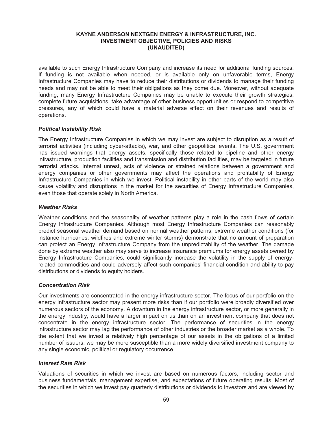available to such Energy Infrastructure Company and increase its need for additional funding sources. If funding is not available when needed, or is available only on unfavorable terms, Energy Infrastructure Companies may have to reduce their distributions or dividends to manage their funding needs and may not be able to meet their obligations as they come due. Moreover, without adequate funding, many Energy Infrastructure Companies may be unable to execute their growth strategies, complete future acquisitions, take advantage of other business opportunities or respond to competitive pressures, any of which could have a material adverse effect on their revenues and results of operations.

#### *Political Instability Risk*

The Energy Infrastructure Companies in which we may invest are subject to disruption as a result of terrorist activities (including cyber-attacks), war, and other geopolitical events. The U.S. government has issued warnings that energy assets, specifically those related to pipeline and other energy infrastructure, production facilities and transmission and distribution facilities, may be targeted in future terrorist attacks. Internal unrest, acts of violence or strained relations between a government and energy companies or other governments may affect the operations and profitability of Energy Infrastructure Companies in which we invest. Political instability in other parts of the world may also cause volatility and disruptions in the market for the securities of Energy Infrastructure Companies, even those that operate solely in North America.

#### *Weather Risks*

Weather conditions and the seasonality of weather patterns play a role in the cash flows of certain Energy Infrastructure Companies. Although most Energy Infrastructure Companies can reasonably predict seasonal weather demand based on normal weather patterns, extreme weather conditions (for instance hurricanes, wildfires and extreme winter storms) demonstrate that no amount of preparation can protect an Energy Infrastructure Company from the unpredictability of the weather. The damage done by extreme weather also may serve to increase insurance premiums for energy assets owned by Energy Infrastructure Companies, could significantly increase the volatility in the supply of energyrelated commodities and could adversely affect such companies' financial condition and ability to pay distributions or dividends to equity holders.

#### *Concentration Risk*

Our investments are concentrated in the energy infrastructure sector. The focus of our portfolio on the energy infrastructure sector may present more risks than if our portfolio were broadly diversified over numerous sectors of the economy. A downturn in the energy infrastructure sector, or more generally in the energy industry, would have a larger impact on us than on an investment company that does not concentrate in the energy infrastructure sector. The performance of securities in the energy infrastructure sector may lag the performance of other industries or the broader market as a whole. To the extent that we invest a relatively high percentage of our assets in the obligations of a limited number of issuers, we may be more susceptible than a more widely diversified investment company to any single economic, political or regulatory occurrence.

### *Interest Rate Risk*

Valuations of securities in which we invest are based on numerous factors, including sector and business fundamentals, management expertise, and expectations of future operating results. Most of the securities in which we invest pay quarterly distributions or dividends to investors and are viewed by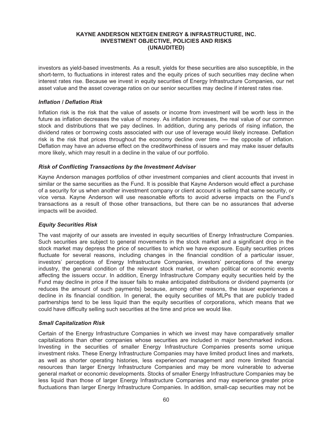investors as yield-based investments. As a result, yields for these securities are also susceptible, in the short-term, to fluctuations in interest rates and the equity prices of such securities may decline when interest rates rise. Because we invest in equity securities of Energy Infrastructure Companies, our net asset value and the asset coverage ratios on our senior securities may decline if interest rates rise.

### *Inflation / Deflation Risk*

Inflation risk is the risk that the value of assets or income from investment will be worth less in the future as inflation decreases the value of money. As inflation increases, the real value of our common stock and distributions that we pay declines. In addition, during any periods of rising inflation, the dividend rates or borrowing costs associated with our use of leverage would likely increase. Deflation risk is the risk that prices throughout the economy decline over time — the opposite of inflation. Deflation may have an adverse effect on the creditworthiness of issuers and may make issuer defaults more likely, which may result in a decline in the value of our portfolio.

#### *Risk of Conflicting Transactions by the Investment Adviser*

Kayne Anderson manages portfolios of other investment companies and client accounts that invest in similar or the same securities as the Fund. It is possible that Kayne Anderson would effect a purchase of a security for us when another investment company or client account is selling that same security, or vice versa. Kayne Anderson will use reasonable efforts to avoid adverse impacts on the Fund's transactions as a result of those other transactions, but there can be no assurances that adverse impacts will be avoided.

## *Equity Securities Risk*

The vast majority of our assets are invested in equity securities of Energy Infrastructure Companies. Such securities are subject to general movements in the stock market and a significant drop in the stock market may depress the price of securities to which we have exposure. Equity securities prices fluctuate for several reasons, including changes in the financial condition of a particular issuer, investors' perceptions of Energy Infrastructure Companies, investors' perceptions of the energy industry, the general condition of the relevant stock market, or when political or economic events affecting the issuers occur. In addition, Energy Infrastructure Company equity securities held by the Fund may decline in price if the issuer fails to make anticipated distributions or dividend payments (or reduces the amount of such payments) because, among other reasons, the issuer experiences a decline in its financial condition. In general, the equity securities of MLPs that are publicly traded partnerships tend to be less liquid than the equity securities of corporations, which means that we could have difficulty selling such securities at the time and price we would like.

## *Small Capitalization Risk*

Certain of the Energy Infrastructure Companies in which we invest may have comparatively smaller capitalizations than other companies whose securities are included in major benchmarked indices. Investing in the securities of smaller Energy Infrastructure Companies presents some unique investment risks. These Energy Infrastructure Companies may have limited product lines and markets, as well as shorter operating histories, less experienced management and more limited financial resources than larger Energy Infrastructure Companies and may be more vulnerable to adverse general market or economic developments. Stocks of smaller Energy Infrastructure Companies may be less liquid than those of larger Energy Infrastructure Companies and may experience greater price fluctuations than larger Energy Infrastructure Companies. In addition, small-cap securities may not be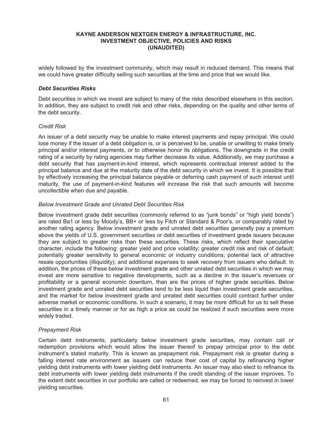widely followed by the investment community, which may result in reduced demand. This means that we could have greater difficulty selling such securities at the time and price that we would like.

#### *Debt Securities Risks*

Debt securities in which we invest are subject to many of the risks described elsewhere in this section. In addition, they are subject to credit risk and other risks, depending on the quality and other terms of the debt security.

#### *Credit Risk*

An issuer of a debt security may be unable to make interest payments and repay principal. We could lose money if the issuer of a debt obligation is, or is perceived to be, unable or unwilling to make timely principal and/or interest payments, or to otherwise honor its obligations. The downgrade in the credit rating of a security by rating agencies may further decrease its value. Additionally, we may purchase a debt security that has payment-in-kind interest, which represents contractual interest added to the principal balance and due at the maturity date of the debt security in which we invest. It is possible that by effectively increasing the principal balance payable or deferring cash payment of such interest until maturity, the use of payment-in-kind features will increase the risk that such amounts will become uncollectible when due and payable.

## *Below Investment Grade and Unrated Debt Securities Risk*

Below investment grade debt securities (commonly referred to as "junk bonds" or "high yield bonds") are rated Ba1 or less by Moody's, BB+ or less by Fitch or Standard & Poor's, or comparably rated by another rating agency. Below investment grade and unrated debt securities generally pay a premium above the yields of U.S. government securities or debt securities of investment grade issuers because they are subject to greater risks than these securities. These risks, which reflect their speculative character, include the following: greater yield and price volatility; greater credit risk and risk of default; potentially greater sensitivity to general economic or industry conditions; potential lack of attractive resale opportunities (illiquidity); and additional expenses to seek recovery from issuers who default. In addition, the prices of these below investment grade and other unrated debt securities in which we may invest are more sensitive to negative developments, such as a decline in the issuer's revenues or profitability or a general economic downturn, than are the prices of higher grade securities. Below investment grade and unrated debt securities tend to be less liquid than investment grade securities, and the market for below investment grade and unrated debt securities could contract further under adverse market or economic conditions. In such a scenario, it may be more difficult for us to sell these securities in a timely manner or for as high a price as could be realized if such securities were more widely traded.

## *Prepayment Risk*

Certain debt instruments, particularly below investment grade securities, may contain call or redemption provisions which would allow the issuer thereof to prepay principal prior to the debt instrument's stated maturity. This is known as prepayment risk. Prepayment risk is greater during a falling interest rate environment as issuers can reduce their cost of capital by refinancing higher yielding debt instruments with lower yielding debt instruments. An issuer may also elect to refinance its debt instruments with lower yielding debt instruments if the credit standing of the issuer improves. To the extent debt securities in our portfolio are called or redeemed, we may be forced to reinvest in lower yielding securities.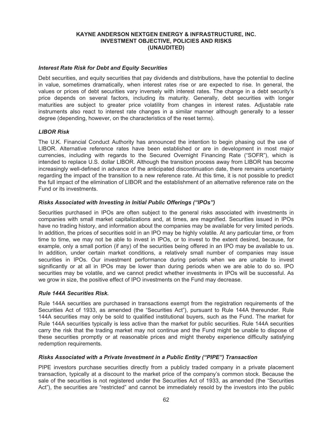### *Interest Rate Risk for Debt and Equity Securities*

Debt securities, and equity securities that pay dividends and distributions, have the potential to decline in value, sometimes dramatically, when interest rates rise or are expected to rise. In general, the values or prices of debt securities vary inversely with interest rates. The change in a debt security's price depends on several factors, including its maturity. Generally, debt securities with longer maturities are subject to greater price volatility from changes in interest rates. Adjustable rate instruments also react to interest rate changes in a similar manner although generally to a lesser degree (depending, however, on the characteristics of the reset terms).

#### *LIBOR Risk*

The U.K. Financial Conduct Authority has announced the intention to begin phasing out the use of LIBOR. Alternative reference rates have been established or are in development in most major currencies, including with regards to the Secured Overnight Financing Rate ("SOFR"), which is intended to replace U.S. dollar LIBOR. Although the transition process away from LIBOR has become increasingly well-defined in advance of the anticipated discontinuation date, there remains uncertainty regarding the impact of the transition to a new reference rate. At this time, it is not possible to predict the full impact of the elimination of LIBOR and the establishment of an alternative reference rate on the Fund or its investments.

### *Risks Associated with Investing in Initial Public Offerings ("IPOs")*

Securities purchased in IPOs are often subject to the general risks associated with investments in companies with small market capitalizations and, at times, are magnified. Securities issued in IPOs have no trading history, and information about the companies may be available for very limited periods. In addition, the prices of securities sold in an IPO may be highly volatile. At any particular time, or from time to time, we may not be able to invest in IPOs, or to invest to the extent desired, because, for example, only a small portion (if any) of the securities being offered in an IPO may be available to us. In addition, under certain market conditions, a relatively small number of companies may issue securities in IPOs. Our investment performance during periods when we are unable to invest significantly or at all in IPOs may be lower than during periods when we are able to do so. IPO securities may be volatile, and we cannot predict whether investments in IPOs will be successful. As we grow in size, the positive effect of IPO investments on the Fund may decrease.

### *Rule 144A Securities Risk.*

Rule 144A securities are purchased in transactions exempt from the registration requirements of the Securities Act of 1933, as amended (the "Securities Act"), pursuant to Rule 144A thereunder. Rule 144A securities may only be sold to qualified institutional buyers, such as the Fund. The market for Rule 144A securities typically is less active than the market for public securities. Rule 144A securities carry the risk that the trading market may not continue and the Fund might be unable to dispose of these securities promptly or at reasonable prices and might thereby experience difficulty satisfying redemption requirements.

# *Risks Associated with a Private Investment in a Public Entity ("PIPE") Transaction*

PIPE investors purchase securities directly from a publicly traded company in a private placement transaction, typically at a discount to the market price of the company's common stock. Because the sale of the securities is not registered under the Securities Act of 1933, as amended (the "Securities Act"), the securities are "restricted" and cannot be immediately resold by the investors into the public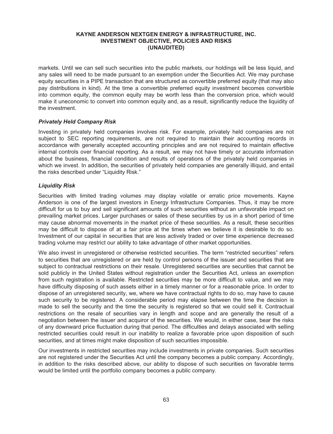markets. Until we can sell such securities into the public markets, our holdings will be less liquid, and any sales will need to be made pursuant to an exemption under the Securities Act. We may purchase equity securities in a PIPE transaction that are structured as convertible preferred equity (that may also pay distributions in kind). At the time a convertible preferred equity investment becomes convertible into common equity, the common equity may be worth less than the conversion price, which would make it uneconomic to convert into common equity and, as a result, significantly reduce the liquidity of the investment.

#### *Privately Held Company Risk*

Investing in privately held companies involves risk. For example, privately held companies are not subject to SEC reporting requirements, are not required to maintain their accounting records in accordance with generally accepted accounting principles and are not required to maintain effective internal controls over financial reporting. As a result, we may not have timely or accurate information about the business, financial condition and results of operations of the privately held companies in which we invest. In addition, the securities of privately held companies are generally illiquid, and entail the risks described under "Liquidity Risk."

#### *Liquidity Risk*

Securities with limited trading volumes may display volatile or erratic price movements. Kayne Anderson is one of the largest investors in Energy Infrastructure Companies. Thus, it may be more difficult for us to buy and sell significant amounts of such securities without an unfavorable impact on prevailing market prices. Larger purchases or sales of these securities by us in a short period of time may cause abnormal movements in the market price of these securities. As a result, these securities may be difficult to dispose of at a fair price at the times when we believe it is desirable to do so. Investment of our capital in securities that are less actively traded or over time experience decreased trading volume may restrict our ability to take advantage of other market opportunities.

We also invest in unregistered or otherwise restricted securities. The term "restricted securities" refers to securities that are unregistered or are held by control persons of the issuer and securities that are subject to contractual restrictions on their resale. Unregistered securities are securities that cannot be sold publicly in the United States without registration under the Securities Act, unless an exemption from such registration is available. Restricted securities may be more difficult to value, and we may have difficulty disposing of such assets either in a timely manner or for a reasonable price. In order to dispose of an unregistered security, we, where we have contractual rights to do so, may have to cause such security to be registered. A considerable period may elapse between the time the decision is made to sell the security and the time the security is registered so that we could sell it. Contractual restrictions on the resale of securities vary in length and scope and are generally the result of a negotiation between the issuer and acquiror of the securities. We would, in either case, bear the risks of any downward price fluctuation during that period. The difficulties and delays associated with selling restricted securities could result in our inability to realize a favorable price upon disposition of such securities, and at times might make disposition of such securities impossible.

Our investments in restricted securities may include investments in private companies. Such securities are not registered under the Securities Act until the company becomes a public company. Accordingly, in addition to the risks described above, our ability to dispose of such securities on favorable terms would be limited until the portfolio company becomes a public company.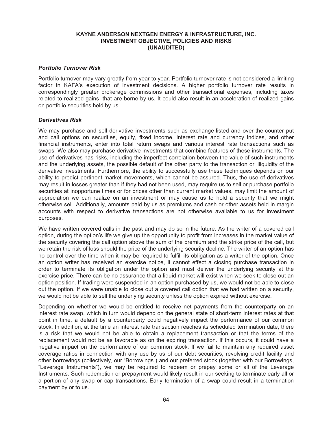### *Portfolio Turnover Risk*

Portfolio turnover may vary greatly from year to year. Portfolio turnover rate is not considered a limiting factor in KAFA's execution of investment decisions. A higher portfolio turnover rate results in correspondingly greater brokerage commissions and other transactional expenses, including taxes related to realized gains, that are borne by us. It could also result in an acceleration of realized gains on portfolio securities held by us.

### *Derivatives Risk*

We may purchase and sell derivative investments such as exchange-listed and over-the-counter put and call options on securities, equity, fixed income, interest rate and currency indices, and other financial instruments, enter into total return swaps and various interest rate transactions such as swaps. We also may purchase derivative investments that combine features of these instruments. The use of derivatives has risks, including the imperfect correlation between the value of such instruments and the underlying assets, the possible default of the other party to the transaction or illiquidity of the derivative investments. Furthermore, the ability to successfully use these techniques depends on our ability to predict pertinent market movements, which cannot be assured. Thus, the use of derivatives may result in losses greater than if they had not been used, may require us to sell or purchase portfolio securities at inopportune times or for prices other than current market values, may limit the amount of appreciation we can realize on an investment or may cause us to hold a security that we might otherwise sell. Additionally, amounts paid by us as premiums and cash or other assets held in margin accounts with respect to derivative transactions are not otherwise available to us for investment purposes.

We have written covered calls in the past and may do so in the future. As the writer of a covered call option, during the option's life we give up the opportunity to profit from increases in the market value of the security covering the call option above the sum of the premium and the strike price of the call, but we retain the risk of loss should the price of the underlying security decline. The writer of an option has no control over the time when it may be required to fulfill its obligation as a writer of the option. Once an option writer has received an exercise notice, it cannot effect a closing purchase transaction in order to terminate its obligation under the option and must deliver the underlying security at the exercise price. There can be no assurance that a liquid market will exist when we seek to close out an option position. If trading were suspended in an option purchased by us, we would not be able to close out the option. If we were unable to close out a covered call option that we had written on a security, we would not be able to sell the underlying security unless the option expired without exercise.

Depending on whether we would be entitled to receive net payments from the counterparty on an interest rate swap, which in turn would depend on the general state of short-term interest rates at that point in time, a default by a counterparty could negatively impact the performance of our common stock. In addition, at the time an interest rate transaction reaches its scheduled termination date, there is a risk that we would not be able to obtain a replacement transaction or that the terms of the replacement would not be as favorable as on the expiring transaction. If this occurs, it could have a negative impact on the performance of our common stock. If we fail to maintain any required asset coverage ratios in connection with any use by us of our debt securities, revolving credit facility and other borrowings (collectively, our "Borrowings") and our preferred stock (together with our Borrowings, "Leverage Instruments"), we may be required to redeem or prepay some or all of the Leverage Instruments. Such redemption or prepayment would likely result in our seeking to terminate early all or a portion of any swap or cap transactions. Early termination of a swap could result in a termination payment by or to us.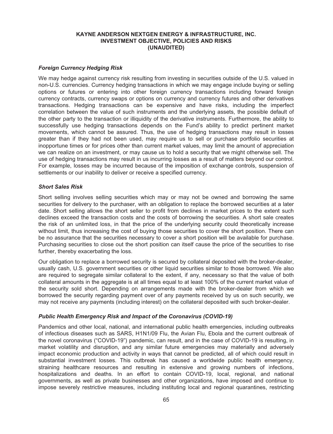### *Foreign Currency Hedging Risk*

We may hedge against currency risk resulting from investing in securities outside of the U.S. valued in non-U.S. currencies. Currency hedging transactions in which we may engage include buying or selling options or futures or entering into other foreign currency transactions including forward foreign currency contracts, currency swaps or options on currency and currency futures and other derivatives transactions. Hedging transactions can be expensive and have risks, including the imperfect correlation between the value of such instruments and the underlying assets, the possible default of the other party to the transaction or illiquidity of the derivative instruments. Furthermore, the ability to successfully use hedging transactions depends on the Fund's ability to predict pertinent market movements, which cannot be assured. Thus, the use of hedging transactions may result in losses greater than if they had not been used, may require us to sell or purchase portfolio securities at inopportune times or for prices other than current market values, may limit the amount of appreciation we can realize on an investment, or may cause us to hold a security that we might otherwise sell. The use of hedging transactions may result in us incurring losses as a result of matters beyond our control. For example, losses may be incurred because of the imposition of exchange controls, suspension of settlements or our inability to deliver or receive a specified currency.

#### *Short Sales Risk*

Short selling involves selling securities which may or may not be owned and borrowing the same securities for delivery to the purchaser, with an obligation to replace the borrowed securities at a later date. Short selling allows the short seller to profit from declines in market prices to the extent such declines exceed the transaction costs and the costs of borrowing the securities. A short sale creates the risk of an unlimited loss, in that the price of the underlying security could theoretically increase without limit, thus increasing the cost of buying those securities to cover the short position. There can be no assurance that the securities necessary to cover a short position will be available for purchase. Purchasing securities to close out the short position can itself cause the price of the securities to rise further, thereby exacerbating the loss.

Our obligation to replace a borrowed security is secured by collateral deposited with the broker-dealer, usually cash, U.S. government securities or other liquid securities similar to those borrowed. We also are required to segregate similar collateral to the extent, if any, necessary so that the value of both collateral amounts in the aggregate is at all times equal to at least 100% of the current market value of the security sold short. Depending on arrangements made with the broker-dealer from which we borrowed the security regarding payment over of any payments received by us on such security, we may not receive any payments (including interest) on the collateral deposited with such broker-dealer.

## *Public Health Emergency Risk and Impact of the Coronavirus (COVID-19)*

Pandemics and other local, national, and international public health emergencies, including outbreaks of infectious diseases such as SARS, H1N1/09 Flu, the Avian Flu, Ebola and the current outbreak of the novel coronavirus ("COVID-19") pandemic, can result, and in the case of COVID-19 is resulting, in market volatility and disruption, and any similar future emergencies may materially and adversely impact economic production and activity in ways that cannot be predicted, all of which could result in substantial investment losses. This outbreak has caused a worldwide public health emergency, straining healthcare resources and resulting in extensive and growing numbers of infections, hospitalizations and deaths. In an effort to contain COVID-19, local, regional, and national governments, as well as private businesses and other organizations, have imposed and continue to impose severely restrictive measures, including instituting local and regional quarantines, restricting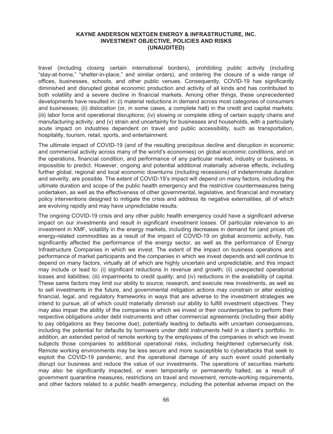travel (including closing certain international borders), prohibiting public activity (including "stay-at-home," "shelter-in-place," and similar orders), and ordering the closure of a wide range of offices, businesses, schools, and other public venues. Consequently, COVID-19 has significantly diminished and disrupted global economic production and activity of all kinds and has contributed to both volatility and a severe decline in financial markets. Among other things, these unprecedented developments have resulted in: (i) material reductions in demand across most categories of consumers and businesses; (ii) dislocation (or, in some cases, a complete halt) in the credit and capital markets; (iii) labor force and operational disruptions; (iv) slowing or complete idling of certain supply chains and manufacturing activity; and (v) strain and uncertainty for businesses and households, with a particularly acute impact on industries dependent on travel and public accessibility, such as transportation, hospitality, tourism, retail, sports, and entertainment.

The ultimate impact of COVID-19 (and of the resulting precipitous decline and disruption in economic and commercial activity across many of the world's economies) on global economic conditions, and on the operations, financial condition, and performance of any particular market, industry or business, is impossible to predict. However, ongoing and potential additional materially adverse effects, including further global, regional and local economic downturns (including recessions) of indeterminate duration and severity, are possible. The extent of COVID-19's impact will depend on many factors, including the ultimate duration and scope of the public health emergency and the restrictive countermeasures being undertaken, as well as the effectiveness of other governmental, legislative, and financial and monetary policy interventions designed to mitigate the crisis and address its negative externalities, all of which are evolving rapidly and may have unpredictable results.

The ongoing COVID-19 crisis and any other public health emergency could have a significant adverse impact on our investments and result in significant investment losses. Of particular relevance to an investment in KMF, volatility in the energy markets, including decreases in demand for (and prices of) energy-related commodities as a result of the impact of COVID-19 on global economic activity, has significantly affected the performance of the energy sector, as well as the performance of Energy Infrastructure Companies in which we invest. The extent of the impact on business operations and performance of market participants and the companies in which we invest depends and will continue to depend on many factors, virtually all of which are highly uncertain and unpredictable, and this impact may include or lead to: (i) significant reductions in revenue and growth; (ii) unexpected operational losses and liabilities; (iii) impairments to credit quality; and (iv) reductions in the availability of capital. These same factors may limit our ability to source, research, and execute new investments, as well as to sell investments in the future, and governmental mitigation actions may constrain or alter existing financial, legal, and regulatory frameworks in ways that are adverse to the investment strategies we intend to pursue, all of which could materially diminish our ability to fulfill investment objectives. They may also impair the ability of the companies in which we invest or their counterparties to perform their respective obligations under debt instruments and other commercial agreements (including their ability to pay obligations as they become due), potentially leading to defaults with uncertain consequences, including the potential for defaults by borrowers under debt instruments held in a client's portfolio. In addition, an extended period of remote working by the employees of the companies in which we invest subjects those companies to additional operational risks, including heightened cybersecurity risk. Remote working environments may be less secure and more susceptible to cyberattacks that seek to exploit the COVID-19 pandemic, and the operational damage of any such event could potentially disrupt our business and reduce the value of our investments. The operations of securities markets may also be significantly impacted, or even temporarily or permanently halted, as a result of government quarantine measures, restrictions on travel and movement, remote-working requirements, and other factors related to a public health emergency, including the potential adverse impact on the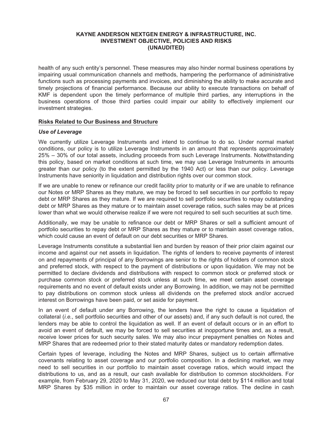health of any such entity's personnel. These measures may also hinder normal business operations by impairing usual communication channels and methods, hampering the performance of administrative functions such as processing payments and invoices, and diminishing the ability to make accurate and timely projections of financial performance. Because our ability to execute transactions on behalf of KMF is dependent upon the timely performance of multiple third parties, any interruptions in the business operations of those third parties could impair our ability to effectively implement our investment strategies.

#### **Risks Related to Our Business and Structure**

### *Use of Leverage*

We currently utilize Leverage Instruments and intend to continue to do so. Under normal market conditions, our policy is to utilize Leverage Instruments in an amount that represents approximately 25% – 30% of our total assets, including proceeds from such Leverage Instruments. Notwithstanding this policy, based on market conditions at such time, we may use Leverage Instruments in amounts greater than our policy (to the extent permitted by the 1940 Act) or less than our policy. Leverage Instruments have seniority in liquidation and distribution rights over our common stock.

If we are unable to renew or refinance our credit facility prior to maturity or if we are unable to refinance our Notes or MRP Shares as they mature, we may be forced to sell securities in our portfolio to repay debt or MRP Shares as they mature. If we are required to sell portfolio securities to repay outstanding debt or MRP Shares as they mature or to maintain asset coverage ratios, such sales may be at prices lower than what we would otherwise realize if we were not required to sell such securities at such time.

Additionally, we may be unable to refinance our debt or MRP Shares or sell a sufficient amount of portfolio securities to repay debt or MRP Shares as they mature or to maintain asset coverage ratios, which could cause an event of default on our debt securities or MRP Shares.

Leverage Instruments constitute a substantial lien and burden by reason of their prior claim against our income and against our net assets in liquidation. The rights of lenders to receive payments of interest on and repayments of principal of any Borrowings are senior to the rights of holders of common stock and preferred stock, with respect to the payment of distributions or upon liquidation. We may not be permitted to declare dividends and distributions with respect to common stock or preferred stock or purchase common stock or preferred stock unless at such time, we meet certain asset coverage requirements and no event of default exists under any Borrowing. In addition, we may not be permitted to pay distributions on common stock unless all dividends on the preferred stock and/or accrued interest on Borrowings have been paid, or set aside for payment.

In an event of default under any Borrowing, the lenders have the right to cause a liquidation of collateral (*i.e.*, sell portfolio securities and other of our assets) and, if any such default is not cured, the lenders may be able to control the liquidation as well. If an event of default occurs or in an effort to avoid an event of default, we may be forced to sell securities at inopportune times and, as a result, receive lower prices for such security sales. We may also incur prepayment penalties on Notes and MRP Shares that are redeemed prior to their stated maturity dates or mandatory redemption dates.

Certain types of leverage, including the Notes and MRP Shares, subject us to certain affirmative covenants relating to asset coverage and our portfolio composition. In a declining market, we may need to sell securities in our portfolio to maintain asset coverage ratios, which would impact the distributions to us, and as a result, our cash available for distribution to common stockholders. For example, from February 29, 2020 to May 31, 2020, we reduced our total debt by \$114 million and total MRP Shares by \$35 million in order to maintain our asset coverage ratios. The decline in cash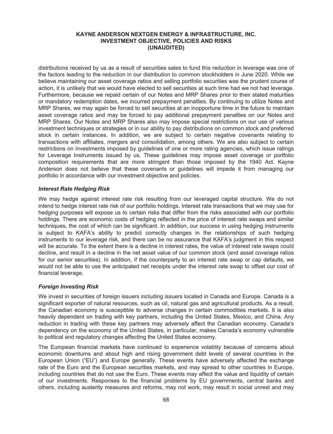distributions received by us as a result of securities sales to fund this reduction in leverage was one of the factors leading to the reduction in our distribution to common stockholders in June 2020. While we believe maintaining our asset coverage ratios and selling portfolio securities was the prudent course of action, it is unlikely that we would have elected to sell securities at such time had we not had leverage. Furthermore, because we repaid certain of our Notes and MRP Shares prior to their stated maturities or mandatory redemption dates, we incurred prepayment penalties. By continuing to utilize Notes and MRP Shares, we may again be forced to sell securities at an inopportune time in the future to maintain asset coverage ratios and may be forced to pay additional prepayment penalties on our Notes and MRP Shares. Our Notes and MRP Shares also may impose special restrictions on our use of various investment techniques or strategies or in our ability to pay distributions on common stock and preferred stock in certain instances. In addition, we are subject to certain negative covenants relating to transactions with affiliates, mergers and consolidation, among others. We are also subject to certain restrictions on investments imposed by guidelines of one or more rating agencies, which issue ratings for Leverage Instruments issued by us. These guidelines may impose asset coverage or portfolio composition requirements that are more stringent than those imposed by the 1940 Act. Kayne Anderson does not believe that these covenants or guidelines will impede it from managing our portfolio in accordance with our investment objective and policies.

## *Interest Rate Hedging Risk*

We may hedge against interest rate risk resulting from our leveraged capital structure. We do not intend to hedge interest rate risk of our portfolio holdings. Interest rate transactions that we may use for hedging purposes will expose us to certain risks that differ from the risks associated with our portfolio holdings. There are economic costs of hedging reflected in the price of interest rate swaps and similar techniques, the cost of which can be significant. In addition, our success in using hedging instruments is subject to KAFA's ability to predict correctly changes in the relationships of such hedging instruments to our leverage risk, and there can be no assurance that KAFA's judgment in this respect will be accurate. To the extent there is a decline in interest rates, the value of interest rate swaps could decline, and result in a decline in the net asset value of our common stock (and asset coverage ratios for our senior securities). In addition, if the counterparty to an interest rate swap or cap defaults, we would not be able to use the anticipated net receipts under the interest rate swap to offset our cost of financial leverage.

# *Foreign Investing Risk*

We invest in securities of foreign issuers including issuers located in Canada and Europe. Canada is a significant exporter of natural resources, such as oil, natural gas and agricultural products. As a result, the Canadian economy is susceptible to adverse changes in certain commodities markets. It is also heavily dependent on trading with key partners, including the United States, Mexico, and China. Any reduction in trading with these key partners may adversely affect the Canadian economy. Canada's dependency on the economy of the United States, in particular, makes Canada's economy vulnerable to political and regulatory changes affecting the United States economy.

The European financial markets have continued to experience volatility because of concerns about economic downturns and about high and rising government debt levels of several countries in the European Union ("EU") and Europe generally. These events have adversely affected the exchange rate of the Euro and the European securities markets, and may spread to other countries in Europe, including countries that do not use the Euro. These events may affect the value and liquidity of certain of our investments. Responses to the financial problems by EU governments, central banks and others, including austerity measures and reforms, may not work, may result in social unrest and may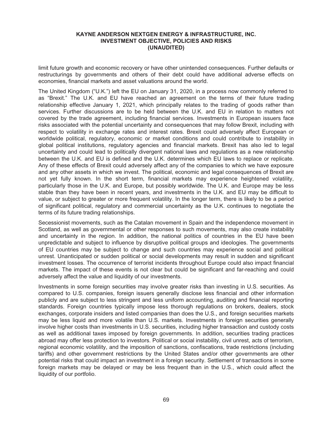limit future growth and economic recovery or have other unintended consequences. Further defaults or restructurings by governments and others of their debt could have additional adverse effects on economies, financial markets and asset valuations around the world.

The United Kingdom ("U.K.") left the EU on January 31, 2020, in a process now commonly referred to as "Brexit." The U.K. and EU have reached an agreement on the terms of their future trading relationship effective January 1, 2021, which principally relates to the trading of goods rather than services. Further discussions are to be held between the U.K. and EU in relation to matters not covered by the trade agreement, including financial services. Investments in European issuers face risks associated with the potential uncertainty and consequences that may follow Brexit, including with respect to volatility in exchange rates and interest rates. Brexit could adversely affect European or worldwide political, regulatory, economic or market conditions and could contribute to instability in global political institutions, regulatory agencies and financial markets. Brexit has also led to legal uncertainty and could lead to politically divergent national laws and regulations as a new relationship between the U.K. and EU is defined and the U.K. determines which EU laws to replace or replicate. Any of these effects of Brexit could adversely affect any of the companies to which we have exposure and any other assets in which we invest. The political, economic and legal consequences of Brexit are not yet fully known. In the short term, financial markets may experience heightened volatility, particularly those in the U.K. and Europe, but possibly worldwide. The U.K. and Europe may be less stable than they have been in recent years, and investments in the U.K. and EU may be difficult to value, or subject to greater or more frequent volatility. In the longer term, there is likely to be a period of significant political, regulatory and commercial uncertainty as the U.K. continues to negotiate the terms of its future trading relationships.

Secessionist movements, such as the Catalan movement in Spain and the independence movement in Scotland, as well as governmental or other responses to such movements, may also create instability and uncertainty in the region. In addition, the national politics of countries in the EU have been unpredictable and subject to influence by disruptive political groups and ideologies. The governments of EU countries may be subject to change and such countries may experience social and political unrest. Unanticipated or sudden political or social developments may result in sudden and significant investment losses. The occurrence of terrorist incidents throughout Europe could also impact financial markets. The impact of these events is not clear but could be significant and far-reaching and could adversely affect the value and liquidity of our investments.

Investments in some foreign securities may involve greater risks than investing in U.S. securities. As compared to U.S. companies, foreign issuers generally disclose less financial and other information publicly and are subject to less stringent and less uniform accounting, auditing and financial reporting standards. Foreign countries typically impose less thorough regulations on brokers, dealers, stock exchanges, corporate insiders and listed companies than does the U.S., and foreign securities markets may be less liquid and more volatile than U.S. markets. Investments in foreign securities generally involve higher costs than investments in U.S. securities, including higher transaction and custody costs as well as additional taxes imposed by foreign governments. In addition, securities trading practices abroad may offer less protection to investors. Political or social instability, civil unrest, acts of terrorism, regional economic volatility, and the imposition of sanctions, confiscations, trade restrictions (including tariffs) and other government restrictions by the United States and/or other governments are other potential risks that could impact an investment in a foreign security. Settlement of transactions in some foreign markets may be delayed or may be less frequent than in the U.S., which could affect the liquidity of our portfolio.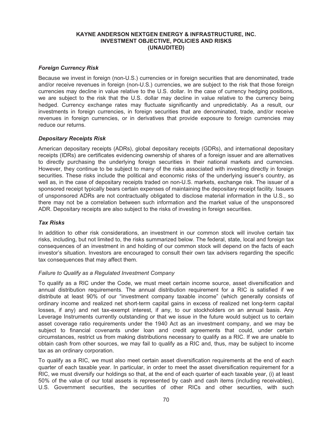## *Foreign Currency Risk*

Because we invest in foreign (non-U.S.) currencies or in foreign securities that are denominated, trade and/or receive revenues in foreign (non-U.S.) currencies, we are subject to the risk that those foreign currencies may decline in value relative to the U.S. dollar. In the case of currency hedging positions, we are subject to the risk that the U.S. dollar may decline in value relative to the currency being hedged. Currency exchange rates may fluctuate significantly and unpredictably. As a result, our investments in foreign currencies, in foreign securities that are denominated, trade, and/or receive revenues in foreign currencies, or in derivatives that provide exposure to foreign currencies may reduce our returns.

## *Depositary Receipts Risk*

American depositary receipts (ADRs), global depositary receipts (GDRs), and international depositary receipts (IDRs) are certificates evidencing ownership of shares of a foreign issuer and are alternatives to directly purchasing the underlying foreign securities in their national markets and currencies. However, they continue to be subject to many of the risks associated with investing directly in foreign securities. These risks include the political and economic risks of the underlying issuer's country, as well as, in the case of depositary receipts traded on non-U.S. markets, exchange risk. The issuer of a sponsored receipt typically bears certain expenses of maintaining the depositary receipt facility. Issuers of unsponsored ADRs are not contractually obligated to disclose material information in the U.S., so there may not be a correlation between such information and the market value of the unsponsored ADR. Depositary receipts are also subject to the risks of investing in foreign securities.

# *Tax Risks*

In addition to other risk considerations, an investment in our common stock will involve certain tax risks, including, but not limited to, the risks summarized below. The federal, state, local and foreign tax consequences of an investment in and holding of our common stock will depend on the facts of each investor's situation. Investors are encouraged to consult their own tax advisers regarding the specific tax consequences that may affect them.

## *Failure to Qualify as a Regulated Investment Company*

To qualify as a RIC under the Code, we must meet certain income source, asset diversification and annual distribution requirements. The annual distribution requirement for a RIC is satisfied if we distribute at least 90% of our "investment company taxable income" (which generally consists of ordinary income and realized net short-term capital gains in excess of realized net long-term capital losses, if any) and net tax-exempt interest, if any, to our stockholders on an annual basis. Any Leverage Instruments currently outstanding or that we issue in the future would subject us to certain asset coverage ratio requirements under the 1940 Act as an investment company, and we may be subject to financial covenants under loan and credit agreements that could, under certain circumstances, restrict us from making distributions necessary to qualify as a RIC. If we are unable to obtain cash from other sources, we may fail to qualify as a RIC and, thus, may be subject to income tax as an ordinary corporation.

To qualify as a RIC, we must also meet certain asset diversification requirements at the end of each quarter of each taxable year. In particular, in order to meet the asset diversification requirement for a RIC, we must diversify our holdings so that, at the end of each quarter of each taxable year, (i) at least 50% of the value of our total assets is represented by cash and cash items (including receivables), U.S. Government securities, the securities of other RICs and other securities, with such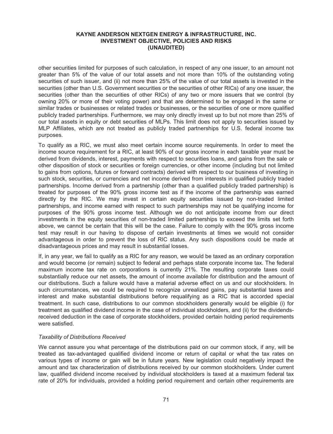other securities limited for purposes of such calculation, in respect of any one issuer, to an amount not greater than 5% of the value of our total assets and not more than 10% of the outstanding voting securities of such issuer, and (ii) not more than 25% of the value of our total assets is invested in the securities (other than U.S. Government securities or the securities of other RICs) of any one issuer, the securities (other than the securities of other RICs) of any two or more issuers that we control (by owning 20% or more of their voting power) and that are determined to be engaged in the same or similar trades or businesses or related trades or businesses, or the securities of one or more qualified publicly traded partnerships. Furthermore, we may only directly invest up to but not more than 25% of our total assets in equity or debt securities of MLPs. This limit does not apply to securities issued by MLP Affiliates, which are not treated as publicly traded partnerships for U.S. federal income tax purposes.

To qualify as a RIC, we must also meet certain income source requirements. In order to meet the income source requirement for a RIC, at least 90% of our gross income in each taxable year must be derived from dividends, interest, payments with respect to securities loans, and gains from the sale or other disposition of stock or securities or foreign currencies, or other income (including but not limited to gains from options, futures or forward contracts) derived with respect to our business of investing in such stock, securities, or currencies and net income derived from interests in qualified publicly traded partnerships. Income derived from a partnership (other than a qualified publicly traded partnership) is treated for purposes of the 90% gross income test as if the income of the partnership was earned directly by the RIC. We may invest in certain equity securities issued by non-traded limited partnerships, and income earned with respect to such partnerships may not be qualifying income for purposes of the 90% gross income test. Although we do not anticipate income from our direct investments in the equity securities of non-traded limited partnerships to exceed the limits set forth above, we cannot be certain that this will be the case. Failure to comply with the 90% gross income test may result in our having to dispose of certain investments at times we would not consider advantageous in order to prevent the loss of RIC status. Any such dispositions could be made at disadvantageous prices and may result in substantial losses.

If, in any year, we fail to qualify as a RIC for any reason, we would be taxed as an ordinary corporation and would become (or remain) subject to federal and perhaps state corporate income tax. The federal maximum income tax rate on corporations is currently 21%. The resulting corporate taxes could substantially reduce our net assets, the amount of income available for distribution and the amount of our distributions. Such a failure would have a material adverse effect on us and our stockholders. In such circumstances, we could be required to recognize unrealized gains, pay substantial taxes and interest and make substantial distributions before requalifying as a RIC that is accorded special treatment. In such case, distributions to our common stockholders generally would be eligible (i) for treatment as qualified dividend income in the case of individual stockholders, and (ii) for the dividendsreceived deduction in the case of corporate stockholders, provided certain holding period requirements were satisfied.

#### *Taxability of Distributions Received*

We cannot assure you what percentage of the distributions paid on our common stock, if any, will be treated as tax-advantaged qualified dividend income or return of capital or what the tax rates on various types of income or gain will be in future years. New legislation could negatively impact the amount and tax characterization of distributions received by our common stockholders. Under current law, qualified dividend income received by individual stockholders is taxed at a maximum federal tax rate of 20% for individuals, provided a holding period requirement and certain other requirements are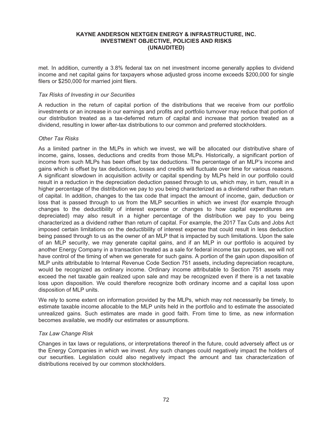met. In addition, currently a 3.8% federal tax on net investment income generally applies to dividend income and net capital gains for taxpayers whose adjusted gross income exceeds \$200,000 for single filers or \$250,000 for married joint filers.

#### *Tax Risks of Investing in our Securities*

A reduction in the return of capital portion of the distributions that we receive from our portfolio investments or an increase in our earnings and profits and portfolio turnover may reduce that portion of our distribution treated as a tax-deferred return of capital and increase that portion treated as a dividend, resulting in lower after-tax distributions to our common and preferred stockholders.

#### *Other Tax Risks*

As a limited partner in the MLPs in which we invest, we will be allocated our distributive share of income, gains, losses, deductions and credits from those MLPs. Historically, a significant portion of income from such MLPs has been offset by tax deductions. The percentage of an MLP's income and gains which is offset by tax deductions, losses and credits will fluctuate over time for various reasons. A significant slowdown in acquisition activity or capital spending by MLPs held in our portfolio could result in a reduction in the depreciation deduction passed through to us, which may, in turn, result in a higher percentage of the distribution we pay to you being characterized as a dividend rather than return of capital. In addition, changes to the tax code that impact the amount of income, gain, deduction or loss that is passed through to us from the MLP securities in which we invest (for example through changes to the deductibility of interest expense or changes to how capital expenditures are depreciated) may also result in a higher percentage of the distribution we pay to you being characterized as a dividend rather than return of capital. For example, the 2017 Tax Cuts and Jobs Act imposed certain limitations on the deductibility of interest expense that could result in less deduction being passed through to us as the owner of an MLP that is impacted by such limitations. Upon the sale of an MLP security, we may generate capital gains, and if an MLP in our portfolio is acquired by another Energy Company in a transaction treated as a sale for federal income tax purposes, we will not have control of the timing of when we generate for such gains. A portion of the gain upon disposition of MLP units attributable to Internal Revenue Code Section 751 assets, including depreciation recapture, would be recognized as ordinary income. Ordinary income attributable to Section 751 assets may exceed the net taxable gain realized upon sale and may be recognized even if there is a net taxable loss upon disposition. We could therefore recognize both ordinary income and a capital loss upon disposition of MLP units.

We rely to some extent on information provided by the MLPs, which may not necessarily be timely, to estimate taxable income allocable to the MLP units held in the portfolio and to estimate the associated unrealized gains. Such estimates are made in good faith. From time to time, as new information becomes available, we modify our estimates or assumptions.

### *Tax Law Change Risk*

Changes in tax laws or regulations, or interpretations thereof in the future, could adversely affect us or the Energy Companies in which we invest. Any such changes could negatively impact the holders of our securities. Legislation could also negatively impact the amount and tax characterization of distributions received by our common stockholders.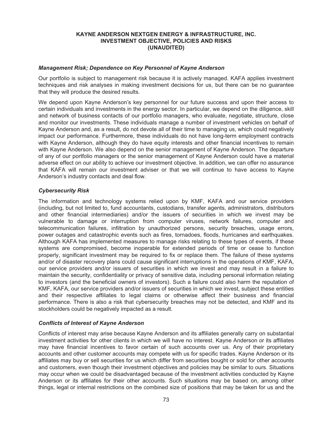#### *Management Risk; Dependence on Key Personnel of Kayne Anderson*

Our portfolio is subject to management risk because it is actively managed. KAFA applies investment techniques and risk analyses in making investment decisions for us, but there can be no guarantee that they will produce the desired results.

We depend upon Kayne Anderson's key personnel for our future success and upon their access to certain individuals and investments in the energy sector. In particular, we depend on the diligence, skill and network of business contacts of our portfolio managers, who evaluate, negotiate, structure, close and monitor our investments. These individuals manage a number of investment vehicles on behalf of Kayne Anderson and, as a result, do not devote all of their time to managing us, which could negatively impact our performance. Furthermore, these individuals do not have long-term employment contracts with Kayne Anderson, although they do have equity interests and other financial incentives to remain with Kayne Anderson. We also depend on the senior management of Kayne Anderson. The departure of any of our portfolio managers or the senior management of Kayne Anderson could have a material adverse effect on our ability to achieve our investment objective. In addition, we can offer no assurance that KAFA will remain our investment adviser or that we will continue to have access to Kayne Anderson's industry contacts and deal flow.

#### *Cybersecurity Risk*

The information and technology systems relied upon by KMF, KAFA and our service providers (including, but not limited to, fund accountants, custodians, transfer agents, administrators, distributors and other financial intermediaries) and/or the issuers of securities in which we invest may be vulnerable to damage or interruption from computer viruses, network failures, computer and telecommunication failures, infiltration by unauthorized persons, security breaches, usage errors, power outages and catastrophic events such as fires, tornadoes, floods, hurricanes and earthquakes. Although KAFA has implemented measures to manage risks relating to these types of events, if these systems are compromised, become inoperable for extended periods of time or cease to function properly, significant investment may be required to fix or replace them. The failure of these systems and/or of disaster recovery plans could cause significant interruptions in the operations of KMF, KAFA, our service providers and/or issuers of securities in which we invest and may result in a failure to maintain the security, confidentiality or privacy of sensitive data, including personal information relating to investors (and the beneficial owners of investors). Such a failure could also harm the reputation of KMF, KAFA, our service providers and/or issuers of securities in which we invest, subject these entities and their respective affiliates to legal claims or otherwise affect their business and financial performance. There is also a risk that cybersecurity breaches may not be detected, and KMF and its stockholders could be negatively impacted as a result.

#### *Conflicts of Interest of Kayne Anderson*

Conflicts of interest may arise because Kayne Anderson and its affiliates generally carry on substantial investment activities for other clients in which we will have no interest. Kayne Anderson or its affiliates may have financial incentives to favor certain of such accounts over us. Any of their proprietary accounts and other customer accounts may compete with us for specific trades. Kayne Anderson or its affiliates may buy or sell securities for us which differ from securities bought or sold for other accounts and customers, even though their investment objectives and policies may be similar to ours. Situations may occur when we could be disadvantaged because of the investment activities conducted by Kayne Anderson or its affiliates for their other accounts. Such situations may be based on, among other things, legal or internal restrictions on the combined size of positions that may be taken for us and the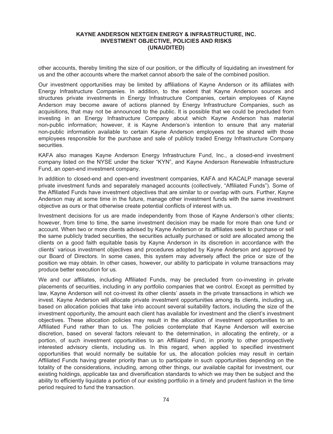other accounts, thereby limiting the size of our position, or the difficulty of liquidating an investment for us and the other accounts where the market cannot absorb the sale of the combined position.

Our investment opportunities may be limited by affiliations of Kayne Anderson or its affiliates with Energy Infrastructure Companies. In addition, to the extent that Kayne Anderson sources and structures private investments in Energy Infrastructure Companies, certain employees of Kayne Anderson may become aware of actions planned by Energy Infrastructure Companies, such as acquisitions, that may not be announced to the public. It is possible that we could be precluded from investing in an Energy Infrastructure Company about which Kayne Anderson has material non-public information; however, it is Kayne Anderson's intention to ensure that any material non-public information available to certain Kayne Anderson employees not be shared with those employees responsible for the purchase and sale of publicly traded Energy Infrastructure Company securities.

KAFA also manages Kayne Anderson Energy Infrastructure Fund, Inc., a closed-end investment company listed on the NYSE under the ticker "KYN", and Kayne Anderson Renewable Infrastructure Fund, an open-end investment company.

In addition to closed-end and open-end investment companies, KAFA and KACALP manage several private investment funds and separately managed accounts (collectively, "Affiliated Funds"). Some of the Affiliated Funds have investment objectives that are similar to or overlap with ours. Further, Kayne Anderson may at some time in the future, manage other investment funds with the same investment objective as ours or that otherwise create potential conflicts of interest with us.

Investment decisions for us are made independently from those of Kayne Anderson's other clients; however, from time to time, the same investment decision may be made for more than one fund or account. When two or more clients advised by Kayne Anderson or its affiliates seek to purchase or sell the same publicly traded securities, the securities actually purchased or sold are allocated among the clients on a good faith equitable basis by Kayne Anderson in its discretion in accordance with the clients' various investment objectives and procedures adopted by Kayne Anderson and approved by our Board of Directors. In some cases, this system may adversely affect the price or size of the position we may obtain. In other cases, however, our ability to participate in volume transactions may produce better execution for us.

We and our affiliates, including Affiliated Funds, may be precluded from co-investing in private placements of securities, including in any portfolio companies that we control. Except as permitted by law, Kayne Anderson will not co-invest its other clients' assets in the private transactions in which we invest. Kayne Anderson will allocate private investment opportunities among its clients, including us, based on allocation policies that take into account several suitability factors, including the size of the investment opportunity, the amount each client has available for investment and the client's investment objectives. These allocation policies may result in the allocation of investment opportunities to an Affiliated Fund rather than to us. The policies contemplate that Kayne Anderson will exercise discretion, based on several factors relevant to the determination, in allocating the entirety, or a portion, of such investment opportunities to an Affiliated Fund, in priority to other prospectively interested advisory clients, including us. In this regard, when applied to specified investment opportunities that would normally be suitable for us, the allocation policies may result in certain Affiliated Funds having greater priority than us to participate in such opportunities depending on the totality of the considerations, including, among other things, our available capital for investment, our existing holdings, applicable tax and diversification standards to which we may then be subject and the ability to efficiently liquidate a portion of our existing portfolio in a timely and prudent fashion in the time period required to fund the transaction.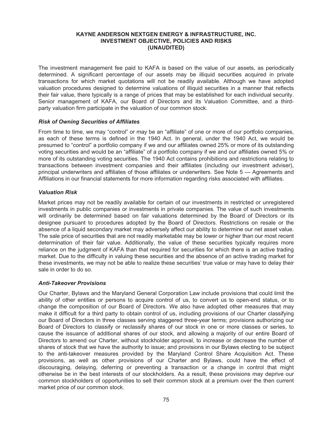The investment management fee paid to KAFA is based on the value of our assets, as periodically determined. A significant percentage of our assets may be illiquid securities acquired in private transactions for which market quotations will not be readily available. Although we have adopted valuation procedures designed to determine valuations of illiquid securities in a manner that reflects their fair value, there typically is a range of prices that may be established for each individual security. Senior management of KAFA, our Board of Directors and its Valuation Committee, and a thirdparty valuation firm participate in the valuation of our common stock.

#### *Risk of Owning Securities of Affiliates*

From time to time, we may "control" or may be an "affiliate" of one or more of our portfolio companies, as each of these terms is defined in the 1940 Act. In general, under the 1940 Act, we would be presumed to "control" a portfolio company if we and our affiliates owned 25% or more of its outstanding voting securities and would be an "affiliate" of a portfolio company if we and our affiliates owned 5% or more of its outstanding voting securities. The 1940 Act contains prohibitions and restrictions relating to transactions between investment companies and their affiliates (including our investment adviser), principal underwriters and affiliates of those affiliates or underwriters. See Note 5 — Agreements and Affiliations in our financial statements for more information regarding risks associated with affiliates.

#### *Valuation Risk*

Market prices may not be readily available for certain of our investments in restricted or unregistered investments in public companies or investments in private companies. The value of such investments will ordinarily be determined based on fair valuations determined by the Board of Directors or its designee pursuant to procedures adopted by the Board of Directors. Restrictions on resale or the absence of a liquid secondary market may adversely affect our ability to determine our net asset value. The sale price of securities that are not readily marketable may be lower or higher than our most recent determination of their fair value. Additionally, the value of these securities typically requires more reliance on the judgment of KAFA than that required for securities for which there is an active trading market. Due to the difficulty in valuing these securities and the absence of an active trading market for these investments, we may not be able to realize these securities' true value or may have to delay their sale in order to do so.

#### *Anti-Takeover Provisions*

Our Charter, Bylaws and the Maryland General Corporation Law include provisions that could limit the ability of other entities or persons to acquire control of us, to convert us to open-end status, or to change the composition of our Board of Directors. We also have adopted other measures that may make it difficult for a third party to obtain control of us, including provisions of our Charter classifying our Board of Directors in three classes serving staggered three-year terms; provisions authorizing our Board of Directors to classify or reclassify shares of our stock in one or more classes or series, to cause the issuance of additional shares of our stock, and allowing a majority of our entire Board of Directors to amend our Charter, without stockholder approval, to increase or decrease the number of shares of stock that we have the authority to issue; and provisions in our Bylaws electing to be subject to the anti-takeover measures provided by the Maryland Control Share Acquisition Act. These provisions, as well as other provisions of our Charter and Bylaws, could have the effect of discouraging, delaying, deferring or preventing a transaction or a change in control that might otherwise be in the best interests of our stockholders. As a result, these provisions may deprive our common stockholders of opportunities to sell their common stock at a premium over the then current market price of our common stock.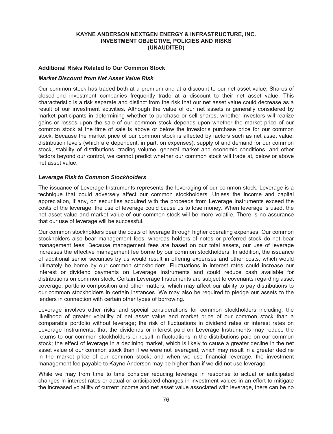#### **Additional Risks Related to Our Common Stock**

#### *Market Discount from Net Asset Value Risk*

Our common stock has traded both at a premium and at a discount to our net asset value. Shares of closed-end investment companies frequently trade at a discount to their net asset value. This characteristic is a risk separate and distinct from the risk that our net asset value could decrease as a result of our investment activities. Although the value of our net assets is generally considered by market participants in determining whether to purchase or sell shares, whether investors will realize gains or losses upon the sale of our common stock depends upon whether the market price of our common stock at the time of sale is above or below the investor's purchase price for our common stock. Because the market price of our common stock is affected by factors such as net asset value, distribution levels (which are dependent, in part, on expenses), supply of and demand for our common stock, stability of distributions, trading volume, general market and economic conditions, and other factors beyond our control, we cannot predict whether our common stock will trade at, below or above net asset value.

#### *Leverage Risk to Common Stockholders*

The issuance of Leverage Instruments represents the leveraging of our common stock. Leverage is a technique that could adversely affect our common stockholders. Unless the income and capital appreciation, if any, on securities acquired with the proceeds from Leverage Instruments exceed the costs of the leverage, the use of leverage could cause us to lose money. When leverage is used, the net asset value and market value of our common stock will be more volatile. There is no assurance that our use of leverage will be successful.

Our common stockholders bear the costs of leverage through higher operating expenses. Our common stockholders also bear management fees, whereas holders of notes or preferred stock do not bear management fees. Because management fees are based on our total assets, our use of leverage increases the effective management fee borne by our common stockholders. In addition, the issuance of additional senior securities by us would result in offering expenses and other costs, which would ultimately be borne by our common stockholders. Fluctuations in interest rates could increase our interest or dividend payments on Leverage Instruments and could reduce cash available for distributions on common stock. Certain Leverage Instruments are subject to covenants regarding asset coverage, portfolio composition and other matters, which may affect our ability to pay distributions to our common stockholders in certain instances. We may also be required to pledge our assets to the lenders in connection with certain other types of borrowing.

Leverage involves other risks and special considerations for common stockholders including: the likelihood of greater volatility of net asset value and market price of our common stock than a comparable portfolio without leverage; the risk of fluctuations in dividend rates or interest rates on Leverage Instruments; that the dividends or interest paid on Leverage Instruments may reduce the returns to our common stockholders or result in fluctuations in the distributions paid on our common stock; the effect of leverage in a declining market, which is likely to cause a greater decline in the net asset value of our common stock than if we were not leveraged, which may result in a greater decline in the market price of our common stock; and when we use financial leverage, the investment management fee payable to Kayne Anderson may be higher than if we did not use leverage.

While we may from time to time consider reducing leverage in response to actual or anticipated changes in interest rates or actual or anticipated changes in investment values in an effort to mitigate the increased volatility of current income and net asset value associated with leverage, there can be no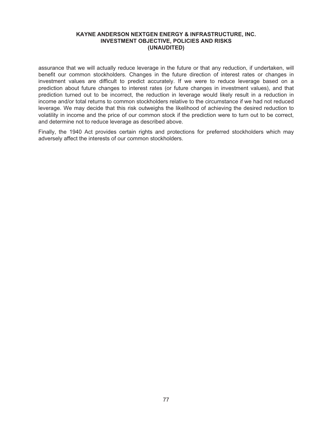assurance that we will actually reduce leverage in the future or that any reduction, if undertaken, will benefit our common stockholders. Changes in the future direction of interest rates or changes in investment values are difficult to predict accurately. If we were to reduce leverage based on a prediction about future changes to interest rates (or future changes in investment values), and that prediction turned out to be incorrect, the reduction in leverage would likely result in a reduction in income and/or total returns to common stockholders relative to the circumstance if we had not reduced leverage. We may decide that this risk outweighs the likelihood of achieving the desired reduction to volatility in income and the price of our common stock if the prediction were to turn out to be correct, and determine not to reduce leverage as described above.

Finally, the 1940 Act provides certain rights and protections for preferred stockholders which may adversely affect the interests of our common stockholders.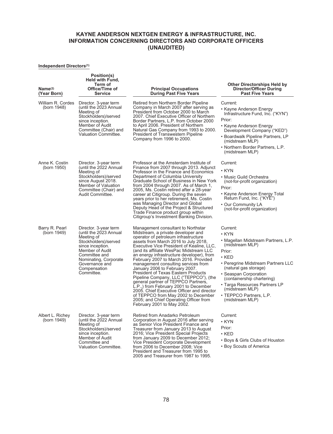### **Independent Directors(1)**

| Name <sup>(2)</sup><br>(Year Born) | Position(s)<br><b>Held with Fund.</b><br>Term of<br>Office/Time of<br>Service                                                                                                                                          | <b>Principal Occupations</b><br><b>During Past Five Years</b>                                                                                                                                                                                                                                                                                                                                                                                                                                                                                                                                                                                                                                                                                 | <b>Other Directorships Held by</b><br><b>Director/Officer During</b><br><b>Past Five Years</b>                                                                                                                                                                                                                                     |
|------------------------------------|------------------------------------------------------------------------------------------------------------------------------------------------------------------------------------------------------------------------|-----------------------------------------------------------------------------------------------------------------------------------------------------------------------------------------------------------------------------------------------------------------------------------------------------------------------------------------------------------------------------------------------------------------------------------------------------------------------------------------------------------------------------------------------------------------------------------------------------------------------------------------------------------------------------------------------------------------------------------------------|------------------------------------------------------------------------------------------------------------------------------------------------------------------------------------------------------------------------------------------------------------------------------------------------------------------------------------|
| William R. Cordes<br>(born 1948)   | Director. 3-year term<br>(until the 2023 Annual<br>Meeting of<br>Stockholders)/served<br>since inception.<br>Member of Audit<br>Committee (Chair) and<br><b>Valuation Committee.</b>                                   | Retired from Northern Border Pipeline<br>Company in March 2007 after serving as<br>President from October 2000 to March<br>2007. Chief Executive Officer of Northern<br>Border Partners, L.P. from October 2000<br>to April 2006. President of Northern<br>Natural Gas Company from 1993 to 2000.<br><b>President of Transwestern Pipeline</b><br>Company from 1996 to 2000.                                                                                                                                                                                                                                                                                                                                                                  | Current:<br>• Kayne Anderson Energy<br>Infrastructure Fund, Inc. ("KYN")<br>Prior:<br>• Kayne Anderson Energy<br>Development Company ("KED")<br>• Boardwalk Pipeline Partners, LP<br>(midstream MLP)<br>• Northern Border Partners, L.P.<br>(midstream MLP)                                                                        |
| Anne K. Costin<br>(born 1950)      | Director. 3-year term<br>(until the 2022 Annual<br>Meeting of<br>Stockholders)/served<br>since August 2018.<br>Member of Valuation<br>Committee (Chair) and<br>Audit Committee.                                        | Professor at the Amsterdam Institute of<br>Finance from 2007 through 2013. Adjunct<br>Professor in the Finance and Economics<br>Department of Columbia University<br>Graduate School of Business in New York<br>from 2004 through 2007. As of March 1,<br>2005, Ms. Costin retired after a 28-year<br>career at Citigroup. During the seven<br>years prior to her retirement, Ms. Costin<br>was Managing Director and Global<br>Deputy Head of the Project & Structured<br>Trade Finance product group within<br>Citigroup's Investment Banking Division.                                                                                                                                                                                     | Current:<br>$\cdot$ KYN<br>• Music Guild Orchestra<br>(not-for-profit organization)<br>Prior:<br>• Kayne Anderson Energy Total<br>Return Fund, Inc. ("KYE")<br>• Our Community LA<br>(not-for-profit organization)                                                                                                                 |
| Barry R. Pearl<br>(born 1949)      | Director. 3-year term<br>(until the 2023 Annual<br>Meeting of<br>Stockholders)/served<br>since inception.<br>Member of Audit<br>Committee and<br>Nominating, Corporate<br>Governance and<br>Compensation<br>Committee. | Management consultant to Northstar<br>Midstream, a private developer and<br>operator of petroleum infrastructure<br>assets from March 2016 to July 2018,<br>Executive Vice President of Kealine, LLC,<br>(and its affiliate WesPac Midstream LLC<br>an energy infrastructure developer), from<br>February 2007 to March 2016. Provided<br>management consulting services from<br>January 2006 to February 2007.<br>President of Texas Eastern Products<br>Pipeline Company, LLC ("TEPPCO"), (the<br>general partner of TEPPCO Partners,<br>L.P.,) from February 2001 to December<br>2005. Chief Executive Officer and director<br>of TEPPCO from May 2002 to December<br>2005; and Chief Operating Officer from<br>February 2001 to May 2002. | Current:<br>$\cdot$ KYN<br>• Magellan Midstream Partners, L.P.<br>(midstream MLP)<br>Prior:<br>$\cdot$ KED<br>• Peregrine Midstream Partners LLC<br>(natural gas storage)<br>• Seaspan Corporation<br>(containership chartering)<br>• Targa Resources Partners LP<br>(midstream MLP)<br>• TEPPCO Partners, L.P.<br>(midstream MLP) |
| Albert L. Richey<br>(born 1949)    | Director. 3-year term<br>(until the 2022 Annual<br>Meeting of<br>Stockholders)/served<br>since inception.<br>Member of Audit<br>Committee and<br>Valuation Committee.                                                  | Retired from Anadarko Petroleum<br>Corporation in August 2016 after serving<br>as Senior Vice President Finance and<br>Treasurer from January 2013 to August<br>2016; Vice President Special Projects<br>from January 2009 to December 2012;<br>Vice President Corporate Development<br>from 2006 to December 2008; Vice<br>President and Treasurer from 1995 to<br>2005 and Treasurer from 1987 to 1995.                                                                                                                                                                                                                                                                                                                                     | Current:<br>$\cdot$ KYN<br>Prior:<br>$\cdot$ KED<br>• Boys & Girls Clubs of Houston<br>• Boy Scouts of America                                                                                                                                                                                                                     |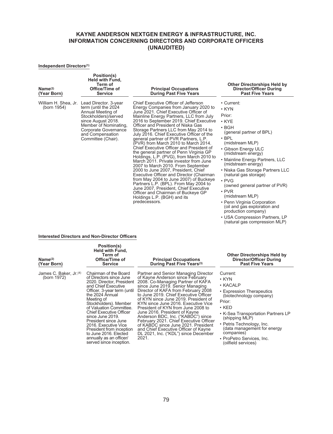#### **Independent Directors(1)**

| Name <sup>(2)</sup><br>(Year Born)  | Position(s)<br><b>Held with Fund,</b><br>Term of<br>Office/Time of<br><b>Service</b>                                                                                                                        | <b>Principal Occupations</b><br><b>During Past Five Years</b>                                                                                                                                                                                                                                                                                                                                                                                                                                                                                                                                                                                                                                                                                                                                                                                                                                                                                            | <b>Other Directorships Held by</b><br><b>Director/Officer During</b><br><b>Past Five Years</b>                                                                                                                                                                                                                                                                                                                                                      |
|-------------------------------------|-------------------------------------------------------------------------------------------------------------------------------------------------------------------------------------------------------------|----------------------------------------------------------------------------------------------------------------------------------------------------------------------------------------------------------------------------------------------------------------------------------------------------------------------------------------------------------------------------------------------------------------------------------------------------------------------------------------------------------------------------------------------------------------------------------------------------------------------------------------------------------------------------------------------------------------------------------------------------------------------------------------------------------------------------------------------------------------------------------------------------------------------------------------------------------|-----------------------------------------------------------------------------------------------------------------------------------------------------------------------------------------------------------------------------------------------------------------------------------------------------------------------------------------------------------------------------------------------------------------------------------------------------|
| William H. Shea, Jr.<br>(born 1954) | Lead Director. 3-year<br>term (until the 2024<br>Annual Meeting of<br>Stockholders)/served<br>since August 2018.<br>Member of Nominating,<br>Corporate Governance<br>and Compensation<br>Committee (Chair). | Chief Executive Officer of Jefferson<br>Energy Companies from January 2020 to<br>June 2021. Chief Executive Officer of<br>Mainline Energy Partners, LLC from July<br>2016 to September 2019. Chief Executive<br>Officer and President of Niska Gas<br>Storage Partners LLC from May 2014 to<br>July 2016. Chief Executive Officer of the<br>general partner of PVR Partners, L.P.<br>(PVR) from March 2010 to March 2014.<br>Chief Executive Officer and President of<br>the general partner of Penn Virginia GP<br>Holdings, L.P. (PVG), from March 2010 to<br>March 2011. Private investor from June<br>2007 to March 2010. From September<br>2000 to June 2007, President, Chief<br><b>Executive Officer and Director (Chairman</b><br>from May 2004 to June 2007) of Buckeye<br>Partners L.P. (BPL). From May 2004 to<br>June 2007, President, Chief Executive<br>Officer and Chairman of Buckeye GP<br>Holdings L.P. (BGH) and its<br>predecessors. | • Current:<br>$\cdot$ KYN<br>Prior:<br>$\cdot$ KYE<br>$\cdot$ BGH<br>(general partner of BPL)<br>$\cdot$ BPL<br>(midstream MLP)<br>• Gibson Energy ULC<br>(midstream energy)<br>• Mainline Energy Partners, LLC<br>(midstream energy)<br>• Niska Gas Storage Partners LLC<br>(natural gas storage)<br>$\cdot$ PVG<br>(owned general partner of PVR)<br>$\cdot$ PVR<br>(midstream MLP)<br>• Penn Virginia Corporation<br>oil and gas exploration and |

production company) • USA Compression Partners, LP (natural gas compression MLP)

### **Interested Directors and Non-Director Officers**

| $Name^{(2)}$<br>(Year Born)                       | Position(s)<br><b>Held with Fund,</b><br>Term of<br>Office/Time of<br><b>Service</b>                                                                                                                                                                                                                                                                                                                                                      | <b>Principal Occupations</b><br>During Past Five Years <sup>(3)</sup>                                                                                                                                                                                                                                                                                                                                                                                                                                                                                                                                   | <b>Other Directorships Held by</b><br>Director/Officer During<br><b>Past Five Years</b>                                                                                                                                                                                                                          |
|---------------------------------------------------|-------------------------------------------------------------------------------------------------------------------------------------------------------------------------------------------------------------------------------------------------------------------------------------------------------------------------------------------------------------------------------------------------------------------------------------------|---------------------------------------------------------------------------------------------------------------------------------------------------------------------------------------------------------------------------------------------------------------------------------------------------------------------------------------------------------------------------------------------------------------------------------------------------------------------------------------------------------------------------------------------------------------------------------------------------------|------------------------------------------------------------------------------------------------------------------------------------------------------------------------------------------------------------------------------------------------------------------------------------------------------------------|
| James C. Baker, Jr. <sup>(4)</sup><br>(born 1972) | Chairman of the Board<br>of Directors since June<br>2020. Director, President<br>and Chief Executive<br>Officer. 3-year term (until<br>the 2024 Annual<br>Meeting of<br>Stockholders). Member<br>of Valuation Committee.<br><b>Chief Executive Officer</b><br>since June 2019.<br>President since June<br>2016. Executive Vice<br>President from inception<br>to June 2016. Elected<br>annually as an officer/<br>served since inception. | Partner and Senior Managing Director<br>of Kayne Anderson since February<br>2008. Co-Managing Partner of KAFA<br>since June 2019. Senior Managing<br>Director of KAFA from February 2008<br>to June 2019. Chief Executive Officer<br>of KYN since June 2019. President of<br>KYN since June 2016. Executive Vice<br>President of KYN from June 2008 to<br>June 2016. President of Kayne<br>Anderson BDC, Inc. ("KABDC") since<br>February 2021. Chief Executive Officer<br>of KABDC since June 2021. President<br>and Chief Executive Officer of Kayne<br>DL 2021, Inc. ("KDL") since December<br>2021. | Current:<br>$\cdot$ KYN<br>$\cdot$ KACALP<br>• Expression Therapeutics<br>(biotechnology company)<br>Prior:<br>$\cdot$ KED<br>• K-Sea Transportation Partners LP<br>(shipping MLP)<br>• Petris Technology, Inc.<br>(data management for energy<br>companies)<br>• ProPetro Services, Inc.<br>(oilfield services) |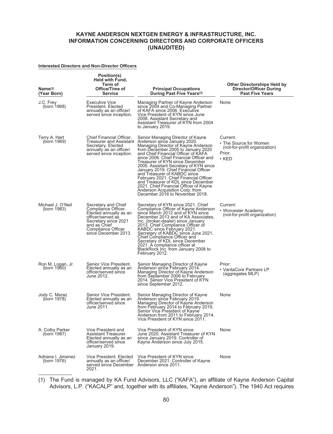#### **Interested Directors and Non-Director Officers**

| Name <sup>(2)</sup><br>(Year Born) | Position(s)<br><b>Held with Fund,</b><br>Term of<br>Office/Time of<br><b>Service</b>                                                                                            | <b>Principal Occupations</b><br>During Past Five Years <sup>(3)</sup>                                                                                                                                                                                                                                                                                                                                                                                                                                                                                                                   | <b>Other Directorships Held by</b><br>Director/Officer During<br><b>Past Five Years</b> |
|------------------------------------|---------------------------------------------------------------------------------------------------------------------------------------------------------------------------------|-----------------------------------------------------------------------------------------------------------------------------------------------------------------------------------------------------------------------------------------------------------------------------------------------------------------------------------------------------------------------------------------------------------------------------------------------------------------------------------------------------------------------------------------------------------------------------------------|-----------------------------------------------------------------------------------------|
| J.C. Frey<br>(born 1968)           | <b>Executive Vice</b><br>President. Elected<br>annually as an officer/<br>served since inception.                                                                               | Managing Partner of Kayne Anderson<br>since 2004 and Co-Managing Partner<br>of KAFA since 2006. Executive<br>Vice President of KYN since June<br>2008. Assistant Secretary and<br>Assistant Treasurer of KYN from 2004<br>to January 2019.                                                                                                                                                                                                                                                                                                                                              | None                                                                                    |
| Terry A. Hart<br>(born 1969)       | Chief Financial Officer,<br>Treasurer and Assistant<br>Secretary. Elected<br>annually as an officer/<br>served since inception.                                                 | Senior Managing Director of Kayne<br>Anderson since January 2020.<br>Managing Director of Kayne Anderson<br>from December 2005 to January 2020<br>and Chief Financial Officer of KAFA<br>since 2006. Chief Financial Officer and<br>Treasurer of KYN since December<br>2005. Assistant Secretary of KYN since<br>January 2019. Chief Financial Officer<br>and Treasurer of KABDC since<br>February 2021. Chief Financial Officer<br>and Treasurer of KDL since December<br>2021. Chief Financial Officer of Kayne<br>Anderson Acquisition Corp. from<br>December 2016 to November 2018. | Current:<br>• The Source for Women<br>(not-for-profit organization)<br>Prior:<br>• KED  |
| Michael J. O'Neil<br>(born 1983)   | Secretary and Chief<br>Compliance Officer.<br>Elected annually as an<br>officer/served as<br>Secretary since 2021<br>and as Chief<br>Compliance Officer<br>since December 2013. | Secretary of KYN since 2021. Chief<br>Compliance Officer of Kayne Anderson<br>since March 2012 and of KYN since<br>December 2013 and of KA Associates,<br>Inc. (broker-dealer) since January<br>2013. Chief Compliance Officer of<br>KABDC since February 2021.<br>Secretary of KABDC since June 2021.<br>Chief Compliance Officer and<br>Secretary of KDL since December<br>2021. A compliance officer at<br>BlackRock Inc. from January 2008 to<br>February 2012.                                                                                                                     | Current:<br>• Worcester Academy<br>(not-for-profit organization)                        |
| Ron M. Logan, Jr.<br>(born 1960)   | Senior Vice President.<br>Elected annually as an<br>officer/served since<br>June 2012.                                                                                          | Senior Managing Director of Kayne<br>Anderson since February 2014.<br>Managing Director of Kayne Anderson<br>from September 2006 to February<br>2014. Senior Vice President of KYN<br>since September 2012.                                                                                                                                                                                                                                                                                                                                                                             | Prior:<br>• VantaCore Partners LP<br>(aggregates MLP)                                   |
| Jody C. Meraz<br>(born 1978)       | Senior Vice President.<br>Elected annually as an<br>officer/served since<br>June 2011.                                                                                          | Senior Managing Director of Kayne<br>Anderson since February 2019.<br>Managing Director of Kayne Anderson<br>from February 2014 to February 2019.<br>Senior Vice President of Kayne<br>Anderson from 2011 to February 2014.<br>Vice President of KYN since 2011.                                                                                                                                                                                                                                                                                                                        | None                                                                                    |
| A. Colby Parker<br>(born 1987)     | Vice President and<br>Assistant Treasurer.<br>Elected annually as an<br>officer/served since<br>January 2019.                                                                   | Vice President of KYN since<br>June 2020, Assistant Treasurer of KYN<br>since January 2019. Controller of<br>Kayne Anderson since July 2015.                                                                                                                                                                                                                                                                                                                                                                                                                                            | None                                                                                    |
| Adriana I. Jimenez<br>(born 1976)  | Vice President. Elected<br>annually as an officer/<br>served since December Anderson since 2011.<br>2021.                                                                       | Vice President of KYN since<br>December 2021. Controller of Kavne                                                                                                                                                                                                                                                                                                                                                                                                                                                                                                                       | None                                                                                    |

(1) The Fund is managed by KA Fund Advisors, LLC ("KAFA"), an affiliate of Kayne Anderson Capital Advisors, L.P. ("KACALP" and, together with its affiliates, "Kayne Anderson"). The 1940 Act requires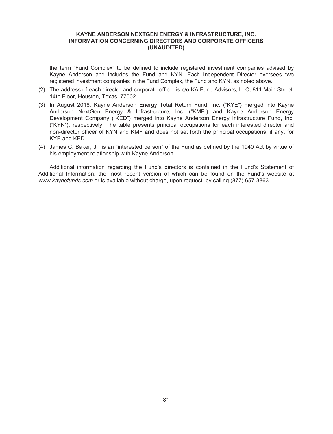the term "Fund Complex" to be defined to include registered investment companies advised by Kayne Anderson and includes the Fund and KYN. Each Independent Director oversees two registered investment companies in the Fund Complex, the Fund and KYN, as noted above.

- (2) The address of each director and corporate officer is c/o KA Fund Advisors, LLC, 811 Main Street, 14th Floor, Houston, Texas, 77002.
- (3) In August 2018, Kayne Anderson Energy Total Return Fund, Inc. ("KYE") merged into Kayne Anderson NextGen Energy & Infrastructure, Inc. ("KMF") and Kayne Anderson Energy Development Company ("KED") merged into Kayne Anderson Energy Infrastructure Fund, Inc. ("KYN"), respectively. The table presents principal occupations for each interested director and non-director officer of KYN and KMF and does not set forth the principal occupations, if any, for KYE and KED.
- (4) James C. Baker, Jr. is an "interested person" of the Fund as defined by the 1940 Act by virtue of his employment relationship with Kayne Anderson.

Additional information regarding the Fund's directors is contained in the Fund's Statement of Additional Information, the most recent version of which can be found on the Fund's website at *www.kaynefunds.com* or is available without charge, upon request, by calling (877) 657-3863.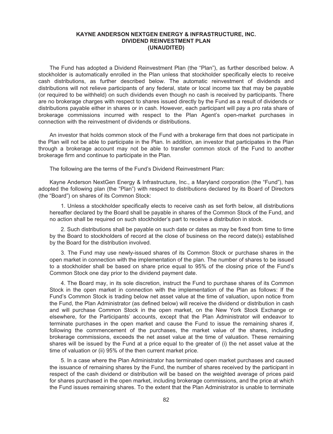## **KAYNE ANDERSON NEXTGEN ENERGY & INFRASTRUCTURE, INC. DIVIDEND REINVESTMENT PLAN (UNAUDITED)**

The Fund has adopted a Dividend Reinvestment Plan (the "Plan"), as further described below. A stockholder is automatically enrolled in the Plan unless that stockholder specifically elects to receive cash distributions, as further described below. The automatic reinvestment of dividends and distributions will not relieve participants of any federal, state or local income tax that may be payable (or required to be withheld) on such dividends even though no cash is received by participants. There are no brokerage charges with respect to shares issued directly by the Fund as a result of dividends or distributions payable either in shares or in cash. However, each participant will pay a pro rata share of brokerage commissions incurred with respect to the Plan Agent's open-market purchases in connection with the reinvestment of dividends or distributions.

An investor that holds common stock of the Fund with a brokerage firm that does not participate in the Plan will not be able to participate in the Plan. In addition, an investor that participates in the Plan through a brokerage account may not be able to transfer common stock of the Fund to another brokerage firm and continue to participate in the Plan.

The following are the terms of the Fund's Dividend Reinvestment Plan:

Kayne Anderson NextGen Energy & Infrastructure, Inc., a Maryland corporation (the "Fund"), has adopted the following plan (the "Plan") with respect to distributions declared by its Board of Directors (the "Board") on shares of its Common Stock:

1. Unless a stockholder specifically elects to receive cash as set forth below, all distributions hereafter declared by the Board shall be payable in shares of the Common Stock of the Fund, and no action shall be required on such stockholder's part to receive a distribution in stock.

2. Such distributions shall be payable on such date or dates as may be fixed from time to time by the Board to stockholders of record at the close of business on the record date(s) established by the Board for the distribution involved.

3. The Fund may use newly-issued shares of its Common Stock or purchase shares in the open market in connection with the implementation of the plan. The number of shares to be issued to a stockholder shall be based on share price equal to 95% of the closing price of the Fund's Common Stock one day prior to the dividend payment date.

4. The Board may, in its sole discretion, instruct the Fund to purchase shares of its Common Stock in the open market in connection with the implementation of the Plan as follows: If the Fund's Common Stock is trading below net asset value at the time of valuation, upon notice from the Fund, the Plan Administrator (as defined below) will receive the dividend or distribution in cash and will purchase Common Stock in the open market, on the New York Stock Exchange or elsewhere, for the Participants' accounts, except that the Plan Administrator will endeavor to terminate purchases in the open market and cause the Fund to issue the remaining shares if, following the commencement of the purchases, the market value of the shares, including brokerage commissions, exceeds the net asset value at the time of valuation. These remaining shares will be issued by the Fund at a price equal to the greater of (i) the net asset value at the time of valuation or (ii) 95% of the then current market price.

5. In a case where the Plan Administrator has terminated open market purchases and caused the issuance of remaining shares by the Fund, the number of shares received by the participant in respect of the cash dividend or distribution will be based on the weighted average of prices paid for shares purchased in the open market, including brokerage commissions, and the price at which the Fund issues remaining shares. To the extent that the Plan Administrator is unable to terminate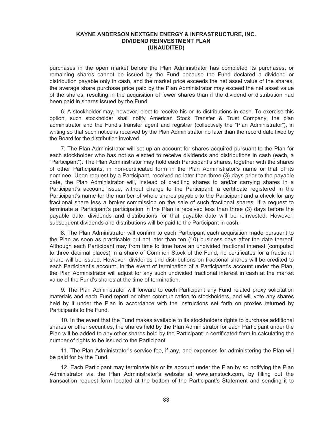## **KAYNE ANDERSON NEXTGEN ENERGY & INFRASTRUCTURE, INC. DIVIDEND REINVESTMENT PLAN (UNAUDITED)**

purchases in the open market before the Plan Administrator has completed its purchases, or remaining shares cannot be issued by the Fund because the Fund declared a dividend or distribution payable only in cash, and the market price exceeds the net asset value of the shares, the average share purchase price paid by the Plan Administrator may exceed the net asset value of the shares, resulting in the acquisition of fewer shares than if the dividend or distribution had been paid in shares issued by the Fund.

6. A stockholder may, however, elect to receive his or its distributions in cash. To exercise this option, such stockholder shall notify American Stock Transfer & Trust Company, the plan administrator and the Fund's transfer agent and registrar (collectively the "Plan Administrator"), in writing so that such notice is received by the Plan Administrator no later than the record date fixed by the Board for the distribution involved.

7. The Plan Administrator will set up an account for shares acquired pursuant to the Plan for each stockholder who has not so elected to receive dividends and distributions in cash (each, a "Participant"). The Plan Administrator may hold each Participant's shares, together with the shares of other Participants, in non-certificated form in the Plan Administrator's name or that of its nominee. Upon request by a Participant, received no later than three (3) days prior to the payable date, the Plan Administrator will, instead of crediting shares to and/or carrying shares in a Participant's account, issue, without charge to the Participant, a certificate registered in the Participant's name for the number of whole shares payable to the Participant and a check for any fractional share less a broker commission on the sale of such fractional shares. If a request to terminate a Participant's participation in the Plan is received less than three (3) days before the payable date, dividends and distributions for that payable date will be reinvested. However, subsequent dividends and distributions will be paid to the Participant in cash.

8. The Plan Administrator will confirm to each Participant each acquisition made pursuant to the Plan as soon as practicable but not later than ten (10) business days after the date thereof. Although each Participant may from time to time have an undivided fractional interest (computed to three decimal places) in a share of Common Stock of the Fund, no certificates for a fractional share will be issued. However, dividends and distributions on fractional shares will be credited to each Participant's account. In the event of termination of a Participant's account under the Plan, the Plan Administrator will adjust for any such undivided fractional interest in cash at the market value of the Fund's shares at the time of termination.

9. The Plan Administrator will forward to each Participant any Fund related proxy solicitation materials and each Fund report or other communication to stockholders, and will vote any shares held by it under the Plan in accordance with the instructions set forth on proxies returned by Participants to the Fund.

10. In the event that the Fund makes available to its stockholders rights to purchase additional shares or other securities, the shares held by the Plan Administrator for each Participant under the Plan will be added to any other shares held by the Participant in certificated form in calculating the number of rights to be issued to the Participant.

11. The Plan Administrator's service fee, if any, and expenses for administering the Plan will be paid for by the Fund.

12. Each Participant may terminate his or its account under the Plan by so notifying the Plan Administrator via the Plan Administrator's website at www.amstock.com, by filling out the transaction request form located at the bottom of the Participant's Statement and sending it to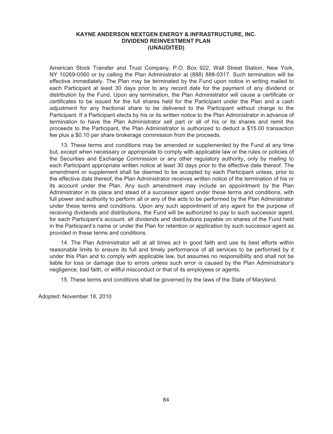## **KAYNE ANDERSON NEXTGEN ENERGY & INFRASTRUCTURE, INC. DIVIDEND REINVESTMENT PLAN (UNAUDITED)**

American Stock Transfer and Trust Company, P.O. Box 922, Wall Street Station, New York, NY 10269-0560 or by calling the Plan Administrator at (888) 888-0317. Such termination will be effective immediately. The Plan may be terminated by the Fund upon notice in writing mailed to each Participant at least 30 days prior to any record date for the payment of any dividend or distribution by the Fund. Upon any termination, the Plan Administrator will cause a certificate or certificates to be issued for the full shares held for the Participant under the Plan and a cash adjustment for any fractional share to be delivered to the Participant without charge to the Participant. If a Participant elects by his or its written notice to the Plan Administrator in advance of termination to have the Plan Administrator sell part or all of his or its shares and remit the proceeds to the Participant, the Plan Administrator is authorized to deduct a \$15.00 transaction fee plus a \$0.10 per share brokerage commission from the proceeds.

13. These terms and conditions may be amended or supplemented by the Fund at any time but, except when necessary or appropriate to comply with applicable law or the rules or policies of the Securities and Exchange Commission or any other regulatory authority, only by mailing to each Participant appropriate written notice at least 30 days prior to the effective date thereof. The amendment or supplement shall be deemed to be accepted by each Participant unless, prior to the effective date thereof, the Plan Administrator receives written notice of the termination of his or its account under the Plan. Any such amendment may include an appointment by the Plan Administrator in its place and stead of a successor agent under these terms and conditions, with full power and authority to perform all or any of the acts to be performed by the Plan Administrator under these terms and conditions. Upon any such appointment of any agent for the purpose of receiving dividends and distributions, the Fund will be authorized to pay to such successor agent, for each Participant's account, all dividends and distributions payable on shares of the Fund held in the Participant's name or under the Plan for retention or application by such successor agent as provided in these terms and conditions.

14. The Plan Administrator will at all times act in good faith and use its best efforts within reasonable limits to ensure its full and timely performance of all services to be performed by it under this Plan and to comply with applicable law, but assumes no responsibility and shall not be liable for loss or damage due to errors unless such error is caused by the Plan Administrator's negligence, bad faith, or willful misconduct or that of its employees or agents.

15. These terms and conditions shall be governed by the laws of the State of Maryland.

Adopted: November 18, 2010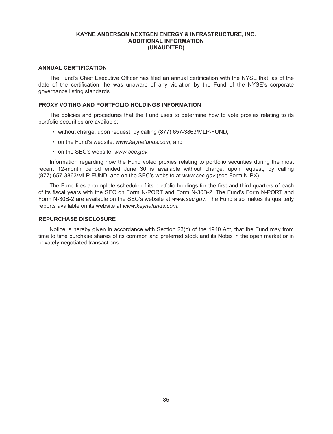## **KAYNE ANDERSON NEXTGEN ENERGY & INFRASTRUCTURE, INC. ADDITIONAL INFORMATION (UNAUDITED)**

# **ANNUAL CERTIFICATION**

The Fund's Chief Executive Officer has filed an annual certification with the NYSE that, as of the date of the certification, he was unaware of any violation by the Fund of the NYSE's corporate governance listing standards.

#### **PROXY VOTING AND PORTFOLIO HOLDINGS INFORMATION**

The policies and procedures that the Fund uses to determine how to vote proxies relating to its portfolio securities are available:

- without charge, upon request, by calling (877) 657-3863/MLP-FUND;
- on the Fund's website, *www.kaynefunds.com*; and
- on the SEC's website, *www.sec.gov*.

Information regarding how the Fund voted proxies relating to portfolio securities during the most recent 12-month period ended June 30 is available without charge, upon request, by calling (877) 657-3863/MLP-FUND, and on the SEC's website at *www.sec.gov* (see Form N-PX).

The Fund files a complete schedule of its portfolio holdings for the first and third quarters of each of its fiscal years with the SEC on Form N-PORT and Form N-30B-2. The Fund's Form N-PORT and Form N-30B-2 are available on the SEC's website at *www.sec.gov*. The Fund also makes its quarterly reports available on its website at *www.kaynefunds.com*.

#### **REPURCHASE DISCLOSURE**

Notice is hereby given in accordance with Section 23(c) of the 1940 Act, that the Fund may from time to time purchase shares of its common and preferred stock and its Notes in the open market or in privately negotiated transactions.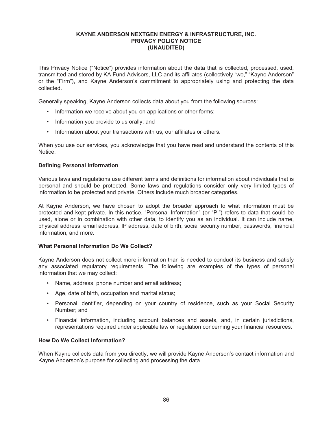This Privacy Notice ("Notice") provides information about the data that is collected, processed, used, transmitted and stored by KA Fund Advisors, LLC and its affiliates (collectively "we," "Kayne Anderson" or the "Firm"), and Kayne Anderson's commitment to appropriately using and protecting the data collected.

Generally speaking, Kayne Anderson collects data about you from the following sources:

- Information we receive about you on applications or other forms;
- Information you provide to us orally; and
- Information about your transactions with us, our affiliates or others.

When you use our services, you acknowledge that you have read and understand the contents of this Notice.

# **Defining Personal Information**

Various laws and regulations use different terms and definitions for information about individuals that is personal and should be protected. Some laws and regulations consider only very limited types of information to be protected and private. Others include much broader categories.

At Kayne Anderson, we have chosen to adopt the broader approach to what information must be protected and kept private. In this notice, "Personal Information" (or "PI") refers to data that could be used, alone or in combination with other data, to identify you as an individual. It can include name, physical address, email address, IP address, date of birth, social security number, passwords, financial information, and more.

### **What Personal Information Do We Collect?**

Kayne Anderson does not collect more information than is needed to conduct its business and satisfy any associated regulatory requirements. The following are examples of the types of personal information that we may collect:

- Name, address, phone number and email address;
- Age, date of birth, occupation and marital status;
- Personal identifier, depending on your country of residence, such as your Social Security Number; and
- Financial information, including account balances and assets, and, in certain jurisdictions, representations required under applicable law or regulation concerning your financial resources.

# **How Do We Collect Information?**

When Kayne collects data from you directly, we will provide Kayne Anderson's contact information and Kayne Anderson's purpose for collecting and processing the data.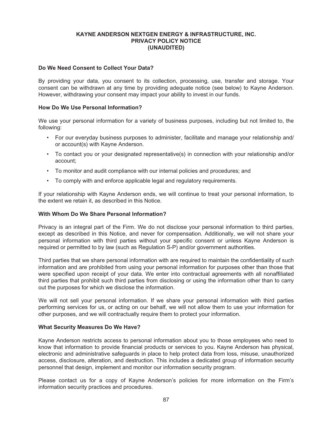## **Do We Need Consent to Collect Your Data?**

By providing your data, you consent to its collection, processing, use, transfer and storage. Your consent can be withdrawn at any time by providing adequate notice (see below) to Kayne Anderson. However, withdrawing your consent may impact your ability to invest in our funds.

## **How Do We Use Personal Information?**

We use your personal information for a variety of business purposes, including but not limited to, the following:

- For our everyday business purposes to administer, facilitate and manage your relationship and/ or account(s) with Kayne Anderson.
- To contact you or your designated representative(s) in connection with your relationship and/or account;
- To monitor and audit compliance with our internal policies and procedures; and
- To comply with and enforce applicable legal and regulatory requirements.

If your relationship with Kayne Anderson ends, we will continue to treat your personal information, to the extent we retain it, as described in this Notice.

# **With Whom Do We Share Personal Information?**

Privacy is an integral part of the Firm. We do not disclose your personal information to third parties, except as described in this Notice, and never for compensation. Additionally, we will not share your personal information with third parties without your specific consent or unless Kayne Anderson is required or permitted to by law (such as Regulation S-P) and/or government authorities.

Third parties that we share personal information with are required to maintain the confidentiality of such information and are prohibited from using your personal information for purposes other than those that were specified upon receipt of your data. We enter into contractual agreements with all nonaffiliated third parties that prohibit such third parties from disclosing or using the information other than to carry out the purposes for which we disclose the information.

We will not sell your personal information. If we share your personal information with third parties performing services for us, or acting on our behalf, we will not allow them to use your information for other purposes, and we will contractually require them to protect your information.

### **What Security Measures Do We Have?**

Kayne Anderson restricts access to personal information about you to those employees who need to know that information to provide financial products or services to you. Kayne Anderson has physical, electronic and administrative safeguards in place to help protect data from loss, misuse, unauthorized access, disclosure, alteration, and destruction. This includes a dedicated group of information security personnel that design, implement and monitor our information security program.

Please contact us for a copy of Kayne Anderson's policies for more information on the Firm's information security practices and procedures.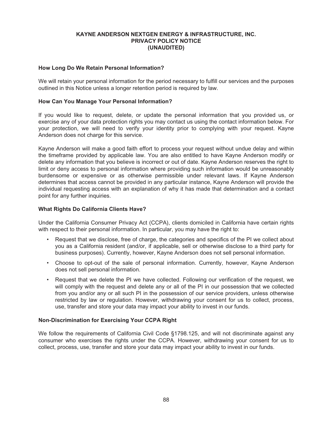## **How Long Do We Retain Personal Information?**

We will retain your personal information for the period necessary to fulfill our services and the purposes outlined in this Notice unless a longer retention period is required by law.

## **How Can You Manage Your Personal Information?**

If you would like to request, delete, or update the personal information that you provided us, or exercise any of your data protection rights you may contact us using the contact information below. For your protection, we will need to verify your identity prior to complying with your request. Kayne Anderson does not charge for this service.

Kayne Anderson will make a good faith effort to process your request without undue delay and within the timeframe provided by applicable law. You are also entitled to have Kayne Anderson modify or delete any information that you believe is incorrect or out of date. Kayne Anderson reserves the right to limit or deny access to personal information where providing such information would be unreasonably burdensome or expensive or as otherwise permissible under relevant laws. If Kayne Anderson determines that access cannot be provided in any particular instance, Kayne Anderson will provide the individual requesting access with an explanation of why it has made that determination and a contact point for any further inquiries.

# **What Rights Do California Clients Have?**

Under the California Consumer Privacy Act (CCPA), clients domiciled in California have certain rights with respect to their personal information. In particular, you may have the right to:

- Request that we disclose, free of charge, the categories and specifics of the PI we collect about you as a California resident (and/or, if applicable, sell or otherwise disclose to a third party for business purposes). Currently, however, Kayne Anderson does not sell personal information.
- Choose to opt-out of the sale of personal information. Currently, however, Kayne Anderson does not sell personal information.
- Request that we delete the PI we have collected. Following our verification of the request, we will comply with the request and delete any or all of the PI in our possession that we collected from you and/or any or all such PI in the possession of our service providers, unless otherwise restricted by law or regulation. However, withdrawing your consent for us to collect, process, use, transfer and store your data may impact your ability to invest in our funds.

### **Non-Discrimination for Exercising Your CCPA Right**

We follow the requirements of California Civil Code §1798.125, and will not discriminate against any consumer who exercises the rights under the CCPA. However, withdrawing your consent for us to collect, process, use, transfer and store your data may impact your ability to invest in our funds.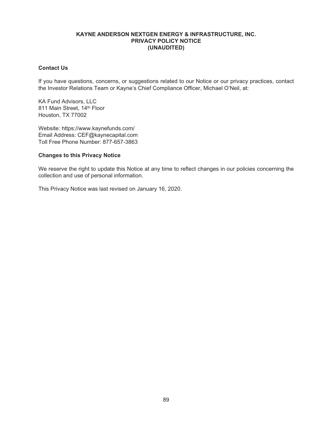# **Contact Us**

If you have questions, concerns, or suggestions related to our Notice or our privacy practices, contact the Investor Relations Team or Kayne's Chief Compliance Officer, Michael O'Neil, at:

KA Fund Advisors, LLC 811 Main Street, 14th Floor Houston, TX 77002

Website: https://www.kaynefunds.com/ Email Address: CEF@kaynecapital.com Toll Free Phone Number: 877-657-3863

# **Changes to this Privacy Notice**

We reserve the right to update this Notice at any time to reflect changes in our policies concerning the collection and use of personal information.

This Privacy Notice was last revised on January 16, 2020.